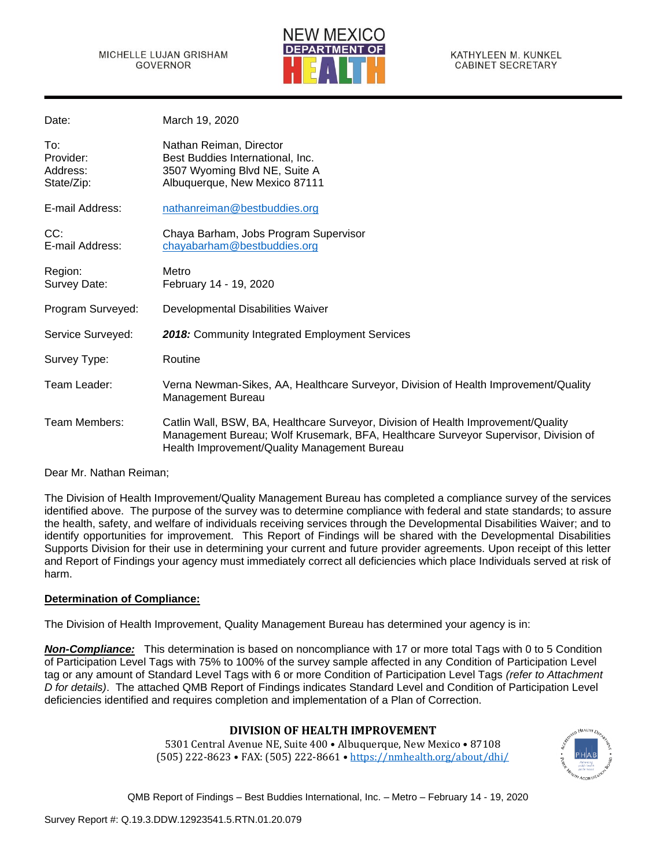

| Date:                                      | March 19, 2020                                                                                                                                                                                                           |
|--------------------------------------------|--------------------------------------------------------------------------------------------------------------------------------------------------------------------------------------------------------------------------|
| To:<br>Provider:<br>Address:<br>State/Zip: | Nathan Reiman, Director<br>Best Buddies International, Inc.<br>3507 Wyoming Blvd NE, Suite A<br>Albuquerque, New Mexico 87111                                                                                            |
| E-mail Address:                            | nathanreiman@bestbuddies.org                                                                                                                                                                                             |
| CC:<br>E-mail Address:                     | Chaya Barham, Jobs Program Supervisor<br>chayabarham@bestbuddies.org                                                                                                                                                     |
| Region:<br>Survey Date:                    | Metro<br>February 14 - 19, 2020                                                                                                                                                                                          |
| Program Surveyed:                          | Developmental Disabilities Waiver                                                                                                                                                                                        |
| Service Surveyed:                          | 2018: Community Integrated Employment Services                                                                                                                                                                           |
| Survey Type:                               | Routine                                                                                                                                                                                                                  |
| Team Leader:                               | Verna Newman-Sikes, AA, Healthcare Surveyor, Division of Health Improvement/Quality<br>Management Bureau                                                                                                                 |
| Team Members:                              | Catlin Wall, BSW, BA, Healthcare Surveyor, Division of Health Improvement/Quality<br>Management Bureau; Wolf Krusemark, BFA, Healthcare Surveyor Supervisor, Division of<br>Health Improvement/Quality Management Bureau |

Dear Mr. Nathan Reiman;

The Division of Health Improvement/Quality Management Bureau has completed a compliance survey of the services identified above. The purpose of the survey was to determine compliance with federal and state standards; to assure the health, safety, and welfare of individuals receiving services through the Developmental Disabilities Waiver; and to identify opportunities for improvement. This Report of Findings will be shared with the Developmental Disabilities Supports Division for their use in determining your current and future provider agreements. Upon receipt of this letter and Report of Findings your agency must immediately correct all deficiencies which place Individuals served at risk of harm.

## **Determination of Compliance:**

The Division of Health Improvement, Quality Management Bureau has determined your agency is in:

*Non-Compliance:* This determination is based on noncompliance with 17 or more total Tags with 0 to 5 Condition of Participation Level Tags with 75% to 100% of the survey sample affected in any Condition of Participation Level tag or any amount of Standard Level Tags with 6 or more Condition of Participation Level Tags *(refer to Attachment D for details)*. The attached QMB Report of Findings indicates Standard Level and Condition of Participation Level deficiencies identified and requires completion and implementation of a Plan of Correction.

# **DIVISION OF HEALTH IMPROVEMENT**

5301 Central Avenue NE, Suite 400 • Albuquerque, New Mexico • 87108 (505) 222-8623 • FAX: (505) 222-8661 • <https://nmhealth.org/about/dhi/>

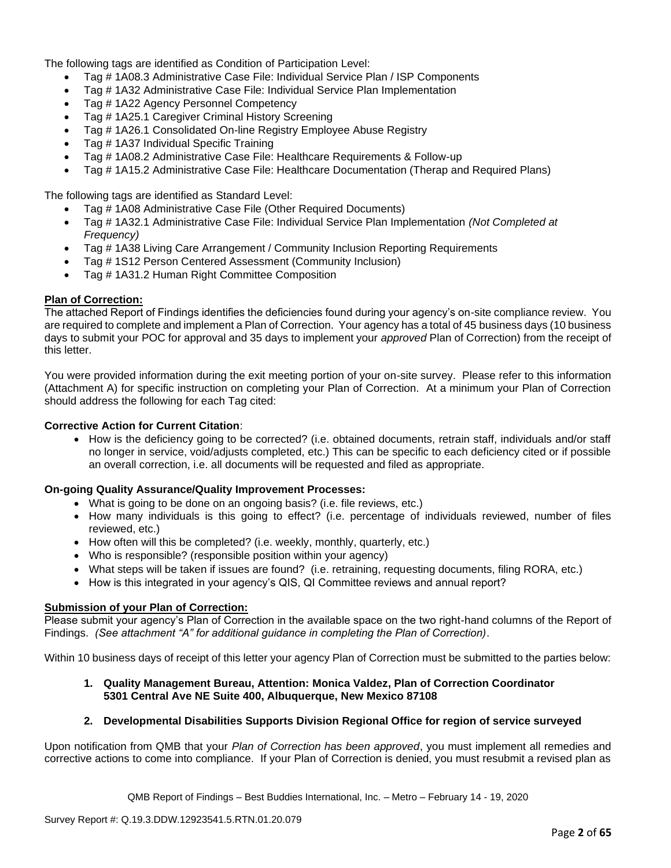The following tags are identified as Condition of Participation Level:

- Tag # 1A08.3 Administrative Case File: Individual Service Plan / ISP Components
- Tag # 1A32 Administrative Case File: Individual Service Plan Implementation
- Tag # 1A22 Agency Personnel Competency
- Tag # 1A25.1 Caregiver Criminal History Screening
- Tag # 1A26.1 Consolidated On-line Registry Employee Abuse Registry
- Tag # 1A37 Individual Specific Training
- Tag # 1A08.2 Administrative Case File: Healthcare Requirements & Follow-up
- Tag # 1A15.2 Administrative Case File: Healthcare Documentation (Therap and Required Plans)

The following tags are identified as Standard Level:

- Tag # 1A08 Administrative Case File (Other Required Documents)
- Tag # 1A32.1 Administrative Case File: Individual Service Plan Implementation *(Not Completed at Frequency)*
- Tag # 1A38 Living Care Arrangement / Community Inclusion Reporting Requirements
- Tag # 1S12 Person Centered Assessment (Community Inclusion)
- Tag # 1A31.2 Human Right Committee Composition

## **Plan of Correction:**

The attached Report of Findings identifies the deficiencies found during your agency's on-site compliance review. You are required to complete and implement a Plan of Correction. Your agency has a total of 45 business days (10 business days to submit your POC for approval and 35 days to implement your *approved* Plan of Correction) from the receipt of this letter.

You were provided information during the exit meeting portion of your on-site survey. Please refer to this information (Attachment A) for specific instruction on completing your Plan of Correction. At a minimum your Plan of Correction should address the following for each Tag cited:

# **Corrective Action for Current Citation**:

• How is the deficiency going to be corrected? (i.e. obtained documents, retrain staff, individuals and/or staff no longer in service, void/adjusts completed, etc.) This can be specific to each deficiency cited or if possible an overall correction, i.e. all documents will be requested and filed as appropriate.

## **On-going Quality Assurance/Quality Improvement Processes:**

- What is going to be done on an ongoing basis? (i.e. file reviews, etc.)
- How many individuals is this going to effect? (i.e. percentage of individuals reviewed, number of files reviewed, etc.)
- How often will this be completed? (i.e. weekly, monthly, quarterly, etc.)
- Who is responsible? (responsible position within your agency)
- What steps will be taken if issues are found? (i.e. retraining, requesting documents, filing RORA, etc.)
- How is this integrated in your agency's QIS, QI Committee reviews and annual report?

## **Submission of your Plan of Correction:**

Please submit your agency's Plan of Correction in the available space on the two right-hand columns of the Report of Findings. *(See attachment "A" for additional guidance in completing the Plan of Correction)*.

Within 10 business days of receipt of this letter your agency Plan of Correction must be submitted to the parties below:

## **1. Quality Management Bureau, Attention: Monica Valdez, Plan of Correction Coordinator 5301 Central Ave NE Suite 400, Albuquerque, New Mexico 87108**

## **2. Developmental Disabilities Supports Division Regional Office for region of service surveyed**

Upon notification from QMB that your *Plan of Correction has been approved*, you must implement all remedies and corrective actions to come into compliance. If your Plan of Correction is denied, you must resubmit a revised plan as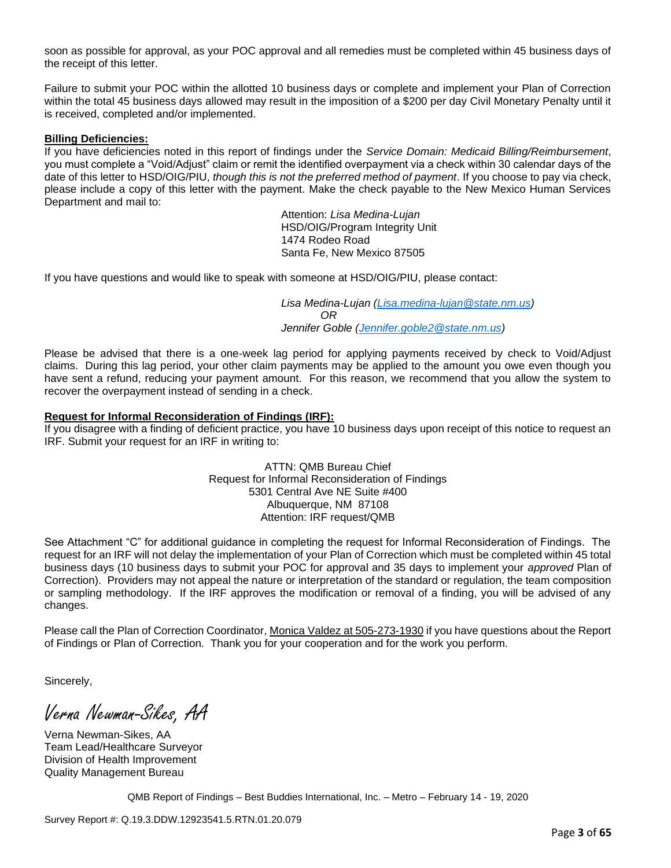soon as possible for approval, as your POC approval and all remedies must be completed within 45 business days of the receipt of this letter.

Failure to submit your POC within the allotted 10 business days or complete and implement your Plan of Correction within the total 45 business days allowed may result in the imposition of a \$200 per day Civil Monetary Penalty until it is received, completed and/or implemented.

## **Billing Deficiencies:**

If you have deficiencies noted in this report of findings under the *Service Domain: Medicaid Billing/Reimbursement*, you must complete a "Void/Adjust" claim or remit the identified overpayment via a check within 30 calendar days of the date of this letter to HSD/OIG/PIU, *though this is not the preferred method of payment*. If you choose to pay via check, please include a copy of this letter with the payment. Make the check payable to the New Mexico Human Services Department and mail to:

> Attention: *Lisa Medina-Lujan* HSD/OIG/Program Integrity Unit 1474 Rodeo Road Santa Fe, New Mexico 87505

If you have questions and would like to speak with someone at HSD/OIG/PIU, please contact:

*Lisa Medina-Lujan [\(Lisa.medina-lujan@state.nm.us\)](mailto:Lisa.medina-lujan@state.nm.us) OR Jennifer Goble [\(Jennifer.goble2@state.nm.us\)](mailto:Jennifer.goble2@state.nm.us)*

Please be advised that there is a one-week lag period for applying payments received by check to Void/Adjust claims. During this lag period, your other claim payments may be applied to the amount you owe even though you have sent a refund, reducing your payment amount. For this reason, we recommend that you allow the system to recover the overpayment instead of sending in a check.

# **Request for Informal Reconsideration of Findings (IRF):**

If you disagree with a finding of deficient practice, you have 10 business days upon receipt of this notice to request an IRF. Submit your request for an IRF in writing to:

> ATTN: QMB Bureau Chief Request for Informal Reconsideration of Findings 5301 Central Ave NE Suite #400 Albuquerque, NM 87108 Attention: IRF request/QMB

See Attachment "C" for additional guidance in completing the request for Informal Reconsideration of Findings. The request for an IRF will not delay the implementation of your Plan of Correction which must be completed within 45 total business days (10 business days to submit your POC for approval and 35 days to implement your *approved* Plan of Correction). Providers may not appeal the nature or interpretation of the standard or regulation, the team composition or sampling methodology. If the IRF approves the modification or removal of a finding, you will be advised of any changes.

Please call the Plan of Correction Coordinator, Monica Valdez at 505-273-1930 if you have questions about the Report of Findings or Plan of Correction. Thank you for your cooperation and for the work you perform.

Sincerely,

Verna Newman-Sikes, AA

Verna Newman-Sikes, AA Team Lead/Healthcare Surveyor Division of Health Improvement Quality Management Bureau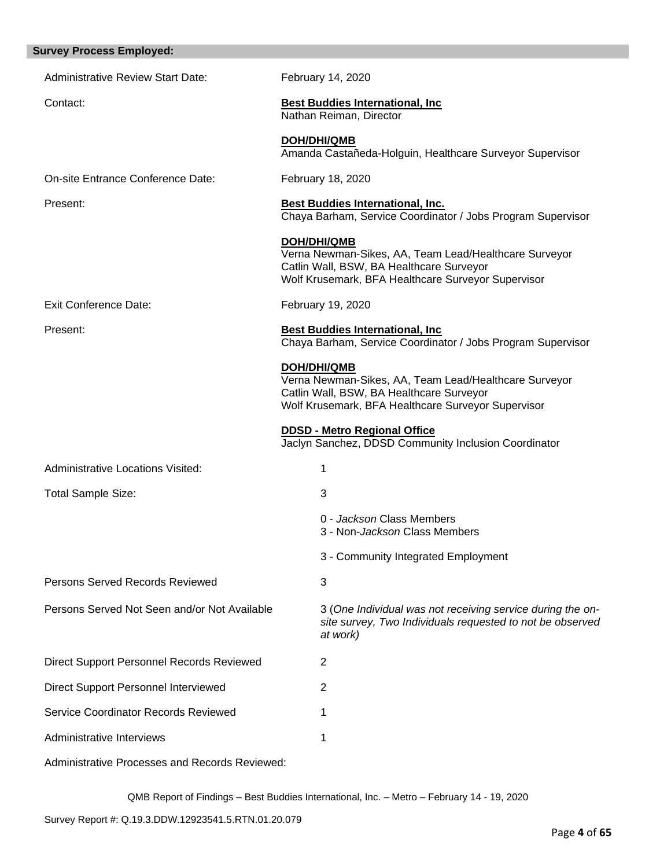| <b>Survey Process Employed:</b>              |                                                                                                                                                                               |
|----------------------------------------------|-------------------------------------------------------------------------------------------------------------------------------------------------------------------------------|
| <b>Administrative Review Start Date:</b>     | February 14, 2020                                                                                                                                                             |
| Contact:                                     | <b>Best Buddies International, Inc.</b><br>Nathan Reiman, Director                                                                                                            |
|                                              | <b>DOH/DHI/QMB</b><br>Amanda Castañeda-Holguin, Healthcare Surveyor Supervisor                                                                                                |
| On-site Entrance Conference Date:            | February 18, 2020                                                                                                                                                             |
| Present:                                     | <b>Best Buddies International, Inc.</b><br>Chaya Barham, Service Coordinator / Jobs Program Supervisor                                                                        |
|                                              | <b>DOH/DHI/QMB</b><br>Verna Newman-Sikes, AA, Team Lead/Healthcare Surveyor<br>Catlin Wall, BSW, BA Healthcare Surveyor<br>Wolf Krusemark, BFA Healthcare Surveyor Supervisor |
| <b>Exit Conference Date:</b>                 | February 19, 2020                                                                                                                                                             |
| Present:                                     | <b>Best Buddies International, Inc.</b><br>Chaya Barham, Service Coordinator / Jobs Program Supervisor                                                                        |
|                                              | <b>DOH/DHI/QMB</b><br>Verna Newman-Sikes, AA, Team Lead/Healthcare Surveyor<br>Catlin Wall, BSW, BA Healthcare Surveyor<br>Wolf Krusemark, BFA Healthcare Surveyor Supervisor |
|                                              | <b>DDSD - Metro Regional Office</b><br>Jaclyn Sanchez, DDSD Community Inclusion Coordinator                                                                                   |
| <b>Administrative Locations Visited:</b>     | 1                                                                                                                                                                             |
| Total Sample Size:                           | 3                                                                                                                                                                             |
|                                              | 0 - Jackson Class Members<br>3 - Non- <i>Jackson</i> Class Members                                                                                                            |
|                                              | 3 - Community Integrated Employment                                                                                                                                           |
| Persons Served Records Reviewed              | 3                                                                                                                                                                             |
| Persons Served Not Seen and/or Not Available | 3 (One Individual was not receiving service during the on-<br>site survey, Two Individuals requested to not be observed<br>at work)                                           |
| Direct Support Personnel Records Reviewed    | 2                                                                                                                                                                             |
| Direct Support Personnel Interviewed         | $\overline{2}$                                                                                                                                                                |
| Service Coordinator Records Reviewed         | 1                                                                                                                                                                             |
| Administrative Interviews                    | 1                                                                                                                                                                             |
|                                              |                                                                                                                                                                               |

Administrative Processes and Records Reviewed: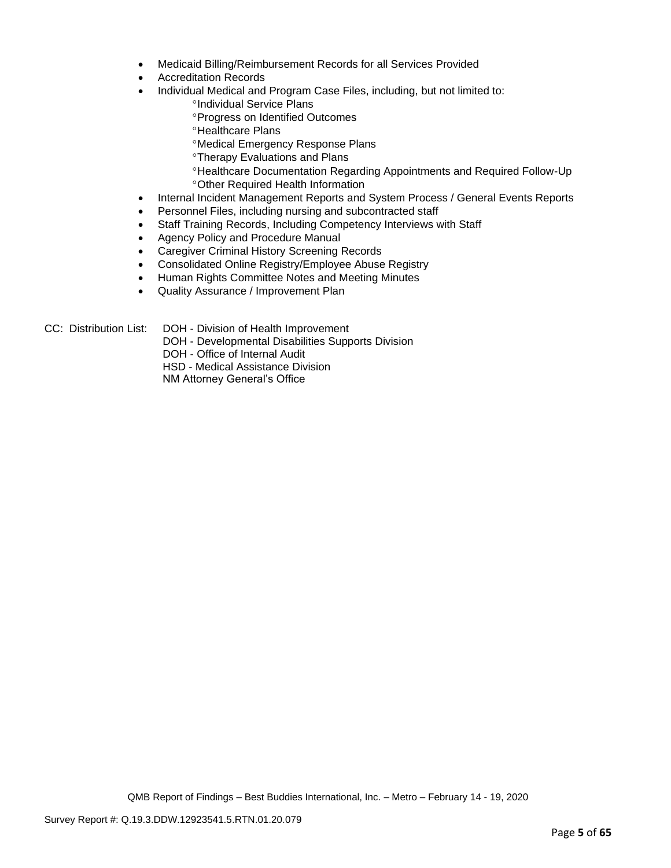- Medicaid Billing/Reimbursement Records for all Services Provided
- Accreditation Records
- Individual Medical and Program Case Files, including, but not limited to:
	- <sup>o</sup>Individual Service Plans
	- **Progress on Identified Outcomes**
	- **<sup>o</sup>Healthcare Plans**
	- Medical Emergency Response Plans
	- **<sup>o</sup>Therapy Evaluations and Plans**
	- Healthcare Documentation Regarding Appointments and Required Follow-Up Other Required Health Information
- Internal Incident Management Reports and System Process / General Events Reports
- Personnel Files, including nursing and subcontracted staff
- Staff Training Records, Including Competency Interviews with Staff
- Agency Policy and Procedure Manual
- Caregiver Criminal History Screening Records
- Consolidated Online Registry/Employee Abuse Registry
- Human Rights Committee Notes and Meeting Minutes
- Quality Assurance / Improvement Plan

- CC: Distribution List: DOH Division of Health Improvement
	- DOH Developmental Disabilities Supports Division
	- DOH Office of Internal Audit
	- HSD Medical Assistance Division

NM Attorney General's Office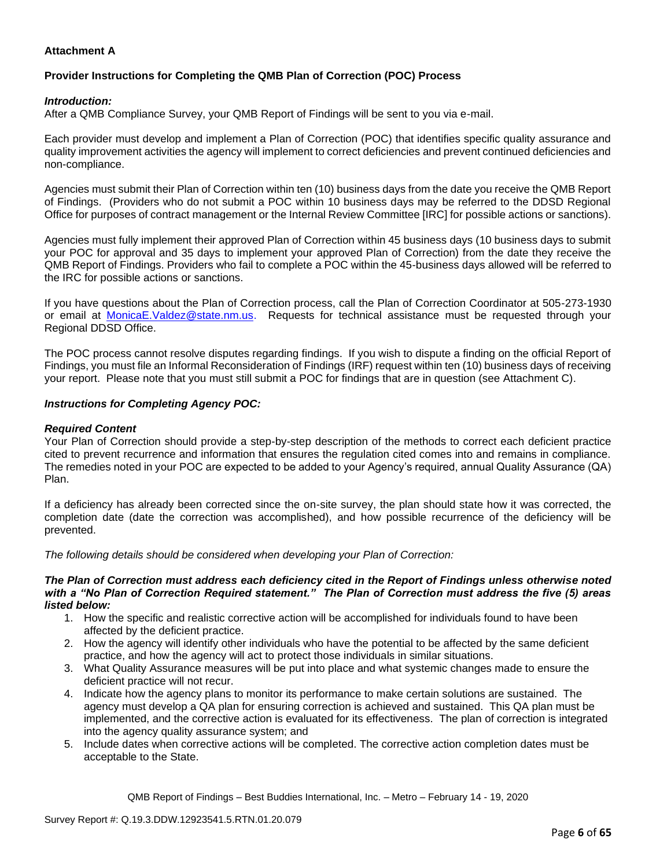# **Attachment A**

# **Provider Instructions for Completing the QMB Plan of Correction (POC) Process**

## *Introduction:*

After a QMB Compliance Survey, your QMB Report of Findings will be sent to you via e-mail.

Each provider must develop and implement a Plan of Correction (POC) that identifies specific quality assurance and quality improvement activities the agency will implement to correct deficiencies and prevent continued deficiencies and non-compliance.

Agencies must submit their Plan of Correction within ten (10) business days from the date you receive the QMB Report of Findings. (Providers who do not submit a POC within 10 business days may be referred to the DDSD Regional Office for purposes of contract management or the Internal Review Committee [IRC] for possible actions or sanctions).

Agencies must fully implement their approved Plan of Correction within 45 business days (10 business days to submit your POC for approval and 35 days to implement your approved Plan of Correction) from the date they receive the QMB Report of Findings. Providers who fail to complete a POC within the 45-business days allowed will be referred to the IRC for possible actions or sanctions.

If you have questions about the Plan of Correction process, call the Plan of Correction Coordinator at 505-273-1930 or email at [MonicaE.Valdez@state.nm.us.](mailto:MonicaE.Valdez@state.nm.us) Requests for technical assistance must be requested through your Regional DDSD Office.

The POC process cannot resolve disputes regarding findings. If you wish to dispute a finding on the official Report of Findings, you must file an Informal Reconsideration of Findings (IRF) request within ten (10) business days of receiving your report. Please note that you must still submit a POC for findings that are in question (see Attachment C).

## *Instructions for Completing Agency POC:*

## *Required Content*

Your Plan of Correction should provide a step-by-step description of the methods to correct each deficient practice cited to prevent recurrence and information that ensures the regulation cited comes into and remains in compliance. The remedies noted in your POC are expected to be added to your Agency's required, annual Quality Assurance (QA) Plan.

If a deficiency has already been corrected since the on-site survey, the plan should state how it was corrected, the completion date (date the correction was accomplished), and how possible recurrence of the deficiency will be prevented.

*The following details should be considered when developing your Plan of Correction:*

#### *The Plan of Correction must address each deficiency cited in the Report of Findings unless otherwise noted with a "No Plan of Correction Required statement." The Plan of Correction must address the five (5) areas listed below:*

- 1. How the specific and realistic corrective action will be accomplished for individuals found to have been affected by the deficient practice.
- 2. How the agency will identify other individuals who have the potential to be affected by the same deficient practice, and how the agency will act to protect those individuals in similar situations.
- 3. What Quality Assurance measures will be put into place and what systemic changes made to ensure the deficient practice will not recur.
- 4. Indicate how the agency plans to monitor its performance to make certain solutions are sustained. The agency must develop a QA plan for ensuring correction is achieved and sustained. This QA plan must be implemented, and the corrective action is evaluated for its effectiveness. The plan of correction is integrated into the agency quality assurance system; and
- 5. Include dates when corrective actions will be completed. The corrective action completion dates must be acceptable to the State.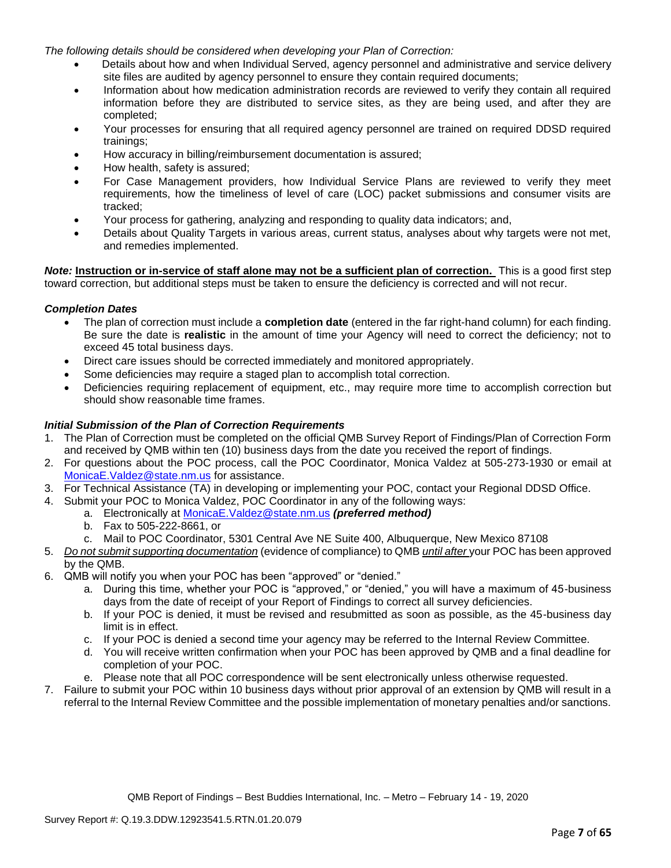*The following details should be considered when developing your Plan of Correction:*

- Details about how and when Individual Served, agency personnel and administrative and service delivery site files are audited by agency personnel to ensure they contain required documents;
- Information about how medication administration records are reviewed to verify they contain all required information before they are distributed to service sites, as they are being used, and after they are completed;
- Your processes for ensuring that all required agency personnel are trained on required DDSD required trainings;
- How accuracy in billing/reimbursement documentation is assured;
- How health, safety is assured;
- For Case Management providers, how Individual Service Plans are reviewed to verify they meet requirements, how the timeliness of level of care (LOC) packet submissions and consumer visits are tracked;
- Your process for gathering, analyzing and responding to quality data indicators; and,
- Details about Quality Targets in various areas, current status, analyses about why targets were not met, and remedies implemented.

*Note:* **Instruction or in-service of staff alone may not be a sufficient plan of correction.** This is a good first step toward correction, but additional steps must be taken to ensure the deficiency is corrected and will not recur.

## *Completion Dates*

- The plan of correction must include a **completion date** (entered in the far right-hand column) for each finding. Be sure the date is **realistic** in the amount of time your Agency will need to correct the deficiency; not to exceed 45 total business days.
- Direct care issues should be corrected immediately and monitored appropriately.
- Some deficiencies may require a staged plan to accomplish total correction.
- Deficiencies requiring replacement of equipment, etc., may require more time to accomplish correction but should show reasonable time frames.

# *Initial Submission of the Plan of Correction Requirements*

- 1. The Plan of Correction must be completed on the official QMB Survey Report of Findings/Plan of Correction Form and received by QMB within ten (10) business days from the date you received the report of findings.
- 2. For questions about the POC process, call the POC Coordinator, Monica Valdez at 505-273-1930 or email at [MonicaE.Valdez@state.nm.us](mailto:MonicaE.Valdez@state.nm.us) for assistance.
- 3. For Technical Assistance (TA) in developing or implementing your POC, contact your Regional DDSD Office.
- 4. Submit your POC to Monica Valdez, POC Coordinator in any of the following ways:
	- a. Electronically at [MonicaE.Valdez@state.nm.us](mailto:MonicaE.Valdez@state.nm.us) *(preferred method)*
	- b. Fax to 505-222-8661, or
	- c. Mail to POC Coordinator, 5301 Central Ave NE Suite 400, Albuquerque, New Mexico 87108
- 5. *Do not submit supporting documentation* (evidence of compliance) to QMB *until after* your POC has been approved by the QMB.
- 6. QMB will notify you when your POC has been "approved" or "denied."
	- a. During this time, whether your POC is "approved," or "denied," you will have a maximum of 45-business days from the date of receipt of your Report of Findings to correct all survey deficiencies.
	- b. If your POC is denied, it must be revised and resubmitted as soon as possible, as the 45-business day limit is in effect.
	- c. If your POC is denied a second time your agency may be referred to the Internal Review Committee.
	- d. You will receive written confirmation when your POC has been approved by QMB and a final deadline for completion of your POC.
	- e. Please note that all POC correspondence will be sent electronically unless otherwise requested.
- 7. Failure to submit your POC within 10 business days without prior approval of an extension by QMB will result in a referral to the Internal Review Committee and the possible implementation of monetary penalties and/or sanctions.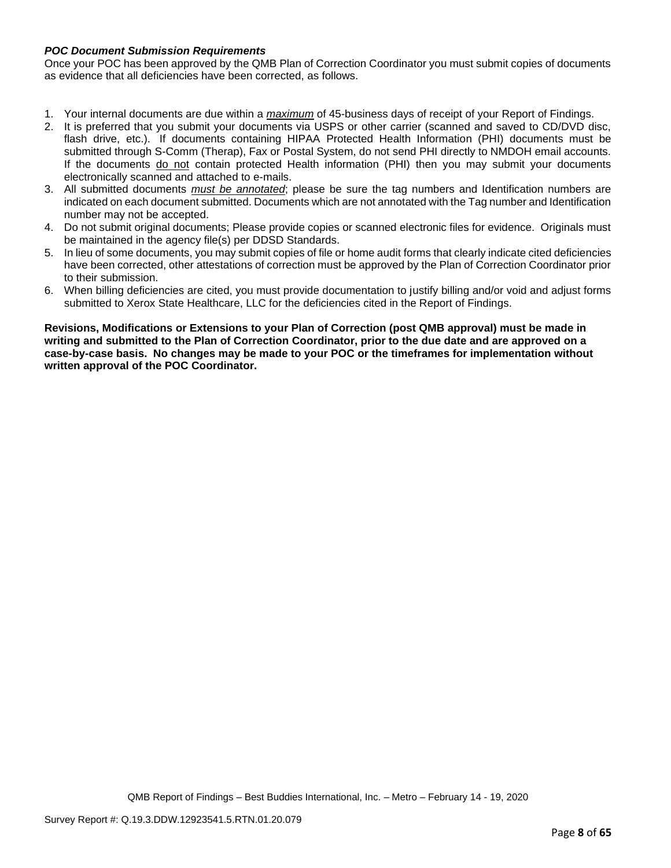# *POC Document Submission Requirements*

Once your POC has been approved by the QMB Plan of Correction Coordinator you must submit copies of documents as evidence that all deficiencies have been corrected, as follows.

- 1. Your internal documents are due within a *maximum* of 45-business days of receipt of your Report of Findings.
- 2. It is preferred that you submit your documents via USPS or other carrier (scanned and saved to CD/DVD disc, flash drive, etc.). If documents containing HIPAA Protected Health Information (PHI) documents must be submitted through S-Comm (Therap), Fax or Postal System, do not send PHI directly to NMDOH email accounts. If the documents do not contain protected Health information (PHI) then you may submit your documents electronically scanned and attached to e-mails.
- 3. All submitted documents *must be annotated*; please be sure the tag numbers and Identification numbers are indicated on each document submitted. Documents which are not annotated with the Tag number and Identification number may not be accepted.
- 4. Do not submit original documents; Please provide copies or scanned electronic files for evidence. Originals must be maintained in the agency file(s) per DDSD Standards.
- 5. In lieu of some documents, you may submit copies of file or home audit forms that clearly indicate cited deficiencies have been corrected, other attestations of correction must be approved by the Plan of Correction Coordinator prior to their submission.
- 6. When billing deficiencies are cited, you must provide documentation to justify billing and/or void and adjust forms submitted to Xerox State Healthcare, LLC for the deficiencies cited in the Report of Findings.

**Revisions, Modifications or Extensions to your Plan of Correction (post QMB approval) must be made in writing and submitted to the Plan of Correction Coordinator, prior to the due date and are approved on a case-by-case basis. No changes may be made to your POC or the timeframes for implementation without written approval of the POC Coordinator.**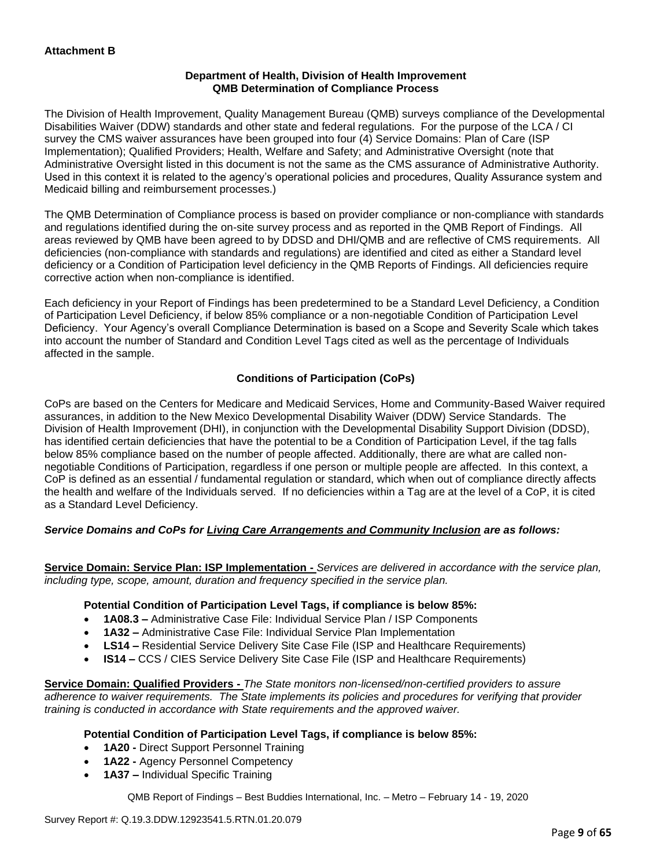# **Department of Health, Division of Health Improvement QMB Determination of Compliance Process**

The Division of Health Improvement, Quality Management Bureau (QMB) surveys compliance of the Developmental Disabilities Waiver (DDW) standards and other state and federal regulations. For the purpose of the LCA / CI survey the CMS waiver assurances have been grouped into four (4) Service Domains: Plan of Care (ISP Implementation); Qualified Providers; Health, Welfare and Safety; and Administrative Oversight (note that Administrative Oversight listed in this document is not the same as the CMS assurance of Administrative Authority. Used in this context it is related to the agency's operational policies and procedures, Quality Assurance system and Medicaid billing and reimbursement processes.)

The QMB Determination of Compliance process is based on provider compliance or non-compliance with standards and regulations identified during the on-site survey process and as reported in the QMB Report of Findings. All areas reviewed by QMB have been agreed to by DDSD and DHI/QMB and are reflective of CMS requirements. All deficiencies (non-compliance with standards and regulations) are identified and cited as either a Standard level deficiency or a Condition of Participation level deficiency in the QMB Reports of Findings. All deficiencies require corrective action when non-compliance is identified.

Each deficiency in your Report of Findings has been predetermined to be a Standard Level Deficiency, a Condition of Participation Level Deficiency, if below 85% compliance or a non-negotiable Condition of Participation Level Deficiency. Your Agency's overall Compliance Determination is based on a Scope and Severity Scale which takes into account the number of Standard and Condition Level Tags cited as well as the percentage of Individuals affected in the sample.

# **Conditions of Participation (CoPs)**

CoPs are based on the Centers for Medicare and Medicaid Services, Home and Community-Based Waiver required assurances, in addition to the New Mexico Developmental Disability Waiver (DDW) Service Standards. The Division of Health Improvement (DHI), in conjunction with the Developmental Disability Support Division (DDSD), has identified certain deficiencies that have the potential to be a Condition of Participation Level, if the tag falls below 85% compliance based on the number of people affected. Additionally, there are what are called nonnegotiable Conditions of Participation, regardless if one person or multiple people are affected. In this context, a CoP is defined as an essential / fundamental regulation or standard, which when out of compliance directly affects the health and welfare of the Individuals served. If no deficiencies within a Tag are at the level of a CoP, it is cited as a Standard Level Deficiency.

# *Service Domains and CoPs for Living Care Arrangements and Community Inclusion are as follows:*

**Service Domain: Service Plan: ISP Implementation -** *Services are delivered in accordance with the service plan, including type, scope, amount, duration and frequency specified in the service plan.*

## **Potential Condition of Participation Level Tags, if compliance is below 85%:**

- **1A08.3 –** Administrative Case File: Individual Service Plan / ISP Components
- **1A32 –** Administrative Case File: Individual Service Plan Implementation
- **LS14 –** Residential Service Delivery Site Case File (ISP and Healthcare Requirements)
- **IS14 –** CCS / CIES Service Delivery Site Case File (ISP and Healthcare Requirements)

**Service Domain: Qualified Providers -** *The State monitors non-licensed/non-certified providers to assure adherence to waiver requirements. The State implements its policies and procedures for verifying that provider training is conducted in accordance with State requirements and the approved waiver.*

## **Potential Condition of Participation Level Tags, if compliance is below 85%:**

- **1A20 -** Direct Support Personnel Training
- **1A22 -** Agency Personnel Competency
- **1A37 –** Individual Specific Training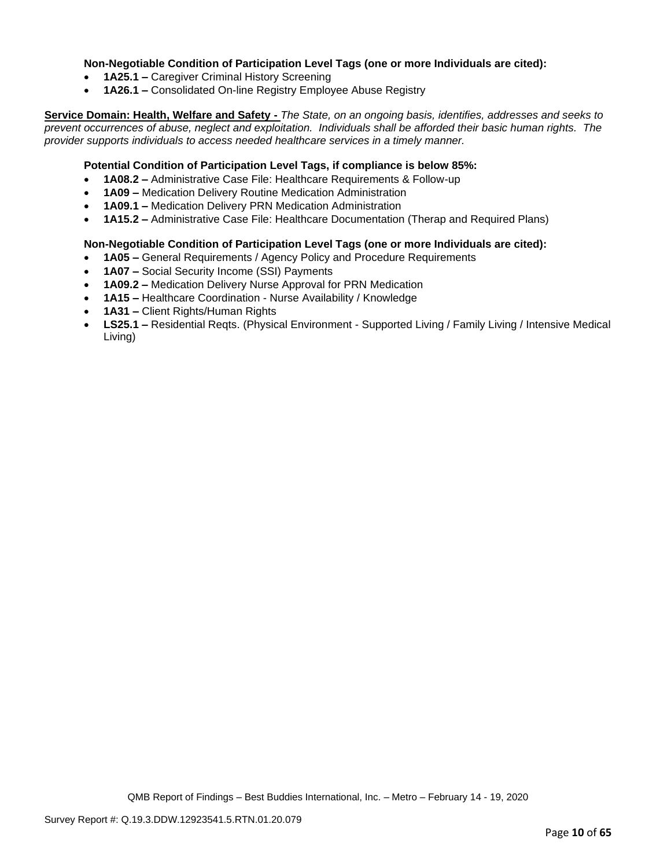## **Non-Negotiable Condition of Participation Level Tags (one or more Individuals are cited):**

- **1A25.1 –** Caregiver Criminal History Screening
- **1A26.1 –** Consolidated On-line Registry Employee Abuse Registry

**Service Domain: Health, Welfare and Safety -** *The State, on an ongoing basis, identifies, addresses and seeks to prevent occurrences of abuse, neglect and exploitation. Individuals shall be afforded their basic human rights. The provider supports individuals to access needed healthcare services in a timely manner.*

## **Potential Condition of Participation Level Tags, if compliance is below 85%:**

- **1A08.2 –** Administrative Case File: Healthcare Requirements & Follow-up
- **1A09 –** Medication Delivery Routine Medication Administration
- **1A09.1 –** Medication Delivery PRN Medication Administration
- **1A15.2 –** Administrative Case File: Healthcare Documentation (Therap and Required Plans)

## **Non-Negotiable Condition of Participation Level Tags (one or more Individuals are cited):**

- **1A05 –** General Requirements / Agency Policy and Procedure Requirements
- **1A07 –** Social Security Income (SSI) Payments
- **1A09.2 –** Medication Delivery Nurse Approval for PRN Medication
- **1A15 –** Healthcare Coordination Nurse Availability / Knowledge
- **1A31 –** Client Rights/Human Rights
- **LS25.1 –** Residential Reqts. (Physical Environment Supported Living / Family Living / Intensive Medical Living)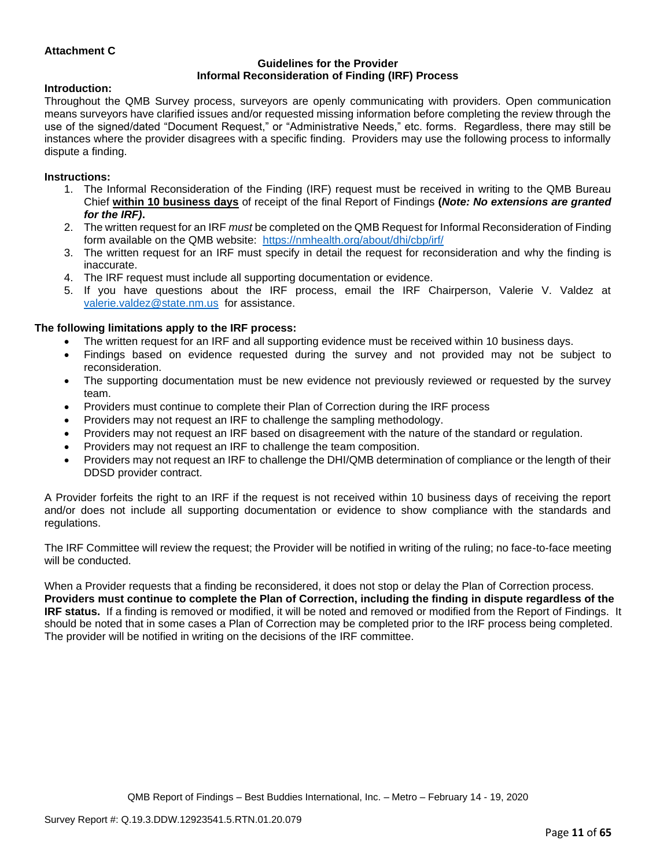# **Attachment C**

#### **Guidelines for the Provider Informal Reconsideration of Finding (IRF) Process**

#### **Introduction:**

Throughout the QMB Survey process, surveyors are openly communicating with providers. Open communication means surveyors have clarified issues and/or requested missing information before completing the review through the use of the signed/dated "Document Request," or "Administrative Needs," etc. forms. Regardless, there may still be instances where the provider disagrees with a specific finding. Providers may use the following process to informally dispute a finding.

#### **Instructions:**

- 1. The Informal Reconsideration of the Finding (IRF) request must be received in writing to the QMB Bureau Chief **within 10 business days** of receipt of the final Report of Findings **(***Note: No extensions are granted for the IRF)***.**
- 2. The written request for an IRF *must* be completed on the QMB Request for Informal Reconsideration of Finding form available on the QMB website: <https://nmhealth.org/about/dhi/cbp/irf/>
- 3. The written request for an IRF must specify in detail the request for reconsideration and why the finding is inaccurate.
- 4. The IRF request must include all supporting documentation or evidence.
- 5. If you have questions about the IRF process, email the IRF Chairperson, Valerie V. Valdez at [valerie.valdez@state.nm.us](mailto:valerie.valdez@state.nm.us) for assistance.

#### **The following limitations apply to the IRF process:**

- The written request for an IRF and all supporting evidence must be received within 10 business days.
- Findings based on evidence requested during the survey and not provided may not be subject to reconsideration.
- The supporting documentation must be new evidence not previously reviewed or requested by the survey team.
- Providers must continue to complete their Plan of Correction during the IRF process
- Providers may not request an IRF to challenge the sampling methodology.
- Providers may not request an IRF based on disagreement with the nature of the standard or regulation.
- Providers may not request an IRF to challenge the team composition.
- Providers may not request an IRF to challenge the DHI/QMB determination of compliance or the length of their DDSD provider contract.

A Provider forfeits the right to an IRF if the request is not received within 10 business days of receiving the report and/or does not include all supporting documentation or evidence to show compliance with the standards and regulations.

The IRF Committee will review the request; the Provider will be notified in writing of the ruling; no face-to-face meeting will be conducted.

When a Provider requests that a finding be reconsidered, it does not stop or delay the Plan of Correction process. **Providers must continue to complete the Plan of Correction, including the finding in dispute regardless of the IRF status.** If a finding is removed or modified, it will be noted and removed or modified from the Report of Findings. It should be noted that in some cases a Plan of Correction may be completed prior to the IRF process being completed. The provider will be notified in writing on the decisions of the IRF committee.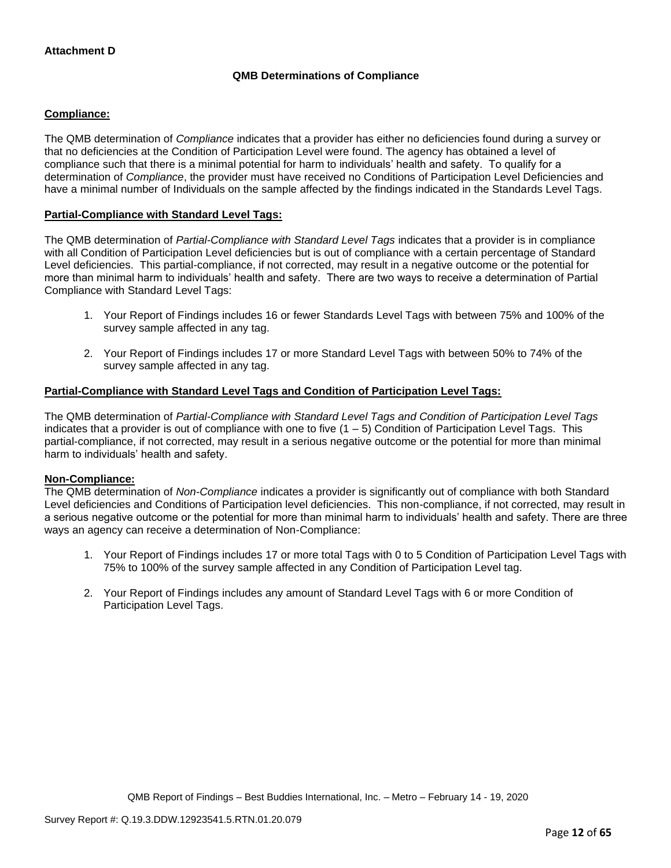# **QMB Determinations of Compliance**

# **Compliance:**

The QMB determination of *Compliance* indicates that a provider has either no deficiencies found during a survey or that no deficiencies at the Condition of Participation Level were found. The agency has obtained a level of compliance such that there is a minimal potential for harm to individuals' health and safety. To qualify for a determination of *Compliance*, the provider must have received no Conditions of Participation Level Deficiencies and have a minimal number of Individuals on the sample affected by the findings indicated in the Standards Level Tags.

# **Partial-Compliance with Standard Level Tags:**

The QMB determination of *Partial-Compliance with Standard Level Tags* indicates that a provider is in compliance with all Condition of Participation Level deficiencies but is out of compliance with a certain percentage of Standard Level deficiencies. This partial-compliance, if not corrected, may result in a negative outcome or the potential for more than minimal harm to individuals' health and safety. There are two ways to receive a determination of Partial Compliance with Standard Level Tags:

- 1. Your Report of Findings includes 16 or fewer Standards Level Tags with between 75% and 100% of the survey sample affected in any tag.
- 2. Your Report of Findings includes 17 or more Standard Level Tags with between 50% to 74% of the survey sample affected in any tag.

# **Partial-Compliance with Standard Level Tags and Condition of Participation Level Tags:**

The QMB determination of *Partial-Compliance with Standard Level Tags and Condition of Participation Level Tags*  indicates that a provider is out of compliance with one to five  $(1 - 5)$  Condition of Participation Level Tags. This partial-compliance, if not corrected, may result in a serious negative outcome or the potential for more than minimal harm to individuals' health and safety.

## **Non-Compliance:**

The QMB determination of *Non-Compliance* indicates a provider is significantly out of compliance with both Standard Level deficiencies and Conditions of Participation level deficiencies. This non-compliance, if not corrected, may result in a serious negative outcome or the potential for more than minimal harm to individuals' health and safety. There are three ways an agency can receive a determination of Non-Compliance:

- 1. Your Report of Findings includes 17 or more total Tags with 0 to 5 Condition of Participation Level Tags with 75% to 100% of the survey sample affected in any Condition of Participation Level tag.
- 2. Your Report of Findings includes any amount of Standard Level Tags with 6 or more Condition of Participation Level Tags.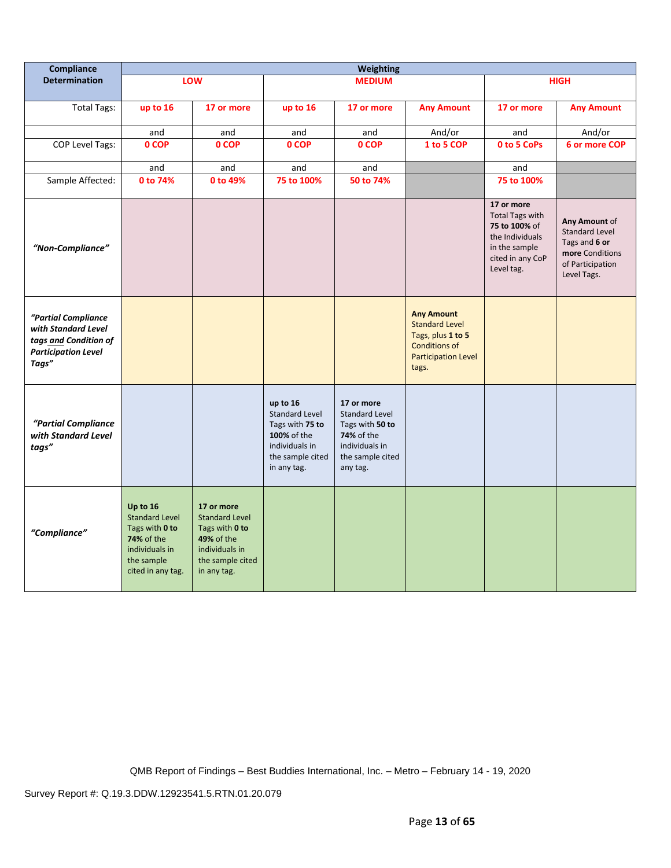| Compliance                                                                                                 | <b>Weighting</b>                                                                                                              |                                                                                                                                 |                                                                                                                          |                                                                                                                               |                                                                                                                                |                                                                                                                             |                                                                                                               |
|------------------------------------------------------------------------------------------------------------|-------------------------------------------------------------------------------------------------------------------------------|---------------------------------------------------------------------------------------------------------------------------------|--------------------------------------------------------------------------------------------------------------------------|-------------------------------------------------------------------------------------------------------------------------------|--------------------------------------------------------------------------------------------------------------------------------|-----------------------------------------------------------------------------------------------------------------------------|---------------------------------------------------------------------------------------------------------------|
| <b>Determination</b>                                                                                       |                                                                                                                               | LOW                                                                                                                             |                                                                                                                          | <b>MEDIUM</b>                                                                                                                 |                                                                                                                                |                                                                                                                             | <b>HIGH</b>                                                                                                   |
| <b>Total Tags:</b>                                                                                         | up to 16                                                                                                                      | 17 or more                                                                                                                      | up to 16                                                                                                                 | 17 or more                                                                                                                    | <b>Any Amount</b>                                                                                                              | 17 or more                                                                                                                  | <b>Any Amount</b>                                                                                             |
|                                                                                                            | and                                                                                                                           | and                                                                                                                             | and                                                                                                                      | and                                                                                                                           | And/or                                                                                                                         | and                                                                                                                         | And/or                                                                                                        |
| <b>COP Level Tags:</b>                                                                                     | 0 COP                                                                                                                         | 0 COP                                                                                                                           | 0 COP                                                                                                                    | 0 COP                                                                                                                         | 1 to 5 COP                                                                                                                     | 0 to 5 CoPs                                                                                                                 | 6 or more COP                                                                                                 |
|                                                                                                            | and                                                                                                                           | and                                                                                                                             | and                                                                                                                      | and                                                                                                                           |                                                                                                                                | and                                                                                                                         |                                                                                                               |
| Sample Affected:                                                                                           | 0 to 74%                                                                                                                      | 0 to 49%                                                                                                                        | 75 to 100%                                                                                                               | 50 to 74%                                                                                                                     |                                                                                                                                | 75 to 100%                                                                                                                  |                                                                                                               |
| "Non-Compliance"                                                                                           |                                                                                                                               |                                                                                                                                 |                                                                                                                          |                                                                                                                               |                                                                                                                                | 17 or more<br><b>Total Tags with</b><br>75 to 100% of<br>the Individuals<br>in the sample<br>cited in any CoP<br>Level tag. | Any Amount of<br><b>Standard Level</b><br>Tags and 6 or<br>more Conditions<br>of Participation<br>Level Tags. |
| "Partial Compliance<br>with Standard Level<br>tags and Condition of<br><b>Participation Level</b><br>Tags" |                                                                                                                               |                                                                                                                                 |                                                                                                                          |                                                                                                                               | <b>Any Amount</b><br><b>Standard Level</b><br>Tags, plus 1 to 5<br><b>Conditions of</b><br><b>Participation Level</b><br>tags. |                                                                                                                             |                                                                                                               |
| "Partial Compliance<br>with Standard Level<br>tags"                                                        |                                                                                                                               |                                                                                                                                 | up to 16<br><b>Standard Level</b><br>Tags with 75 to<br>100% of the<br>individuals in<br>the sample cited<br>in any tag. | 17 or more<br><b>Standard Level</b><br>Tags with 50 to<br><b>74%</b> of the<br>individuals in<br>the sample cited<br>any tag. |                                                                                                                                |                                                                                                                             |                                                                                                               |
| "Compliance"                                                                                               | Up to 16<br><b>Standard Level</b><br>Tags with 0 to<br><b>74% of the</b><br>individuals in<br>the sample<br>cited in any tag. | 17 or more<br><b>Standard Level</b><br>Tags with 0 to<br><b>49% of the</b><br>individuals in<br>the sample cited<br>in any tag. |                                                                                                                          |                                                                                                                               |                                                                                                                                |                                                                                                                             |                                                                                                               |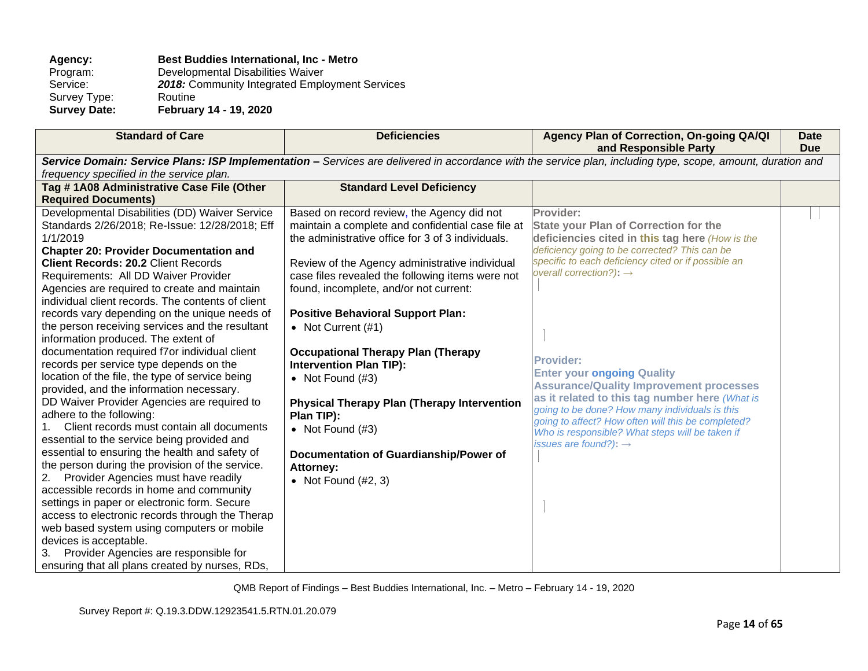# Agency: **Best Buddies International, Inc - Metro Program: Developmental Disabilities Waiver**

Program: Developmental Disabilities Waiver<br>Service: 2018: Community Integrated Emplo 2018: Community Integrated Employment Services<br>Routine Survey Type:<br>Survey Date:

**Survey Date: February 14 - 19, 2020**

| <b>Standard of Care</b>                                                                          | <b>Deficiencies</b>                                            | Agency Plan of Correction, On-going QA/QI<br>and Responsible Party                                                                                          | <b>Date</b><br><b>Due</b> |
|--------------------------------------------------------------------------------------------------|----------------------------------------------------------------|-------------------------------------------------------------------------------------------------------------------------------------------------------------|---------------------------|
|                                                                                                  |                                                                | Service Domain: Service Plans: ISP Implementation - Services are delivered in accordance with the service plan, including type, scope, amount, duration and |                           |
| frequency specified in the service plan.                                                         |                                                                |                                                                                                                                                             |                           |
| Tag #1A08 Administrative Case File (Other                                                        | <b>Standard Level Deficiency</b>                               |                                                                                                                                                             |                           |
| <b>Required Documents)</b>                                                                       |                                                                |                                                                                                                                                             |                           |
| Developmental Disabilities (DD) Waiver Service                                                   | Based on record review, the Agency did not                     | Provider:                                                                                                                                                   |                           |
| Standards 2/26/2018; Re-Issue: 12/28/2018; Eff                                                   | maintain a complete and confidential case file at              | <b>State your Plan of Correction for the</b>                                                                                                                |                           |
| 1/1/2019                                                                                         | the administrative office for 3 of 3 individuals.              | deficiencies cited in this tag here (How is the                                                                                                             |                           |
| <b>Chapter 20: Provider Documentation and</b>                                                    |                                                                | deficiency going to be corrected? This can be                                                                                                               |                           |
| <b>Client Records: 20.2 Client Records</b>                                                       | Review of the Agency administrative individual                 | specific to each deficiency cited or if possible an<br>overall correction?): $\rightarrow$                                                                  |                           |
| Requirements: All DD Waiver Provider                                                             | case files revealed the following items were not               |                                                                                                                                                             |                           |
| Agencies are required to create and maintain                                                     | found, incomplete, and/or not current:                         |                                                                                                                                                             |                           |
| individual client records. The contents of client                                                |                                                                |                                                                                                                                                             |                           |
| records vary depending on the unique needs of<br>the person receiving services and the resultant | <b>Positive Behavioral Support Plan:</b><br>• Not Current (#1) |                                                                                                                                                             |                           |
| information produced. The extent of                                                              |                                                                |                                                                                                                                                             |                           |
| documentation required f7or individual client                                                    | <b>Occupational Therapy Plan (Therapy</b>                      |                                                                                                                                                             |                           |
| records per service type depends on the                                                          | <b>Intervention Plan TIP):</b>                                 | <b>Provider:</b>                                                                                                                                            |                           |
| location of the file, the type of service being                                                  | • Not Found $(H3)$                                             | <b>Enter your ongoing Quality</b>                                                                                                                           |                           |
| provided, and the information necessary.                                                         |                                                                | <b>Assurance/Quality Improvement processes</b>                                                                                                              |                           |
| DD Waiver Provider Agencies are required to                                                      | <b>Physical Therapy Plan (Therapy Intervention</b>             | as it related to this tag number here (What is                                                                                                              |                           |
| adhere to the following:                                                                         | Plan TIP):                                                     | going to be done? How many individuals is this<br>going to affect? How often will this be completed?                                                        |                           |
| Client records must contain all documents                                                        | • Not Found $(H3)$                                             | Who is responsible? What steps will be taken if                                                                                                             |                           |
| essential to the service being provided and                                                      |                                                                | issues are found?): $\rightarrow$                                                                                                                           |                           |
| essential to ensuring the health and safety of                                                   | Documentation of Guardianship/Power of                         |                                                                                                                                                             |                           |
| the person during the provision of the service.                                                  | <b>Attorney:</b>                                               |                                                                                                                                                             |                           |
| Provider Agencies must have readily<br>2.                                                        | • Not Found $(H2, 3)$                                          |                                                                                                                                                             |                           |
| accessible records in home and community<br>settings in paper or electronic form. Secure         |                                                                |                                                                                                                                                             |                           |
| access to electronic records through the Therap                                                  |                                                                |                                                                                                                                                             |                           |
| web based system using computers or mobile                                                       |                                                                |                                                                                                                                                             |                           |
| devices is acceptable.                                                                           |                                                                |                                                                                                                                                             |                           |
| Provider Agencies are responsible for<br>3.                                                      |                                                                |                                                                                                                                                             |                           |
| ensuring that all plans created by nurses, RDs,                                                  |                                                                |                                                                                                                                                             |                           |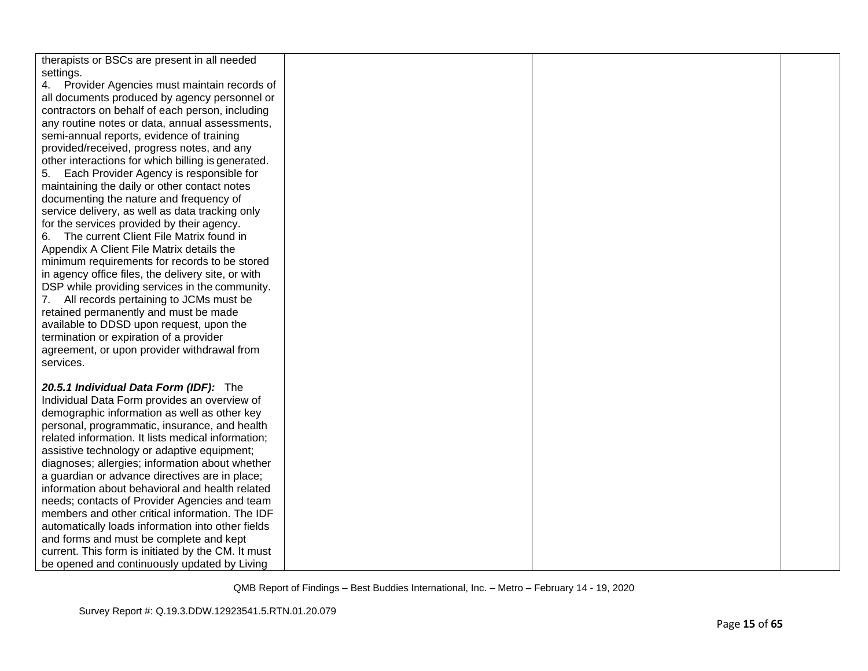| therapists or BSCs are present in all needed       |  |  |
|----------------------------------------------------|--|--|
| settings.                                          |  |  |
| 4. Provider Agencies must maintain records of      |  |  |
| all documents produced by agency personnel or      |  |  |
| contractors on behalf of each person, including    |  |  |
| any routine notes or data, annual assessments,     |  |  |
| semi-annual reports, evidence of training          |  |  |
| provided/received, progress notes, and any         |  |  |
| other interactions for which billing is generated. |  |  |
| 5. Each Provider Agency is responsible for         |  |  |
| maintaining the daily or other contact notes       |  |  |
| documenting the nature and frequency of            |  |  |
| service delivery, as well as data tracking only    |  |  |
| for the services provided by their agency.         |  |  |
| The current Client File Matrix found in<br>6.      |  |  |
| Appendix A Client File Matrix details the          |  |  |
| minimum requirements for records to be stored      |  |  |
| in agency office files, the delivery site, or with |  |  |
| DSP while providing services in the community.     |  |  |
| 7. All records pertaining to JCMs must be          |  |  |
| retained permanently and must be made              |  |  |
| available to DDSD upon request, upon the           |  |  |
| termination or expiration of a provider            |  |  |
| agreement, or upon provider withdrawal from        |  |  |
| services.                                          |  |  |
|                                                    |  |  |
| 20.5.1 Individual Data Form (IDF): The             |  |  |
| Individual Data Form provides an overview of       |  |  |
| demographic information as well as other key       |  |  |
| personal, programmatic, insurance, and health      |  |  |
| related information. It lists medical information; |  |  |
| assistive technology or adaptive equipment;        |  |  |
| diagnoses; allergies; information about whether    |  |  |
| a guardian or advance directives are in place;     |  |  |
| information about behavioral and health related    |  |  |
|                                                    |  |  |
| needs; contacts of Provider Agencies and team      |  |  |
| members and other critical information. The IDF    |  |  |
| automatically loads information into other fields  |  |  |
| and forms and must be complete and kept            |  |  |
| current. This form is initiated by the CM. It must |  |  |
| be opened and continuously updated by Living       |  |  |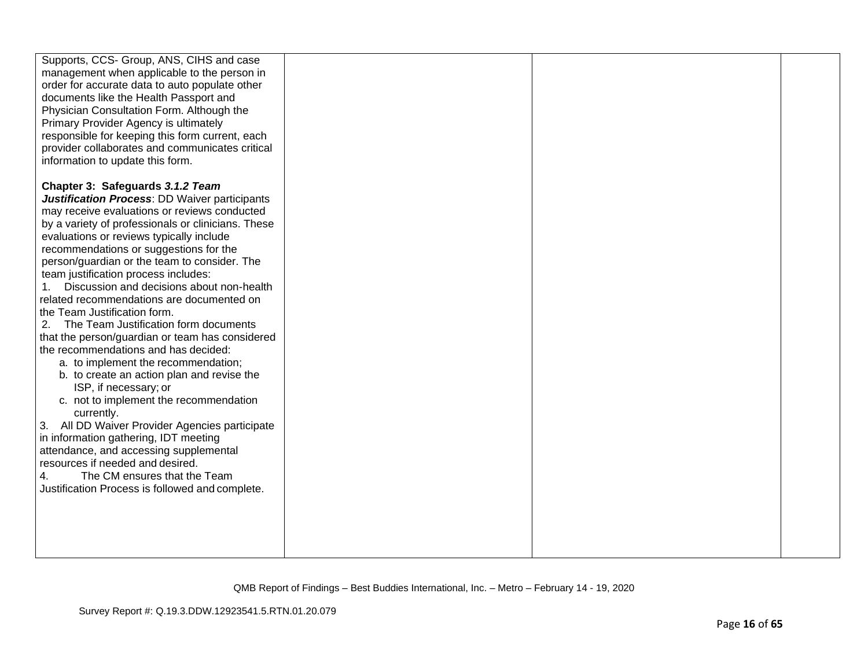| management when applicable to the person in<br>order for accurate data to auto populate other<br>documents like the Health Passport and<br>Physician Consultation Form. Although the<br>Primary Provider Agency is ultimately<br>responsible for keeping this form current, each<br>provider collaborates and communicates critical<br>information to update this form.<br>Chapter 3: Safeguards 3.1.2 Team<br><b>Justification Process: DD Waiver participants</b><br>may receive evaluations or reviews conducted<br>by a variety of professionals or clinicians. These<br>evaluations or reviews typically include<br>recommendations or suggestions for the<br>person/guardian or the team to consider. The<br>team justification process includes:<br>Discussion and decisions about non-health<br>related recommendations are documented on<br>the Team Justification form.<br>The Team Justification form documents<br>2.<br>that the person/guardian or team has considered<br>the recommendations and has decided:<br>a. to implement the recommendation;<br>b. to create an action plan and revise the<br>ISP, if necessary; or<br>c. not to implement the recommendation<br>currently.<br>3. All DD Waiver Provider Agencies participate<br>in information gathering, IDT meeting<br>attendance, and accessing supplemental<br>resources if needed and desired.<br>The CM ensures that the Team<br>4.<br>Justification Process is followed and complete. |                                          |  |  |
|---------------------------------------------------------------------------------------------------------------------------------------------------------------------------------------------------------------------------------------------------------------------------------------------------------------------------------------------------------------------------------------------------------------------------------------------------------------------------------------------------------------------------------------------------------------------------------------------------------------------------------------------------------------------------------------------------------------------------------------------------------------------------------------------------------------------------------------------------------------------------------------------------------------------------------------------------------------------------------------------------------------------------------------------------------------------------------------------------------------------------------------------------------------------------------------------------------------------------------------------------------------------------------------------------------------------------------------------------------------------------------------------------------------------------------------------------------------------|------------------------------------------|--|--|
|                                                                                                                                                                                                                                                                                                                                                                                                                                                                                                                                                                                                                                                                                                                                                                                                                                                                                                                                                                                                                                                                                                                                                                                                                                                                                                                                                                                                                                                                     | Supports, CCS- Group, ANS, CIHS and case |  |  |
|                                                                                                                                                                                                                                                                                                                                                                                                                                                                                                                                                                                                                                                                                                                                                                                                                                                                                                                                                                                                                                                                                                                                                                                                                                                                                                                                                                                                                                                                     |                                          |  |  |
|                                                                                                                                                                                                                                                                                                                                                                                                                                                                                                                                                                                                                                                                                                                                                                                                                                                                                                                                                                                                                                                                                                                                                                                                                                                                                                                                                                                                                                                                     |                                          |  |  |
|                                                                                                                                                                                                                                                                                                                                                                                                                                                                                                                                                                                                                                                                                                                                                                                                                                                                                                                                                                                                                                                                                                                                                                                                                                                                                                                                                                                                                                                                     |                                          |  |  |
|                                                                                                                                                                                                                                                                                                                                                                                                                                                                                                                                                                                                                                                                                                                                                                                                                                                                                                                                                                                                                                                                                                                                                                                                                                                                                                                                                                                                                                                                     |                                          |  |  |
|                                                                                                                                                                                                                                                                                                                                                                                                                                                                                                                                                                                                                                                                                                                                                                                                                                                                                                                                                                                                                                                                                                                                                                                                                                                                                                                                                                                                                                                                     |                                          |  |  |
|                                                                                                                                                                                                                                                                                                                                                                                                                                                                                                                                                                                                                                                                                                                                                                                                                                                                                                                                                                                                                                                                                                                                                                                                                                                                                                                                                                                                                                                                     |                                          |  |  |
|                                                                                                                                                                                                                                                                                                                                                                                                                                                                                                                                                                                                                                                                                                                                                                                                                                                                                                                                                                                                                                                                                                                                                                                                                                                                                                                                                                                                                                                                     |                                          |  |  |
|                                                                                                                                                                                                                                                                                                                                                                                                                                                                                                                                                                                                                                                                                                                                                                                                                                                                                                                                                                                                                                                                                                                                                                                                                                                                                                                                                                                                                                                                     |                                          |  |  |
|                                                                                                                                                                                                                                                                                                                                                                                                                                                                                                                                                                                                                                                                                                                                                                                                                                                                                                                                                                                                                                                                                                                                                                                                                                                                                                                                                                                                                                                                     |                                          |  |  |
|                                                                                                                                                                                                                                                                                                                                                                                                                                                                                                                                                                                                                                                                                                                                                                                                                                                                                                                                                                                                                                                                                                                                                                                                                                                                                                                                                                                                                                                                     |                                          |  |  |
|                                                                                                                                                                                                                                                                                                                                                                                                                                                                                                                                                                                                                                                                                                                                                                                                                                                                                                                                                                                                                                                                                                                                                                                                                                                                                                                                                                                                                                                                     |                                          |  |  |
|                                                                                                                                                                                                                                                                                                                                                                                                                                                                                                                                                                                                                                                                                                                                                                                                                                                                                                                                                                                                                                                                                                                                                                                                                                                                                                                                                                                                                                                                     |                                          |  |  |
|                                                                                                                                                                                                                                                                                                                                                                                                                                                                                                                                                                                                                                                                                                                                                                                                                                                                                                                                                                                                                                                                                                                                                                                                                                                                                                                                                                                                                                                                     |                                          |  |  |
|                                                                                                                                                                                                                                                                                                                                                                                                                                                                                                                                                                                                                                                                                                                                                                                                                                                                                                                                                                                                                                                                                                                                                                                                                                                                                                                                                                                                                                                                     |                                          |  |  |
|                                                                                                                                                                                                                                                                                                                                                                                                                                                                                                                                                                                                                                                                                                                                                                                                                                                                                                                                                                                                                                                                                                                                                                                                                                                                                                                                                                                                                                                                     |                                          |  |  |
|                                                                                                                                                                                                                                                                                                                                                                                                                                                                                                                                                                                                                                                                                                                                                                                                                                                                                                                                                                                                                                                                                                                                                                                                                                                                                                                                                                                                                                                                     |                                          |  |  |
|                                                                                                                                                                                                                                                                                                                                                                                                                                                                                                                                                                                                                                                                                                                                                                                                                                                                                                                                                                                                                                                                                                                                                                                                                                                                                                                                                                                                                                                                     |                                          |  |  |
|                                                                                                                                                                                                                                                                                                                                                                                                                                                                                                                                                                                                                                                                                                                                                                                                                                                                                                                                                                                                                                                                                                                                                                                                                                                                                                                                                                                                                                                                     |                                          |  |  |
|                                                                                                                                                                                                                                                                                                                                                                                                                                                                                                                                                                                                                                                                                                                                                                                                                                                                                                                                                                                                                                                                                                                                                                                                                                                                                                                                                                                                                                                                     |                                          |  |  |
|                                                                                                                                                                                                                                                                                                                                                                                                                                                                                                                                                                                                                                                                                                                                                                                                                                                                                                                                                                                                                                                                                                                                                                                                                                                                                                                                                                                                                                                                     |                                          |  |  |
|                                                                                                                                                                                                                                                                                                                                                                                                                                                                                                                                                                                                                                                                                                                                                                                                                                                                                                                                                                                                                                                                                                                                                                                                                                                                                                                                                                                                                                                                     |                                          |  |  |
|                                                                                                                                                                                                                                                                                                                                                                                                                                                                                                                                                                                                                                                                                                                                                                                                                                                                                                                                                                                                                                                                                                                                                                                                                                                                                                                                                                                                                                                                     |                                          |  |  |
|                                                                                                                                                                                                                                                                                                                                                                                                                                                                                                                                                                                                                                                                                                                                                                                                                                                                                                                                                                                                                                                                                                                                                                                                                                                                                                                                                                                                                                                                     |                                          |  |  |
|                                                                                                                                                                                                                                                                                                                                                                                                                                                                                                                                                                                                                                                                                                                                                                                                                                                                                                                                                                                                                                                                                                                                                                                                                                                                                                                                                                                                                                                                     |                                          |  |  |
|                                                                                                                                                                                                                                                                                                                                                                                                                                                                                                                                                                                                                                                                                                                                                                                                                                                                                                                                                                                                                                                                                                                                                                                                                                                                                                                                                                                                                                                                     |                                          |  |  |
|                                                                                                                                                                                                                                                                                                                                                                                                                                                                                                                                                                                                                                                                                                                                                                                                                                                                                                                                                                                                                                                                                                                                                                                                                                                                                                                                                                                                                                                                     |                                          |  |  |
|                                                                                                                                                                                                                                                                                                                                                                                                                                                                                                                                                                                                                                                                                                                                                                                                                                                                                                                                                                                                                                                                                                                                                                                                                                                                                                                                                                                                                                                                     |                                          |  |  |
|                                                                                                                                                                                                                                                                                                                                                                                                                                                                                                                                                                                                                                                                                                                                                                                                                                                                                                                                                                                                                                                                                                                                                                                                                                                                                                                                                                                                                                                                     |                                          |  |  |
|                                                                                                                                                                                                                                                                                                                                                                                                                                                                                                                                                                                                                                                                                                                                                                                                                                                                                                                                                                                                                                                                                                                                                                                                                                                                                                                                                                                                                                                                     |                                          |  |  |
|                                                                                                                                                                                                                                                                                                                                                                                                                                                                                                                                                                                                                                                                                                                                                                                                                                                                                                                                                                                                                                                                                                                                                                                                                                                                                                                                                                                                                                                                     |                                          |  |  |
|                                                                                                                                                                                                                                                                                                                                                                                                                                                                                                                                                                                                                                                                                                                                                                                                                                                                                                                                                                                                                                                                                                                                                                                                                                                                                                                                                                                                                                                                     |                                          |  |  |
|                                                                                                                                                                                                                                                                                                                                                                                                                                                                                                                                                                                                                                                                                                                                                                                                                                                                                                                                                                                                                                                                                                                                                                                                                                                                                                                                                                                                                                                                     |                                          |  |  |
|                                                                                                                                                                                                                                                                                                                                                                                                                                                                                                                                                                                                                                                                                                                                                                                                                                                                                                                                                                                                                                                                                                                                                                                                                                                                                                                                                                                                                                                                     |                                          |  |  |
|                                                                                                                                                                                                                                                                                                                                                                                                                                                                                                                                                                                                                                                                                                                                                                                                                                                                                                                                                                                                                                                                                                                                                                                                                                                                                                                                                                                                                                                                     |                                          |  |  |
|                                                                                                                                                                                                                                                                                                                                                                                                                                                                                                                                                                                                                                                                                                                                                                                                                                                                                                                                                                                                                                                                                                                                                                                                                                                                                                                                                                                                                                                                     |                                          |  |  |
|                                                                                                                                                                                                                                                                                                                                                                                                                                                                                                                                                                                                                                                                                                                                                                                                                                                                                                                                                                                                                                                                                                                                                                                                                                                                                                                                                                                                                                                                     |                                          |  |  |
|                                                                                                                                                                                                                                                                                                                                                                                                                                                                                                                                                                                                                                                                                                                                                                                                                                                                                                                                                                                                                                                                                                                                                                                                                                                                                                                                                                                                                                                                     |                                          |  |  |
|                                                                                                                                                                                                                                                                                                                                                                                                                                                                                                                                                                                                                                                                                                                                                                                                                                                                                                                                                                                                                                                                                                                                                                                                                                                                                                                                                                                                                                                                     |                                          |  |  |
|                                                                                                                                                                                                                                                                                                                                                                                                                                                                                                                                                                                                                                                                                                                                                                                                                                                                                                                                                                                                                                                                                                                                                                                                                                                                                                                                                                                                                                                                     |                                          |  |  |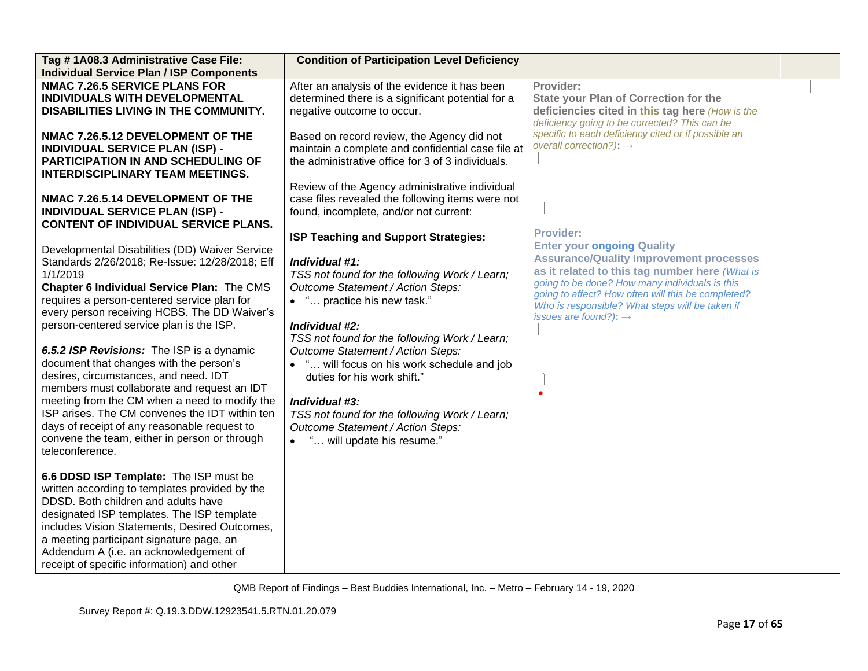| Tag #1A08.3 Administrative Case File:<br><b>Individual Service Plan / ISP Components</b>                                                                                                                                                                                                                                                                                                                                                                                                                                                                                                                                                                                                                     | <b>Condition of Participation Level Deficiency</b>                                                                                                                                                                                                                                                                                                                                                                                                                                                      |                                                                                                                                                                                                                                                                                                                                                           |  |
|--------------------------------------------------------------------------------------------------------------------------------------------------------------------------------------------------------------------------------------------------------------------------------------------------------------------------------------------------------------------------------------------------------------------------------------------------------------------------------------------------------------------------------------------------------------------------------------------------------------------------------------------------------------------------------------------------------------|---------------------------------------------------------------------------------------------------------------------------------------------------------------------------------------------------------------------------------------------------------------------------------------------------------------------------------------------------------------------------------------------------------------------------------------------------------------------------------------------------------|-----------------------------------------------------------------------------------------------------------------------------------------------------------------------------------------------------------------------------------------------------------------------------------------------------------------------------------------------------------|--|
| <b>NMAC 7.26.5 SERVICE PLANS FOR</b><br>INDIVIDUALS WITH DEVELOPMENTAL<br>DISABILITIES LIVING IN THE COMMUNITY.                                                                                                                                                                                                                                                                                                                                                                                                                                                                                                                                                                                              | After an analysis of the evidence it has been<br>determined there is a significant potential for a<br>negative outcome to occur.                                                                                                                                                                                                                                                                                                                                                                        | Provider:<br><b>State your Plan of Correction for the</b><br>deficiencies cited in this tag here (How is the<br>deficiency going to be corrected? This can be                                                                                                                                                                                             |  |
| NMAC 7.26.5.12 DEVELOPMENT OF THE<br><b>INDIVIDUAL SERVICE PLAN (ISP) -</b><br><b>PARTICIPATION IN AND SCHEDULING OF</b><br><b>INTERDISCIPLINARY TEAM MEETINGS.</b>                                                                                                                                                                                                                                                                                                                                                                                                                                                                                                                                          | Based on record review, the Agency did not<br>maintain a complete and confidential case file at<br>the administrative office for 3 of 3 individuals.                                                                                                                                                                                                                                                                                                                                                    | specific to each deficiency cited or if possible an<br>overall correction?): $\rightarrow$                                                                                                                                                                                                                                                                |  |
| NMAC 7.26.5.14 DEVELOPMENT OF THE<br><b>INDIVIDUAL SERVICE PLAN (ISP) -</b><br><b>CONTENT OF INDIVIDUAL SERVICE PLANS.</b>                                                                                                                                                                                                                                                                                                                                                                                                                                                                                                                                                                                   | Review of the Agency administrative individual<br>case files revealed the following items were not<br>found, incomplete, and/or not current:                                                                                                                                                                                                                                                                                                                                                            |                                                                                                                                                                                                                                                                                                                                                           |  |
| Developmental Disabilities (DD) Waiver Service<br>Standards 2/26/2018; Re-Issue: 12/28/2018; Eff<br>1/1/2019<br>Chapter 6 Individual Service Plan: The CMS<br>requires a person-centered service plan for<br>every person receiving HCBS. The DD Waiver's<br>person-centered service plan is the ISP.<br>6.5.2 ISP Revisions: The ISP is a dynamic<br>document that changes with the person's<br>desires, circumstances, and need. IDT<br>members must collaborate and request an IDT<br>meeting from the CM when a need to modify the<br>ISP arises. The CM convenes the IDT within ten<br>days of receipt of any reasonable request to<br>convene the team, either in person or through<br>teleconference. | ISP Teaching and Support Strategies:<br>Individual #1:<br>TSS not found for the following Work / Learn;<br>Outcome Statement / Action Steps:<br>• " practice his new task."<br>Individual #2:<br>TSS not found for the following Work / Learn;<br>Outcome Statement / Action Steps:<br>• " will focus on his work schedule and job<br>duties for his work shift."<br>Individual #3:<br>TSS not found for the following Work / Learn;<br>Outcome Statement / Action Steps:<br>" will update his resume." | <b>Provider:</b><br><b>Enter your ongoing Quality</b><br><b>Assurance/Quality Improvement processes</b><br>as it related to this tag number here (What is<br>going to be done? How many individuals is this<br>going to affect? How often will this be completed?<br>Who is responsible? What steps will be taken if<br>issues are found?): $\rightarrow$ |  |
| 6.6 DDSD ISP Template: The ISP must be<br>written according to templates provided by the<br>DDSD. Both children and adults have<br>designated ISP templates. The ISP template<br>includes Vision Statements, Desired Outcomes,<br>a meeting participant signature page, an<br>Addendum A (i.e. an acknowledgement of<br>receipt of specific information) and other                                                                                                                                                                                                                                                                                                                                           |                                                                                                                                                                                                                                                                                                                                                                                                                                                                                                         |                                                                                                                                                                                                                                                                                                                                                           |  |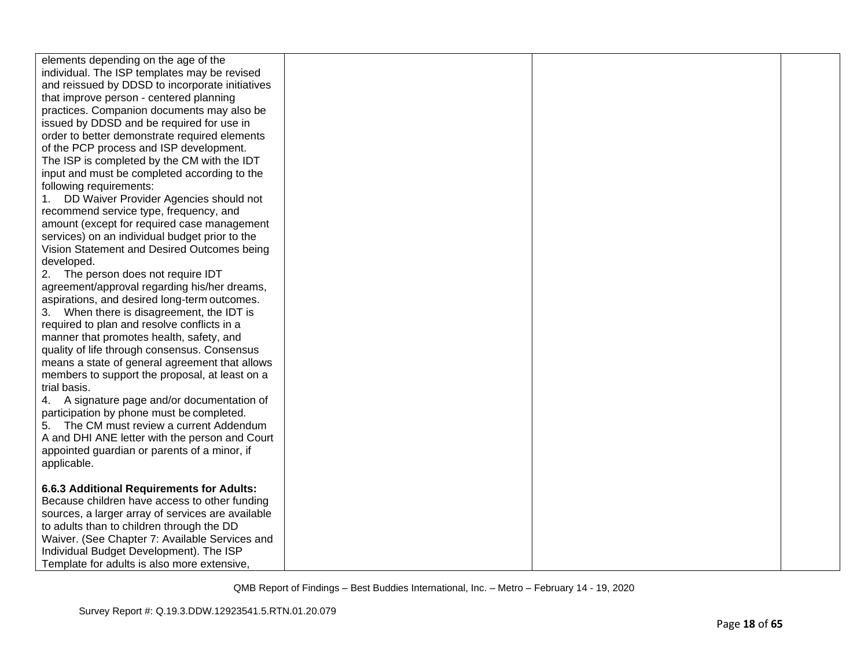| elements depending on the age of the<br>individual. The ISP templates may be revised<br>and reissued by DDSD to incorporate initiatives<br>that improve person - centered planning<br>practices. Companion documents may also be<br>issued by DDSD and be required for use in<br>order to better demonstrate required elements<br>of the PCP process and ISP development.<br>The ISP is completed by the CM with the IDT<br>input and must be completed according to the<br>following requirements:<br>DD Waiver Provider Agencies should not<br>recommend service type, frequency, and<br>amount (except for required case management<br>services) on an individual budget prior to the<br>Vision Statement and Desired Outcomes being<br>developed.<br>The person does not require IDT<br>agreement/approval regarding his/her dreams,<br>aspirations, and desired long-term outcomes.<br>3. When there is disagreement, the IDT is<br>required to plan and resolve conflicts in a<br>manner that promotes health, safety, and<br>quality of life through consensus. Consensus<br>means a state of general agreement that allows<br>members to support the proposal, at least on a<br>trial basis. |  |  |
|------------------------------------------------------------------------------------------------------------------------------------------------------------------------------------------------------------------------------------------------------------------------------------------------------------------------------------------------------------------------------------------------------------------------------------------------------------------------------------------------------------------------------------------------------------------------------------------------------------------------------------------------------------------------------------------------------------------------------------------------------------------------------------------------------------------------------------------------------------------------------------------------------------------------------------------------------------------------------------------------------------------------------------------------------------------------------------------------------------------------------------------------------------------------------------------------------|--|--|
|                                                                                                                                                                                                                                                                                                                                                                                                                                                                                                                                                                                                                                                                                                                                                                                                                                                                                                                                                                                                                                                                                                                                                                                                      |  |  |
|                                                                                                                                                                                                                                                                                                                                                                                                                                                                                                                                                                                                                                                                                                                                                                                                                                                                                                                                                                                                                                                                                                                                                                                                      |  |  |
|                                                                                                                                                                                                                                                                                                                                                                                                                                                                                                                                                                                                                                                                                                                                                                                                                                                                                                                                                                                                                                                                                                                                                                                                      |  |  |
|                                                                                                                                                                                                                                                                                                                                                                                                                                                                                                                                                                                                                                                                                                                                                                                                                                                                                                                                                                                                                                                                                                                                                                                                      |  |  |
|                                                                                                                                                                                                                                                                                                                                                                                                                                                                                                                                                                                                                                                                                                                                                                                                                                                                                                                                                                                                                                                                                                                                                                                                      |  |  |
|                                                                                                                                                                                                                                                                                                                                                                                                                                                                                                                                                                                                                                                                                                                                                                                                                                                                                                                                                                                                                                                                                                                                                                                                      |  |  |
|                                                                                                                                                                                                                                                                                                                                                                                                                                                                                                                                                                                                                                                                                                                                                                                                                                                                                                                                                                                                                                                                                                                                                                                                      |  |  |
|                                                                                                                                                                                                                                                                                                                                                                                                                                                                                                                                                                                                                                                                                                                                                                                                                                                                                                                                                                                                                                                                                                                                                                                                      |  |  |
|                                                                                                                                                                                                                                                                                                                                                                                                                                                                                                                                                                                                                                                                                                                                                                                                                                                                                                                                                                                                                                                                                                                                                                                                      |  |  |
|                                                                                                                                                                                                                                                                                                                                                                                                                                                                                                                                                                                                                                                                                                                                                                                                                                                                                                                                                                                                                                                                                                                                                                                                      |  |  |
|                                                                                                                                                                                                                                                                                                                                                                                                                                                                                                                                                                                                                                                                                                                                                                                                                                                                                                                                                                                                                                                                                                                                                                                                      |  |  |
| 4. A signature page and/or documentation of                                                                                                                                                                                                                                                                                                                                                                                                                                                                                                                                                                                                                                                                                                                                                                                                                                                                                                                                                                                                                                                                                                                                                          |  |  |
| participation by phone must be completed.<br>5. The CM must review a current Addendum                                                                                                                                                                                                                                                                                                                                                                                                                                                                                                                                                                                                                                                                                                                                                                                                                                                                                                                                                                                                                                                                                                                |  |  |
| A and DHI ANE letter with the person and Court                                                                                                                                                                                                                                                                                                                                                                                                                                                                                                                                                                                                                                                                                                                                                                                                                                                                                                                                                                                                                                                                                                                                                       |  |  |
| appointed guardian or parents of a minor, if                                                                                                                                                                                                                                                                                                                                                                                                                                                                                                                                                                                                                                                                                                                                                                                                                                                                                                                                                                                                                                                                                                                                                         |  |  |
| applicable.                                                                                                                                                                                                                                                                                                                                                                                                                                                                                                                                                                                                                                                                                                                                                                                                                                                                                                                                                                                                                                                                                                                                                                                          |  |  |
|                                                                                                                                                                                                                                                                                                                                                                                                                                                                                                                                                                                                                                                                                                                                                                                                                                                                                                                                                                                                                                                                                                                                                                                                      |  |  |
| 6.6.3 Additional Requirements for Adults:                                                                                                                                                                                                                                                                                                                                                                                                                                                                                                                                                                                                                                                                                                                                                                                                                                                                                                                                                                                                                                                                                                                                                            |  |  |
| Because children have access to other funding<br>sources, a larger array of services are available                                                                                                                                                                                                                                                                                                                                                                                                                                                                                                                                                                                                                                                                                                                                                                                                                                                                                                                                                                                                                                                                                                   |  |  |
| to adults than to children through the DD                                                                                                                                                                                                                                                                                                                                                                                                                                                                                                                                                                                                                                                                                                                                                                                                                                                                                                                                                                                                                                                                                                                                                            |  |  |
| Waiver. (See Chapter 7: Available Services and                                                                                                                                                                                                                                                                                                                                                                                                                                                                                                                                                                                                                                                                                                                                                                                                                                                                                                                                                                                                                                                                                                                                                       |  |  |
| Individual Budget Development). The ISP                                                                                                                                                                                                                                                                                                                                                                                                                                                                                                                                                                                                                                                                                                                                                                                                                                                                                                                                                                                                                                                                                                                                                              |  |  |
| Template for adults is also more extensive,                                                                                                                                                                                                                                                                                                                                                                                                                                                                                                                                                                                                                                                                                                                                                                                                                                                                                                                                                                                                                                                                                                                                                          |  |  |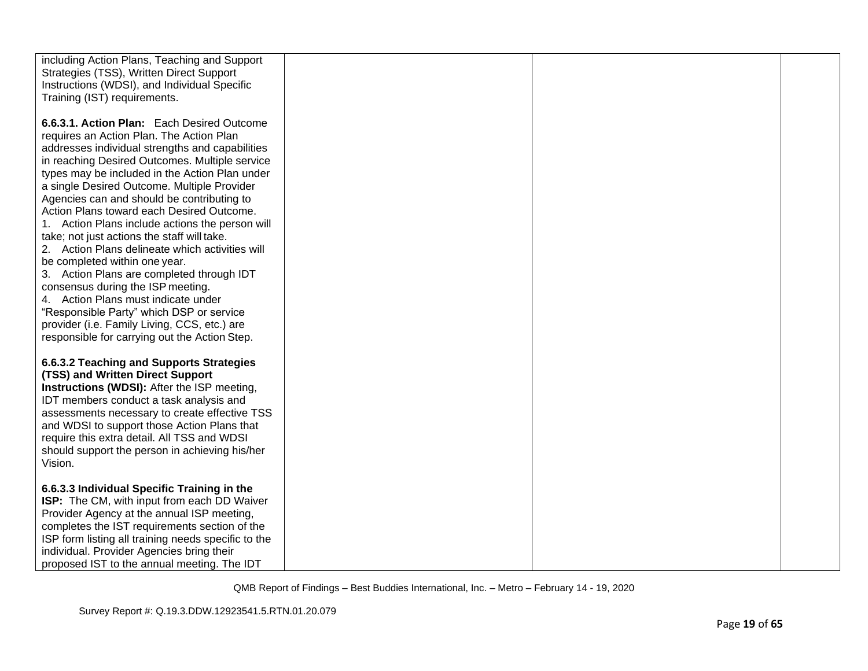| including Action Plans, Teaching and Support<br>Strategies (TSS), Written Direct Support<br>Instructions (WDSI), and Individual Specific<br>Training (IST) requirements.                                                                                                                                                                                                                                                                                                                                                                                                                                                                                                                                                                                                                                                                            |  |  |
|-----------------------------------------------------------------------------------------------------------------------------------------------------------------------------------------------------------------------------------------------------------------------------------------------------------------------------------------------------------------------------------------------------------------------------------------------------------------------------------------------------------------------------------------------------------------------------------------------------------------------------------------------------------------------------------------------------------------------------------------------------------------------------------------------------------------------------------------------------|--|--|
| 6.6.3.1. Action Plan: Each Desired Outcome<br>requires an Action Plan. The Action Plan<br>addresses individual strengths and capabilities<br>in reaching Desired Outcomes. Multiple service<br>types may be included in the Action Plan under<br>a single Desired Outcome. Multiple Provider<br>Agencies can and should be contributing to<br>Action Plans toward each Desired Outcome.<br>1. Action Plans include actions the person will<br>take; not just actions the staff will take.<br>2. Action Plans delineate which activities will<br>be completed within one year.<br>3. Action Plans are completed through IDT<br>consensus during the ISP meeting.<br>4. Action Plans must indicate under<br>"Responsible Party" which DSP or service<br>provider (i.e. Family Living, CCS, etc.) are<br>responsible for carrying out the Action Step. |  |  |
| 6.6.3.2 Teaching and Supports Strategies<br>(TSS) and Written Direct Support<br>Instructions (WDSI): After the ISP meeting,<br>IDT members conduct a task analysis and<br>assessments necessary to create effective TSS<br>and WDSI to support those Action Plans that<br>require this extra detail. All TSS and WDSI<br>should support the person in achieving his/her<br>Vision.                                                                                                                                                                                                                                                                                                                                                                                                                                                                  |  |  |
| 6.6.3.3 Individual Specific Training in the<br>ISP: The CM, with input from each DD Waiver<br>Provider Agency at the annual ISP meeting,<br>completes the IST requirements section of the<br>ISP form listing all training needs specific to the<br>individual. Provider Agencies bring their<br>proposed IST to the annual meeting. The IDT                                                                                                                                                                                                                                                                                                                                                                                                                                                                                                        |  |  |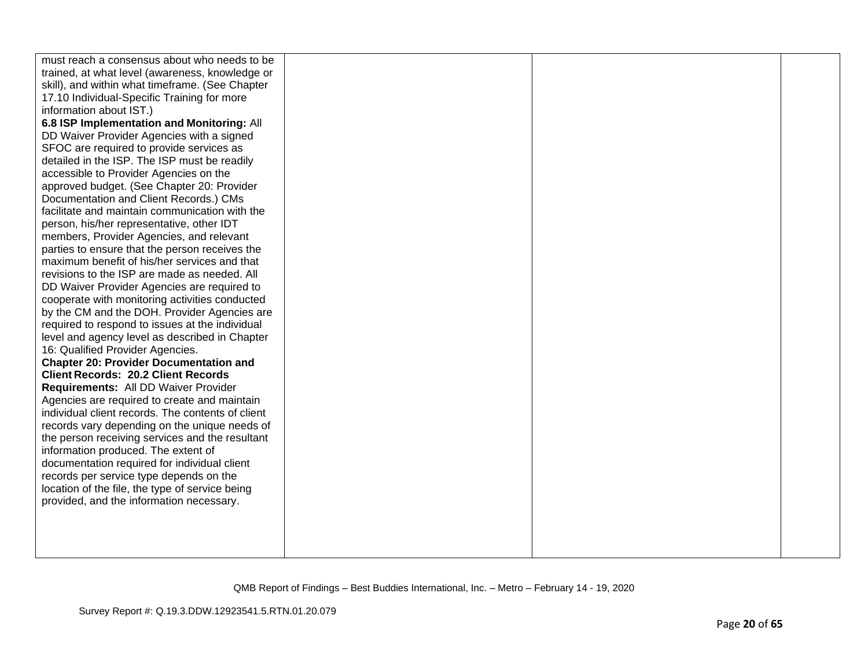| must reach a consensus about who needs to be      |  |  |
|---------------------------------------------------|--|--|
| trained, at what level (awareness, knowledge or   |  |  |
| skill), and within what timeframe. (See Chapter   |  |  |
| 17.10 Individual-Specific Training for more       |  |  |
| information about IST.)                           |  |  |
| 6.8 ISP Implementation and Monitoring: All        |  |  |
| DD Waiver Provider Agencies with a signed         |  |  |
| SFOC are required to provide services as          |  |  |
| detailed in the ISP. The ISP must be readily      |  |  |
| accessible to Provider Agencies on the            |  |  |
| approved budget. (See Chapter 20: Provider        |  |  |
| Documentation and Client Records.) CMs            |  |  |
| facilitate and maintain communication with the    |  |  |
| person, his/her representative, other IDT         |  |  |
| members, Provider Agencies, and relevant          |  |  |
| parties to ensure that the person receives the    |  |  |
| maximum benefit of his/her services and that      |  |  |
| revisions to the ISP are made as needed. All      |  |  |
| DD Waiver Provider Agencies are required to       |  |  |
| cooperate with monitoring activities conducted    |  |  |
| by the CM and the DOH. Provider Agencies are      |  |  |
| required to respond to issues at the individual   |  |  |
| level and agency level as described in Chapter    |  |  |
| 16: Qualified Provider Agencies.                  |  |  |
| <b>Chapter 20: Provider Documentation and</b>     |  |  |
| <b>Client Records: 20.2 Client Records</b>        |  |  |
| Requirements: All DD Waiver Provider              |  |  |
| Agencies are required to create and maintain      |  |  |
| individual client records. The contents of client |  |  |
| records vary depending on the unique needs of     |  |  |
| the person receiving services and the resultant   |  |  |
| information produced. The extent of               |  |  |
| documentation required for individual client      |  |  |
| records per service type depends on the           |  |  |
| location of the file, the type of service being   |  |  |
| provided, and the information necessary.          |  |  |
|                                                   |  |  |
|                                                   |  |  |
|                                                   |  |  |
|                                                   |  |  |
|                                                   |  |  |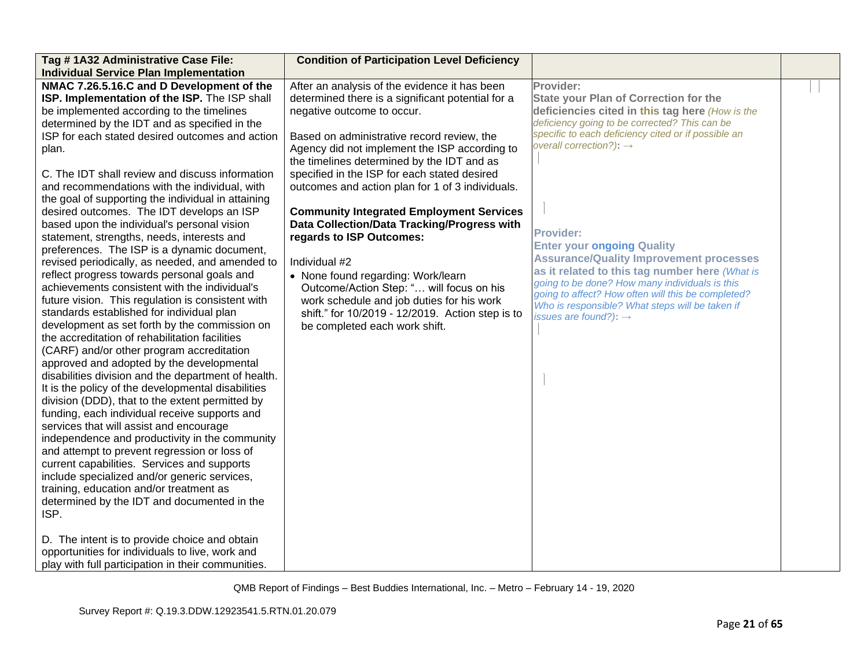| Tag #1A32 Administrative Case File:                 | <b>Condition of Participation Level Deficiency</b> |                                                                                                      |  |
|-----------------------------------------------------|----------------------------------------------------|------------------------------------------------------------------------------------------------------|--|
| <b>Individual Service Plan Implementation</b>       |                                                    |                                                                                                      |  |
| NMAC 7.26.5.16.C and D Development of the           | After an analysis of the evidence it has been      | Provider:                                                                                            |  |
| ISP. Implementation of the ISP. The ISP shall       | determined there is a significant potential for a  | <b>State your Plan of Correction for the</b>                                                         |  |
| be implemented according to the timelines           | negative outcome to occur.                         | deficiencies cited in this tag here (How is the                                                      |  |
| determined by the IDT and as specified in the       |                                                    | deficiency going to be corrected? This can be                                                        |  |
| ISP for each stated desired outcomes and action     | Based on administrative record review, the         | specific to each deficiency cited or if possible an                                                  |  |
| plan.                                               | Agency did not implement the ISP according to      | overall correction?): $\rightarrow$                                                                  |  |
|                                                     | the timelines determined by the IDT and as         |                                                                                                      |  |
| C. The IDT shall review and discuss information     | specified in the ISP for each stated desired       |                                                                                                      |  |
| and recommendations with the individual, with       | outcomes and action plan for 1 of 3 individuals.   |                                                                                                      |  |
| the goal of supporting the individual in attaining  |                                                    |                                                                                                      |  |
| desired outcomes. The IDT develops an ISP           | <b>Community Integrated Employment Services</b>    |                                                                                                      |  |
| based upon the individual's personal vision         | Data Collection/Data Tracking/Progress with        |                                                                                                      |  |
| statement, strengths, needs, interests and          | regards to ISP Outcomes:                           | <b>Provider:</b>                                                                                     |  |
| preferences. The ISP is a dynamic document,         |                                                    | <b>Enter your ongoing Quality</b>                                                                    |  |
| revised periodically, as needed, and amended to     | Individual #2                                      | <b>Assurance/Quality Improvement processes</b>                                                       |  |
| reflect progress towards personal goals and         | • None found regarding: Work/learn                 | as it related to this tag number here (What is                                                       |  |
| achievements consistent with the individual's       | Outcome/Action Step: " will focus on his           | going to be done? How many individuals is this<br>going to affect? How often will this be completed? |  |
| future vision. This regulation is consistent with   | work schedule and job duties for his work          | Who is responsible? What steps will be taken if                                                      |  |
| standards established for individual plan           | shift." for 10/2019 - 12/2019. Action step is to   | issues are found?): $\rightarrow$                                                                    |  |
| development as set forth by the commission on       | be completed each work shift.                      |                                                                                                      |  |
| the accreditation of rehabilitation facilities      |                                                    |                                                                                                      |  |
| (CARF) and/or other program accreditation           |                                                    |                                                                                                      |  |
| approved and adopted by the developmental           |                                                    |                                                                                                      |  |
| disabilities division and the department of health. |                                                    |                                                                                                      |  |
| It is the policy of the developmental disabilities  |                                                    |                                                                                                      |  |
| division (DDD), that to the extent permitted by     |                                                    |                                                                                                      |  |
| funding, each individual receive supports and       |                                                    |                                                                                                      |  |
| services that will assist and encourage             |                                                    |                                                                                                      |  |
| independence and productivity in the community      |                                                    |                                                                                                      |  |
| and attempt to prevent regression or loss of        |                                                    |                                                                                                      |  |
| current capabilities. Services and supports         |                                                    |                                                                                                      |  |
| include specialized and/or generic services,        |                                                    |                                                                                                      |  |
| training, education and/or treatment as             |                                                    |                                                                                                      |  |
| determined by the IDT and documented in the         |                                                    |                                                                                                      |  |
| ISP.                                                |                                                    |                                                                                                      |  |
|                                                     |                                                    |                                                                                                      |  |
| D. The intent is to provide choice and obtain       |                                                    |                                                                                                      |  |
| opportunities for individuals to live, work and     |                                                    |                                                                                                      |  |
| play with full participation in their communities.  |                                                    |                                                                                                      |  |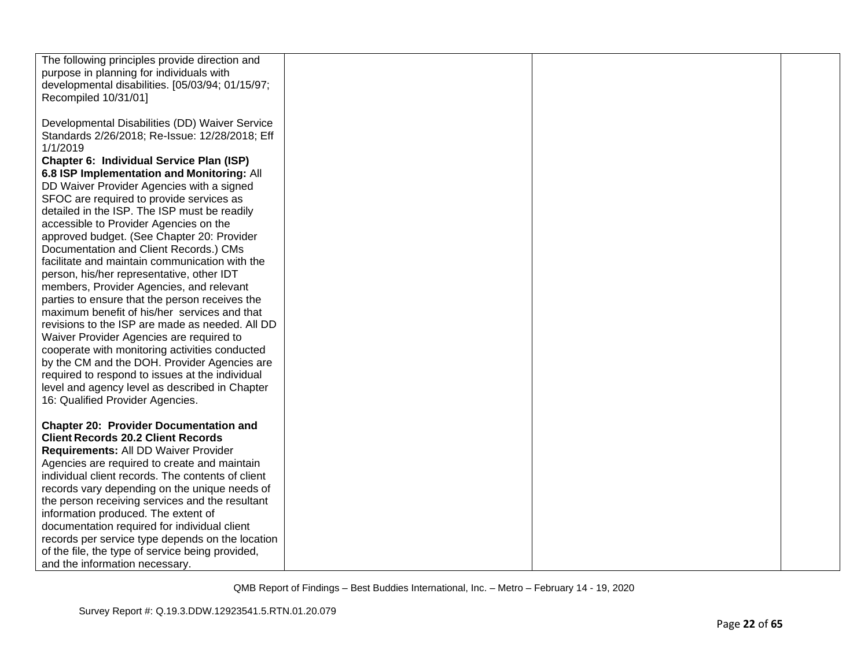| The following principles provide direction and    |  |  |
|---------------------------------------------------|--|--|
| purpose in planning for individuals with          |  |  |
| developmental disabilities. [05/03/94; 01/15/97;  |  |  |
| Recompiled 10/31/01]                              |  |  |
|                                                   |  |  |
| Developmental Disabilities (DD) Waiver Service    |  |  |
| Standards 2/26/2018; Re-Issue: 12/28/2018; Eff    |  |  |
| 1/1/2019                                          |  |  |
| Chapter 6: Individual Service Plan (ISP)          |  |  |
| 6.8 ISP Implementation and Monitoring: All        |  |  |
|                                                   |  |  |
| DD Waiver Provider Agencies with a signed         |  |  |
| SFOC are required to provide services as          |  |  |
| detailed in the ISP. The ISP must be readily      |  |  |
| accessible to Provider Agencies on the            |  |  |
| approved budget. (See Chapter 20: Provider        |  |  |
| Documentation and Client Records.) CMs            |  |  |
| facilitate and maintain communication with the    |  |  |
| person, his/her representative, other IDT         |  |  |
| members, Provider Agencies, and relevant          |  |  |
| parties to ensure that the person receives the    |  |  |
| maximum benefit of his/her services and that      |  |  |
| revisions to the ISP are made as needed. All DD   |  |  |
| Waiver Provider Agencies are required to          |  |  |
| cooperate with monitoring activities conducted    |  |  |
| by the CM and the DOH. Provider Agencies are      |  |  |
| required to respond to issues at the individual   |  |  |
| level and agency level as described in Chapter    |  |  |
| 16: Qualified Provider Agencies.                  |  |  |
|                                                   |  |  |
| <b>Chapter 20: Provider Documentation and</b>     |  |  |
| <b>Client Records 20.2 Client Records</b>         |  |  |
| Requirements: All DD Waiver Provider              |  |  |
| Agencies are required to create and maintain      |  |  |
| individual client records. The contents of client |  |  |
| records vary depending on the unique needs of     |  |  |
| the person receiving services and the resultant   |  |  |
| information produced. The extent of               |  |  |
| documentation required for individual client      |  |  |
| records per service type depends on the location  |  |  |
| of the file, the type of service being provided,  |  |  |
| and the information necessary.                    |  |  |
|                                                   |  |  |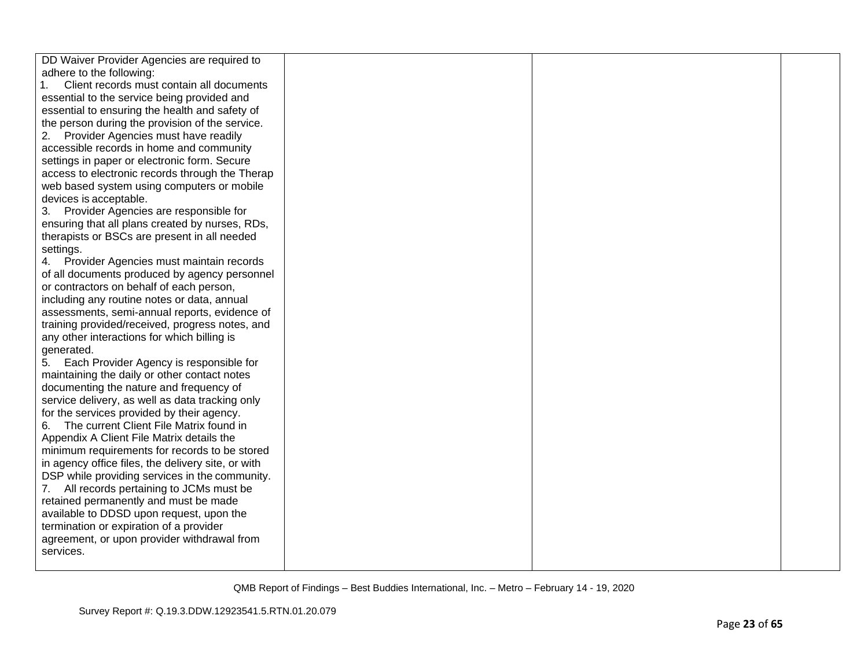| DD Waiver Provider Agencies are required to        |  |  |
|----------------------------------------------------|--|--|
| adhere to the following:                           |  |  |
| Client records must contain all documents<br>1.    |  |  |
| essential to the service being provided and        |  |  |
| essential to ensuring the health and safety of     |  |  |
| the person during the provision of the service.    |  |  |
| Provider Agencies must have readily<br>2.          |  |  |
| accessible records in home and community           |  |  |
| settings in paper or electronic form. Secure       |  |  |
| access to electronic records through the Therap    |  |  |
| web based system using computers or mobile         |  |  |
| devices is acceptable.                             |  |  |
| 3. Provider Agencies are responsible for           |  |  |
| ensuring that all plans created by nurses, RDs,    |  |  |
| therapists or BSCs are present in all needed       |  |  |
| settings.                                          |  |  |
| 4. Provider Agencies must maintain records         |  |  |
| of all documents produced by agency personnel      |  |  |
| or contractors on behalf of each person,           |  |  |
| including any routine notes or data, annual        |  |  |
| assessments, semi-annual reports, evidence of      |  |  |
| training provided/received, progress notes, and    |  |  |
| any other interactions for which billing is        |  |  |
| generated.                                         |  |  |
| 5. Each Provider Agency is responsible for         |  |  |
| maintaining the daily or other contact notes       |  |  |
| documenting the nature and frequency of            |  |  |
| service delivery, as well as data tracking only    |  |  |
| for the services provided by their agency.         |  |  |
| The current Client File Matrix found in<br>6.      |  |  |
| Appendix A Client File Matrix details the          |  |  |
| minimum requirements for records to be stored      |  |  |
| in agency office files, the delivery site, or with |  |  |
| DSP while providing services in the community.     |  |  |
| All records pertaining to JCMs must be             |  |  |
| retained permanently and must be made              |  |  |
| available to DDSD upon request, upon the           |  |  |
| termination or expiration of a provider            |  |  |
| agreement, or upon provider withdrawal from        |  |  |
| services.                                          |  |  |
|                                                    |  |  |
|                                                    |  |  |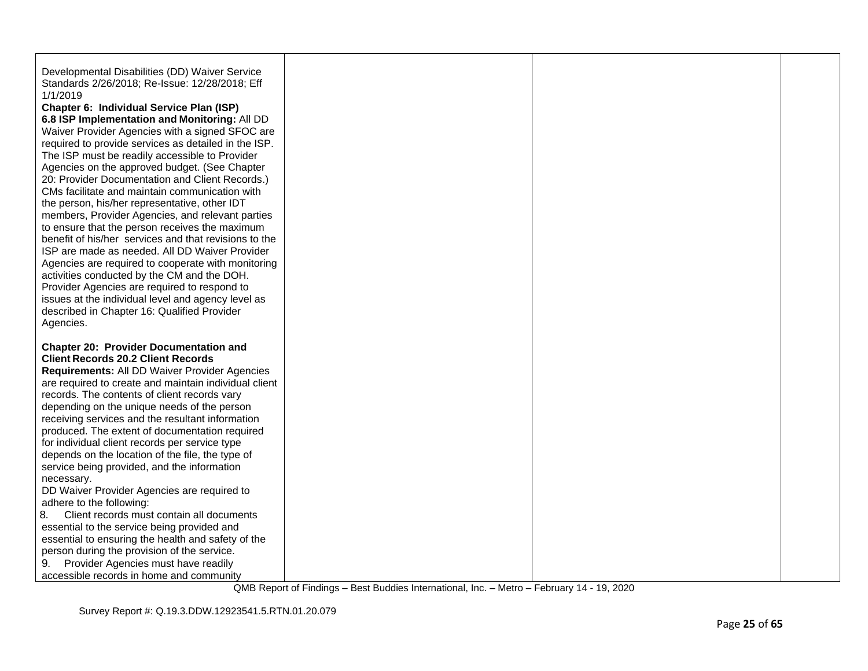| Developmental Disabilities (DD) Waiver Service<br>Standards 2/26/2018; Re-Issue: 12/28/2018; Eff<br>1/1/2019<br>Chapter 6: Individual Service Plan (ISP)<br>6.8 ISP Implementation and Monitoring: All DD<br>Waiver Provider Agencies with a signed SFOC are<br>required to provide services as detailed in the ISP.<br>The ISP must be readily accessible to Provider<br>Agencies on the approved budget. (See Chapter<br>20: Provider Documentation and Client Records.)<br>CMs facilitate and maintain communication with<br>the person, his/her representative, other IDT<br>members, Provider Agencies, and relevant parties<br>to ensure that the person receives the maximum<br>benefit of his/her services and that revisions to the<br>ISP are made as needed. All DD Waiver Provider<br>Agencies are required to cooperate with monitoring<br>activities conducted by the CM and the DOH.<br>Provider Agencies are required to respond to<br>issues at the individual level and agency level as<br>described in Chapter 16: Qualified Provider<br>Agencies. |  |  |
|-----------------------------------------------------------------------------------------------------------------------------------------------------------------------------------------------------------------------------------------------------------------------------------------------------------------------------------------------------------------------------------------------------------------------------------------------------------------------------------------------------------------------------------------------------------------------------------------------------------------------------------------------------------------------------------------------------------------------------------------------------------------------------------------------------------------------------------------------------------------------------------------------------------------------------------------------------------------------------------------------------------------------------------------------------------------------|--|--|
| <b>Chapter 20: Provider Documentation and</b><br><b>Client Records 20.2 Client Records</b><br>Requirements: All DD Waiver Provider Agencies<br>are required to create and maintain individual client<br>records. The contents of client records vary<br>depending on the unique needs of the person<br>receiving services and the resultant information<br>produced. The extent of documentation required<br>for individual client records per service type<br>depends on the location of the file, the type of<br>service being provided, and the information<br>necessary.<br>DD Waiver Provider Agencies are required to<br>adhere to the following:<br>8.<br>Client records must contain all documents<br>essential to the service being provided and<br>essential to ensuring the health and safety of the<br>person during the provision of the service.<br>Provider Agencies must have readily<br>9.<br>accessible records in home and community                                                                                                               |  |  |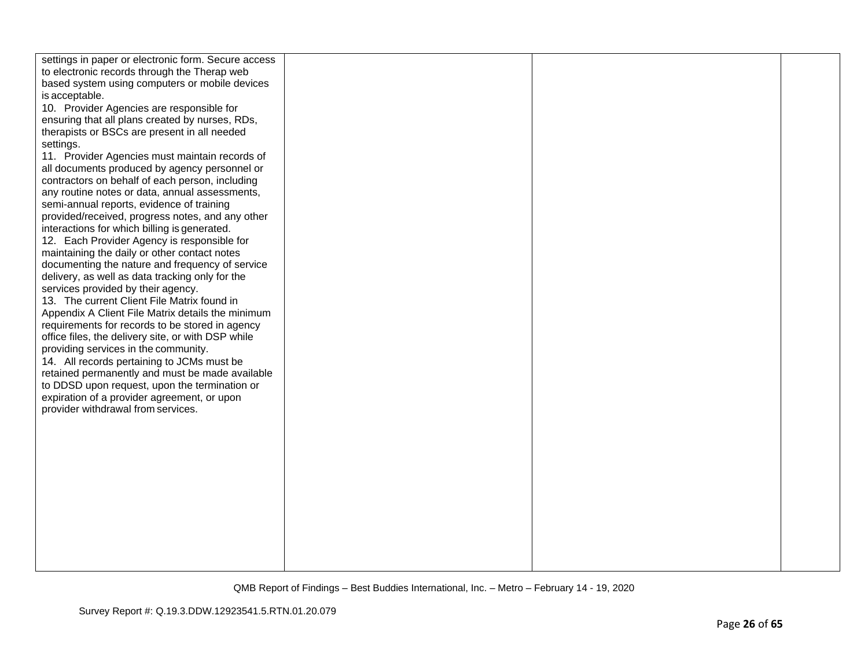| settings in paper or electronic form. Secure access |  |  |
|-----------------------------------------------------|--|--|
| to electronic records through the Therap web        |  |  |
| based system using computers or mobile devices      |  |  |
| is acceptable.                                      |  |  |
| 10. Provider Agencies are responsible for           |  |  |
| ensuring that all plans created by nurses, RDs,     |  |  |
| therapists or BSCs are present in all needed        |  |  |
| settings.                                           |  |  |
| 11. Provider Agencies must maintain records of      |  |  |
| all documents produced by agency personnel or       |  |  |
| contractors on behalf of each person, including     |  |  |
| any routine notes or data, annual assessments,      |  |  |
| semi-annual reports, evidence of training           |  |  |
| provided/received, progress notes, and any other    |  |  |
| interactions for which billing is generated.        |  |  |
| 12. Each Provider Agency is responsible for         |  |  |
| maintaining the daily or other contact notes        |  |  |
| documenting the nature and frequency of service     |  |  |
| delivery, as well as data tracking only for the     |  |  |
| services provided by their agency.                  |  |  |
| 13. The current Client File Matrix found in         |  |  |
| Appendix A Client File Matrix details the minimum   |  |  |
| requirements for records to be stored in agency     |  |  |
| office files, the delivery site, or with DSP while  |  |  |
| providing services in the community.                |  |  |
| 14. All records pertaining to JCMs must be          |  |  |
| retained permanently and must be made available     |  |  |
| to DDSD upon request, upon the termination or       |  |  |
| expiration of a provider agreement, or upon         |  |  |
| provider withdrawal from services.                  |  |  |
|                                                     |  |  |
|                                                     |  |  |
|                                                     |  |  |
|                                                     |  |  |
|                                                     |  |  |
|                                                     |  |  |
|                                                     |  |  |
|                                                     |  |  |
|                                                     |  |  |
|                                                     |  |  |
|                                                     |  |  |
|                                                     |  |  |
|                                                     |  |  |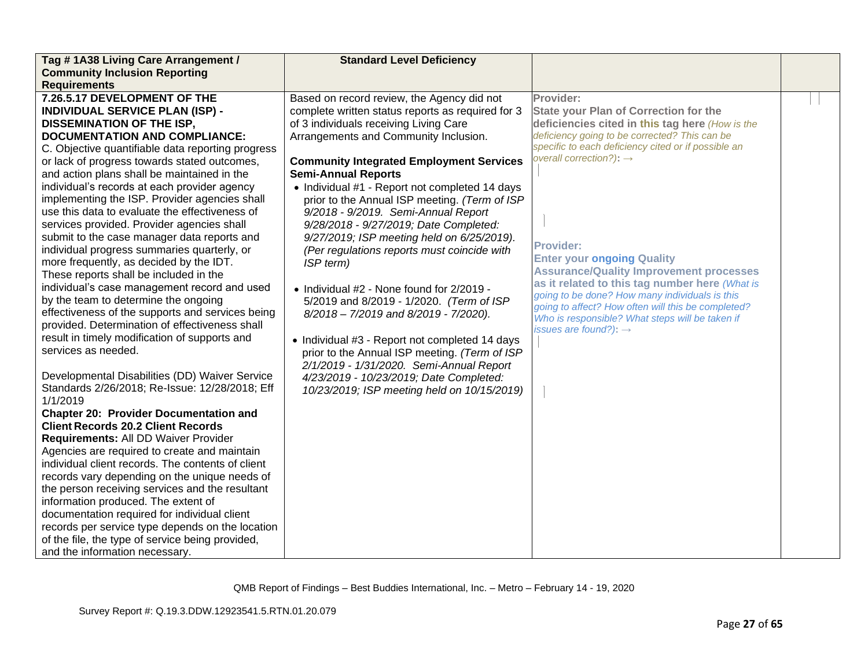| Tag #1A38 Living Care Arrangement /                                                               | <b>Standard Level Deficiency</b>                  |                                                     |  |
|---------------------------------------------------------------------------------------------------|---------------------------------------------------|-----------------------------------------------------|--|
| <b>Community Inclusion Reporting</b>                                                              |                                                   |                                                     |  |
| <b>Requirements</b>                                                                               |                                                   |                                                     |  |
| 7.26.5.17 DEVELOPMENT OF THE                                                                      | Based on record review, the Agency did not        | Provider:                                           |  |
| <b>INDIVIDUAL SERVICE PLAN (ISP) -</b>                                                            | complete written status reports as required for 3 | <b>State your Plan of Correction for the</b>        |  |
| <b>DISSEMINATION OF THE ISP,</b>                                                                  | of 3 individuals receiving Living Care            | deficiencies cited in this tag here (How is the     |  |
| <b>DOCUMENTATION AND COMPLIANCE:</b>                                                              | Arrangements and Community Inclusion.             | deficiency going to be corrected? This can be       |  |
| C. Objective quantifiable data reporting progress                                                 |                                                   | specific to each deficiency cited or if possible an |  |
| or lack of progress towards stated outcomes,                                                      | <b>Community Integrated Employment Services</b>   | overall correction?): $\rightarrow$                 |  |
| and action plans shall be maintained in the                                                       | <b>Semi-Annual Reports</b>                        |                                                     |  |
| individual's records at each provider agency                                                      | • Individual #1 - Report not completed 14 days    |                                                     |  |
| implementing the ISP. Provider agencies shall                                                     | prior to the Annual ISP meeting. (Term of ISP     |                                                     |  |
| use this data to evaluate the effectiveness of                                                    | 9/2018 - 9/2019. Semi-Annual Report               |                                                     |  |
| services provided. Provider agencies shall                                                        | 9/28/2018 - 9/27/2019; Date Completed:            |                                                     |  |
| submit to the case manager data reports and                                                       | 9/27/2019; ISP meeting held on 6/25/2019).        | <b>Provider:</b>                                    |  |
| individual progress summaries quarterly, or                                                       | (Per regulations reports must coincide with       | <b>Enter your ongoing Quality</b>                   |  |
| more frequently, as decided by the IDT.                                                           | ISP term)                                         | <b>Assurance/Quality Improvement processes</b>      |  |
| These reports shall be included in the                                                            |                                                   | as it related to this tag number here (What is      |  |
| individual's case management record and used                                                      | • Individual #2 - None found for 2/2019 -         | going to be done? How many individuals is this      |  |
| by the team to determine the ongoing                                                              | 5/2019 and 8/2019 - 1/2020. (Term of ISP          | going to affect? How often will this be completed?  |  |
| effectiveness of the supports and services being                                                  | 8/2018 - 7/2019 and 8/2019 - 7/2020).             | Who is responsible? What steps will be taken if     |  |
| provided. Determination of effectiveness shall                                                    |                                                   | issues are found?): $\rightarrow$                   |  |
| result in timely modification of supports and                                                     | • Individual #3 - Report not completed 14 days    |                                                     |  |
| services as needed.                                                                               | prior to the Annual ISP meeting. (Term of ISP     |                                                     |  |
|                                                                                                   | 2/1/2019 - 1/31/2020. Semi-Annual Report          |                                                     |  |
| Developmental Disabilities (DD) Waiver Service                                                    | 4/23/2019 - 10/23/2019; Date Completed:           |                                                     |  |
| Standards 2/26/2018; Re-Issue: 12/28/2018; Eff                                                    | 10/23/2019; ISP meeting held on 10/15/2019)       |                                                     |  |
| 1/1/2019                                                                                          |                                                   |                                                     |  |
| <b>Chapter 20: Provider Documentation and</b>                                                     |                                                   |                                                     |  |
| <b>Client Records 20.2 Client Records</b>                                                         |                                                   |                                                     |  |
| <b>Requirements: All DD Waiver Provider</b>                                                       |                                                   |                                                     |  |
| Agencies are required to create and maintain<br>individual client records. The contents of client |                                                   |                                                     |  |
|                                                                                                   |                                                   |                                                     |  |
| records vary depending on the unique needs of                                                     |                                                   |                                                     |  |
| the person receiving services and the resultant<br>information produced. The extent of            |                                                   |                                                     |  |
| documentation required for individual client                                                      |                                                   |                                                     |  |
| records per service type depends on the location                                                  |                                                   |                                                     |  |
| of the file, the type of service being provided,                                                  |                                                   |                                                     |  |
| and the information necessary.                                                                    |                                                   |                                                     |  |
|                                                                                                   |                                                   |                                                     |  |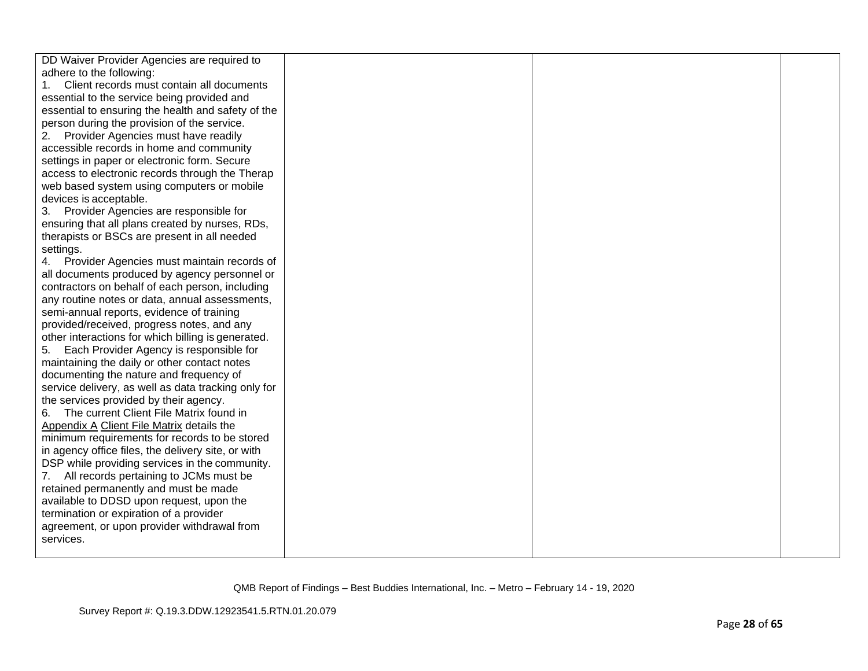| DD Waiver Provider Agencies are required to         |  |  |
|-----------------------------------------------------|--|--|
| adhere to the following:                            |  |  |
| Client records must contain all documents           |  |  |
| essential to the service being provided and         |  |  |
| essential to ensuring the health and safety of the  |  |  |
| person during the provision of the service.         |  |  |
| Provider Agencies must have readily<br>2.           |  |  |
| accessible records in home and community            |  |  |
| settings in paper or electronic form. Secure        |  |  |
| access to electronic records through the Therap     |  |  |
| web based system using computers or mobile          |  |  |
| devices is acceptable.                              |  |  |
| Provider Agencies are responsible for<br>3.         |  |  |
| ensuring that all plans created by nurses, RDs,     |  |  |
| therapists or BSCs are present in all needed        |  |  |
| settings.                                           |  |  |
| 4. Provider Agencies must maintain records of       |  |  |
| all documents produced by agency personnel or       |  |  |
| contractors on behalf of each person, including     |  |  |
| any routine notes or data, annual assessments,      |  |  |
| semi-annual reports, evidence of training           |  |  |
| provided/received, progress notes, and any          |  |  |
| other interactions for which billing is generated.  |  |  |
| 5.<br>Each Provider Agency is responsible for       |  |  |
| maintaining the daily or other contact notes        |  |  |
| documenting the nature and frequency of             |  |  |
| service delivery, as well as data tracking only for |  |  |
| the services provided by their agency.              |  |  |
| The current Client File Matrix found in<br>6.       |  |  |
| Appendix A Client File Matrix details the           |  |  |
| minimum requirements for records to be stored       |  |  |
| in agency office files, the delivery site, or with  |  |  |
| DSP while providing services in the community.      |  |  |
| All records pertaining to JCMs must be<br>7.        |  |  |
| retained permanently and must be made               |  |  |
| available to DDSD upon request, upon the            |  |  |
| termination or expiration of a provider             |  |  |
| agreement, or upon provider withdrawal from         |  |  |
| services.                                           |  |  |
|                                                     |  |  |
|                                                     |  |  |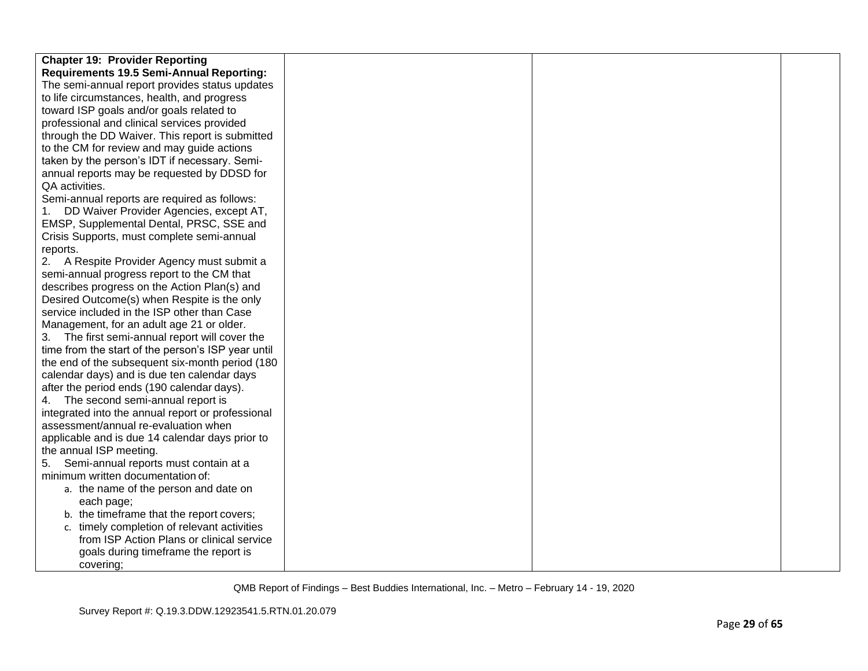| <b>Chapter 19: Provider Reporting</b>              |  |  |
|----------------------------------------------------|--|--|
| <b>Requirements 19.5 Semi-Annual Reporting:</b>    |  |  |
| The semi-annual report provides status updates     |  |  |
| to life circumstances, health, and progress        |  |  |
| toward ISP goals and/or goals related to           |  |  |
| professional and clinical services provided        |  |  |
| through the DD Waiver. This report is submitted    |  |  |
| to the CM for review and may guide actions         |  |  |
| taken by the person's IDT if necessary. Semi-      |  |  |
| annual reports may be requested by DDSD for        |  |  |
| QA activities.                                     |  |  |
| Semi-annual reports are required as follows:       |  |  |
| 1. DD Waiver Provider Agencies, except AT,         |  |  |
| EMSP, Supplemental Dental, PRSC, SSE and           |  |  |
| Crisis Supports, must complete semi-annual         |  |  |
| reports.                                           |  |  |
| 2. A Respite Provider Agency must submit a         |  |  |
| semi-annual progress report to the CM that         |  |  |
| describes progress on the Action Plan(s) and       |  |  |
| Desired Outcome(s) when Respite is the only        |  |  |
| service included in the ISP other than Case        |  |  |
| Management, for an adult age 21 or older.          |  |  |
| 3. The first semi-annual report will cover the     |  |  |
| time from the start of the person's ISP year until |  |  |
| the end of the subsequent six-month period (180)   |  |  |
| calendar days) and is due ten calendar days        |  |  |
| after the period ends (190 calendar days).         |  |  |
| 4. The second semi-annual report is                |  |  |
| integrated into the annual report or professional  |  |  |
| assessment/annual re-evaluation when               |  |  |
| applicable and is due 14 calendar days prior to    |  |  |
| the annual ISP meeting.                            |  |  |
| 5. Semi-annual reports must contain at a           |  |  |
| minimum written documentation of:                  |  |  |
| a. the name of the person and date on              |  |  |
| each page;                                         |  |  |
| b. the timeframe that the report covers;           |  |  |
| c. timely completion of relevant activities        |  |  |
| from ISP Action Plans or clinical service          |  |  |
| goals during timeframe the report is               |  |  |
| covering;                                          |  |  |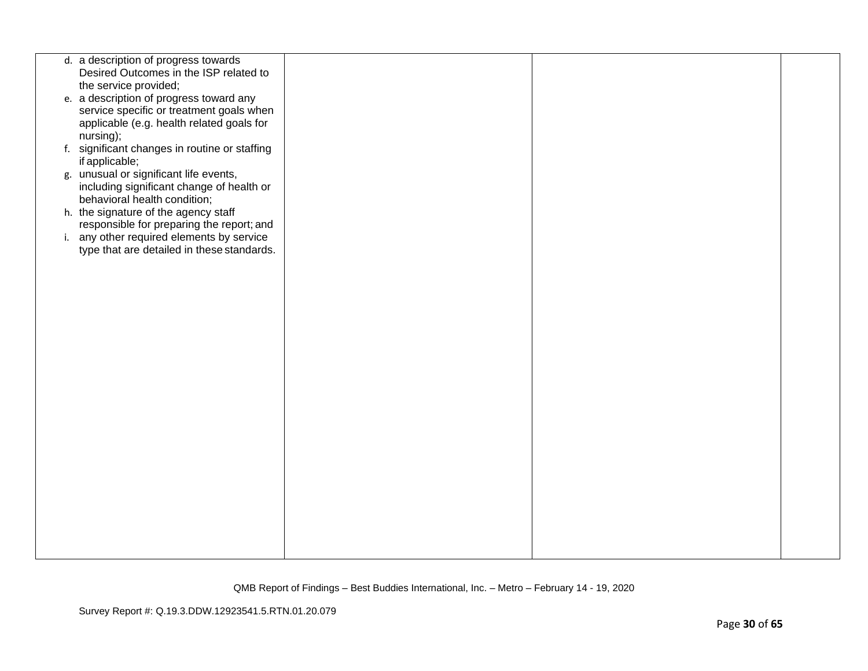| Desired Outcomes in the ISP related to<br>the service provided;<br>e. a description of progress toward any<br>service specific or treatment goals when<br>applicable (e.g. health related goals for<br>nursing);<br>f. significant changes in routine or staffing<br>if applicable;<br>g. unusual or significant life events,<br>including significant change of health or<br>behavioral health condition;<br>h. the signature of the agency staff<br>responsible for preparing the report; and<br>i. any other required elements by service<br>type that are detailed in these standards. | d. a description of progress towards |  |  |
|--------------------------------------------------------------------------------------------------------------------------------------------------------------------------------------------------------------------------------------------------------------------------------------------------------------------------------------------------------------------------------------------------------------------------------------------------------------------------------------------------------------------------------------------------------------------------------------------|--------------------------------------|--|--|
|                                                                                                                                                                                                                                                                                                                                                                                                                                                                                                                                                                                            |                                      |  |  |
|                                                                                                                                                                                                                                                                                                                                                                                                                                                                                                                                                                                            |                                      |  |  |
|                                                                                                                                                                                                                                                                                                                                                                                                                                                                                                                                                                                            |                                      |  |  |
|                                                                                                                                                                                                                                                                                                                                                                                                                                                                                                                                                                                            |                                      |  |  |
|                                                                                                                                                                                                                                                                                                                                                                                                                                                                                                                                                                                            |                                      |  |  |
|                                                                                                                                                                                                                                                                                                                                                                                                                                                                                                                                                                                            |                                      |  |  |
|                                                                                                                                                                                                                                                                                                                                                                                                                                                                                                                                                                                            |                                      |  |  |
|                                                                                                                                                                                                                                                                                                                                                                                                                                                                                                                                                                                            |                                      |  |  |
|                                                                                                                                                                                                                                                                                                                                                                                                                                                                                                                                                                                            |                                      |  |  |
|                                                                                                                                                                                                                                                                                                                                                                                                                                                                                                                                                                                            |                                      |  |  |
|                                                                                                                                                                                                                                                                                                                                                                                                                                                                                                                                                                                            |                                      |  |  |
|                                                                                                                                                                                                                                                                                                                                                                                                                                                                                                                                                                                            |                                      |  |  |
|                                                                                                                                                                                                                                                                                                                                                                                                                                                                                                                                                                                            |                                      |  |  |
|                                                                                                                                                                                                                                                                                                                                                                                                                                                                                                                                                                                            |                                      |  |  |
|                                                                                                                                                                                                                                                                                                                                                                                                                                                                                                                                                                                            |                                      |  |  |
|                                                                                                                                                                                                                                                                                                                                                                                                                                                                                                                                                                                            |                                      |  |  |
|                                                                                                                                                                                                                                                                                                                                                                                                                                                                                                                                                                                            |                                      |  |  |
|                                                                                                                                                                                                                                                                                                                                                                                                                                                                                                                                                                                            |                                      |  |  |
|                                                                                                                                                                                                                                                                                                                                                                                                                                                                                                                                                                                            |                                      |  |  |
|                                                                                                                                                                                                                                                                                                                                                                                                                                                                                                                                                                                            |                                      |  |  |
|                                                                                                                                                                                                                                                                                                                                                                                                                                                                                                                                                                                            |                                      |  |  |
|                                                                                                                                                                                                                                                                                                                                                                                                                                                                                                                                                                                            |                                      |  |  |
|                                                                                                                                                                                                                                                                                                                                                                                                                                                                                                                                                                                            |                                      |  |  |
|                                                                                                                                                                                                                                                                                                                                                                                                                                                                                                                                                                                            |                                      |  |  |
|                                                                                                                                                                                                                                                                                                                                                                                                                                                                                                                                                                                            |                                      |  |  |
|                                                                                                                                                                                                                                                                                                                                                                                                                                                                                                                                                                                            |                                      |  |  |
|                                                                                                                                                                                                                                                                                                                                                                                                                                                                                                                                                                                            |                                      |  |  |
|                                                                                                                                                                                                                                                                                                                                                                                                                                                                                                                                                                                            |                                      |  |  |
|                                                                                                                                                                                                                                                                                                                                                                                                                                                                                                                                                                                            |                                      |  |  |
|                                                                                                                                                                                                                                                                                                                                                                                                                                                                                                                                                                                            |                                      |  |  |
|                                                                                                                                                                                                                                                                                                                                                                                                                                                                                                                                                                                            |                                      |  |  |
|                                                                                                                                                                                                                                                                                                                                                                                                                                                                                                                                                                                            |                                      |  |  |
|                                                                                                                                                                                                                                                                                                                                                                                                                                                                                                                                                                                            |                                      |  |  |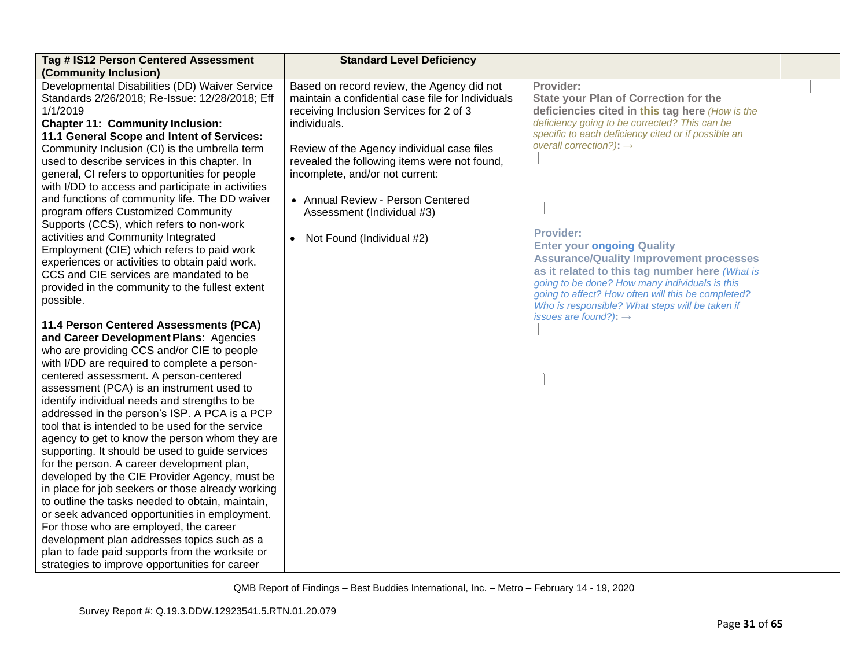| Tag # IS12 Person Centered Assessment             | <b>Standard Level Deficiency</b>                  |                                                                                                       |  |
|---------------------------------------------------|---------------------------------------------------|-------------------------------------------------------------------------------------------------------|--|
| (Community Inclusion)                             |                                                   |                                                                                                       |  |
| Developmental Disabilities (DD) Waiver Service    | Based on record review, the Agency did not        | Provider:                                                                                             |  |
| Standards 2/26/2018; Re-Issue: 12/28/2018; Eff    | maintain a confidential case file for Individuals | <b>State your Plan of Correction for the</b>                                                          |  |
| 1/1/2019                                          | receiving Inclusion Services for 2 of 3           | deficiencies cited in this tag here (How is the                                                       |  |
| <b>Chapter 11: Community Inclusion:</b>           | individuals.                                      | deficiency going to be corrected? This can be                                                         |  |
| 11.1 General Scope and Intent of Services:        |                                                   | specific to each deficiency cited or if possible an                                                   |  |
| Community Inclusion (CI) is the umbrella term     | Review of the Agency individual case files        | overall correction?): $\rightarrow$                                                                   |  |
| used to describe services in this chapter. In     | revealed the following items were not found,      |                                                                                                       |  |
| general, CI refers to opportunities for people    | incomplete, and/or not current:                   |                                                                                                       |  |
| with I/DD to access and participate in activities |                                                   |                                                                                                       |  |
| and functions of community life. The DD waiver    | • Annual Review - Person Centered                 |                                                                                                       |  |
| program offers Customized Community               | Assessment (Individual #3)                        |                                                                                                       |  |
| Supports (CCS), which refers to non-work          |                                                   |                                                                                                       |  |
| activities and Community Integrated               | • Not Found (Individual #2)                       | <b>Provider:</b>                                                                                      |  |
| Employment (CIE) which refers to paid work        |                                                   | <b>Enter your ongoing Quality</b>                                                                     |  |
| experiences or activities to obtain paid work.    |                                                   | <b>Assurance/Quality Improvement processes</b>                                                        |  |
| CCS and CIE services are mandated to be           |                                                   | as it related to this tag number here (What is                                                        |  |
| provided in the community to the fullest extent   |                                                   | going to be done? How many individuals is this                                                        |  |
| possible.                                         |                                                   | going to affect? How often will this be completed?<br>Who is responsible? What steps will be taken if |  |
|                                                   |                                                   | issues are found?): $\rightarrow$                                                                     |  |
| 11.4 Person Centered Assessments (PCA)            |                                                   |                                                                                                       |  |
| and Career Development Plans: Agencies            |                                                   |                                                                                                       |  |
| who are providing CCS and/or CIE to people        |                                                   |                                                                                                       |  |
| with I/DD are required to complete a person-      |                                                   |                                                                                                       |  |
| centered assessment. A person-centered            |                                                   |                                                                                                       |  |
| assessment (PCA) is an instrument used to         |                                                   |                                                                                                       |  |
| identify individual needs and strengths to be     |                                                   |                                                                                                       |  |
| addressed in the person's ISP. A PCA is a PCP     |                                                   |                                                                                                       |  |
| tool that is intended to be used for the service  |                                                   |                                                                                                       |  |
| agency to get to know the person whom they are    |                                                   |                                                                                                       |  |
| supporting. It should be used to guide services   |                                                   |                                                                                                       |  |
| for the person. A career development plan,        |                                                   |                                                                                                       |  |
| developed by the CIE Provider Agency, must be     |                                                   |                                                                                                       |  |
| in place for job seekers or those already working |                                                   |                                                                                                       |  |
| to outline the tasks needed to obtain, maintain,  |                                                   |                                                                                                       |  |
| or seek advanced opportunities in employment.     |                                                   |                                                                                                       |  |
| For those who are employed, the career            |                                                   |                                                                                                       |  |
| development plan addresses topics such as a       |                                                   |                                                                                                       |  |
| plan to fade paid supports from the worksite or   |                                                   |                                                                                                       |  |
| strategies to improve opportunities for career    |                                                   |                                                                                                       |  |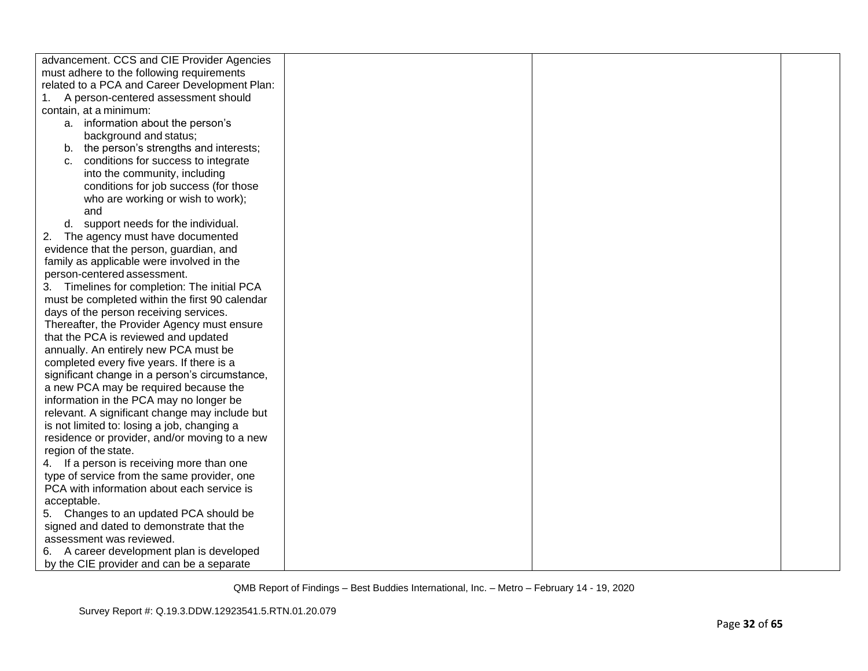| advancement. CCS and CIE Provider Agencies                                             |  |  |
|----------------------------------------------------------------------------------------|--|--|
| must adhere to the following requirements                                              |  |  |
| related to a PCA and Career Development Plan:                                          |  |  |
| A person-centered assessment should                                                    |  |  |
| contain, at a minimum:                                                                 |  |  |
| a. information about the person's                                                      |  |  |
| background and status;                                                                 |  |  |
| b. the person's strengths and interests;                                               |  |  |
| conditions for success to integrate<br>C.                                              |  |  |
| into the community, including                                                          |  |  |
| conditions for job success (for those                                                  |  |  |
| who are working or wish to work);                                                      |  |  |
| and                                                                                    |  |  |
| d. support needs for the individual.                                                   |  |  |
| 2.<br>The agency must have documented                                                  |  |  |
| evidence that the person, guardian, and                                                |  |  |
| family as applicable were involved in the                                              |  |  |
| person-centered assessment.                                                            |  |  |
| 3. Timelines for completion: The initial PCA                                           |  |  |
| must be completed within the first 90 calendar                                         |  |  |
| days of the person receiving services.                                                 |  |  |
| Thereafter, the Provider Agency must ensure                                            |  |  |
| that the PCA is reviewed and updated                                                   |  |  |
| annually. An entirely new PCA must be                                                  |  |  |
| completed every five years. If there is a                                              |  |  |
| significant change in a person's circumstance,                                         |  |  |
| a new PCA may be required because the                                                  |  |  |
| information in the PCA may no longer be                                                |  |  |
| relevant. A significant change may include but                                         |  |  |
| is not limited to: losing a job, changing a                                            |  |  |
| residence or provider, and/or moving to a new                                          |  |  |
| region of the state.                                                                   |  |  |
| 4. If a person is receiving more than one                                              |  |  |
| type of service from the same provider, one                                            |  |  |
| PCA with information about each service is                                             |  |  |
| acceptable.                                                                            |  |  |
| 5. Changes to an updated PCA should be<br>signed and dated to demonstrate that the     |  |  |
| assessment was reviewed.                                                               |  |  |
|                                                                                        |  |  |
| 6. A career development plan is developed<br>by the CIE provider and can be a separate |  |  |
|                                                                                        |  |  |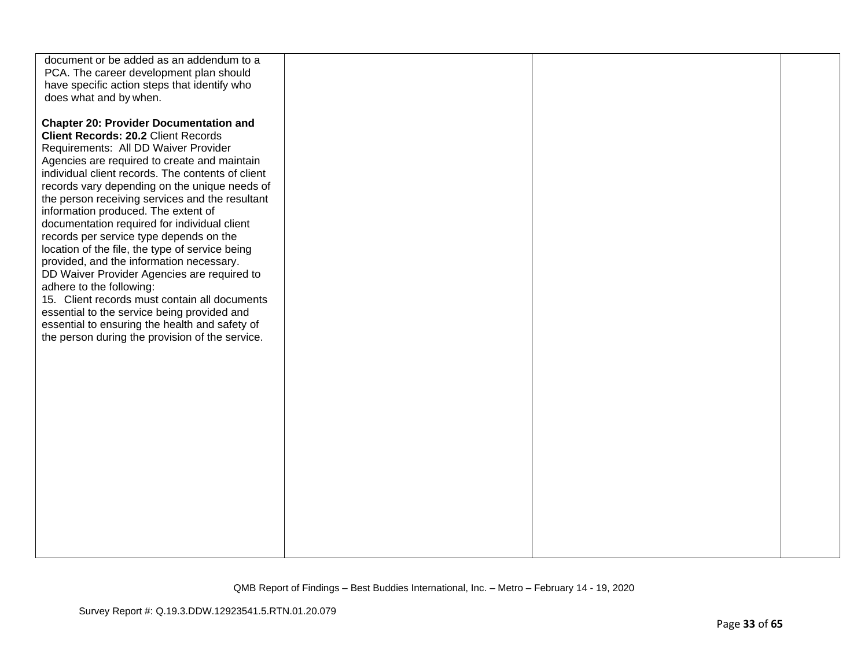| document or be added as an addendum to a<br>PCA. The career development plan should<br>have specific action steps that identify who<br>does what and by when.                                                                                                                                                                                                                                                                                                                                                                                                                                                                                                                                                                                                                                                                                                 |  |  |
|---------------------------------------------------------------------------------------------------------------------------------------------------------------------------------------------------------------------------------------------------------------------------------------------------------------------------------------------------------------------------------------------------------------------------------------------------------------------------------------------------------------------------------------------------------------------------------------------------------------------------------------------------------------------------------------------------------------------------------------------------------------------------------------------------------------------------------------------------------------|--|--|
| <b>Chapter 20: Provider Documentation and</b><br><b>Client Records: 20.2 Client Records</b><br>Requirements: All DD Waiver Provider<br>Agencies are required to create and maintain<br>individual client records. The contents of client<br>records vary depending on the unique needs of<br>the person receiving services and the resultant<br>information produced. The extent of<br>documentation required for individual client<br>records per service type depends on the<br>location of the file, the type of service being<br>provided, and the information necessary.<br>DD Waiver Provider Agencies are required to<br>adhere to the following:<br>15. Client records must contain all documents<br>essential to the service being provided and<br>essential to ensuring the health and safety of<br>the person during the provision of the service. |  |  |
|                                                                                                                                                                                                                                                                                                                                                                                                                                                                                                                                                                                                                                                                                                                                                                                                                                                               |  |  |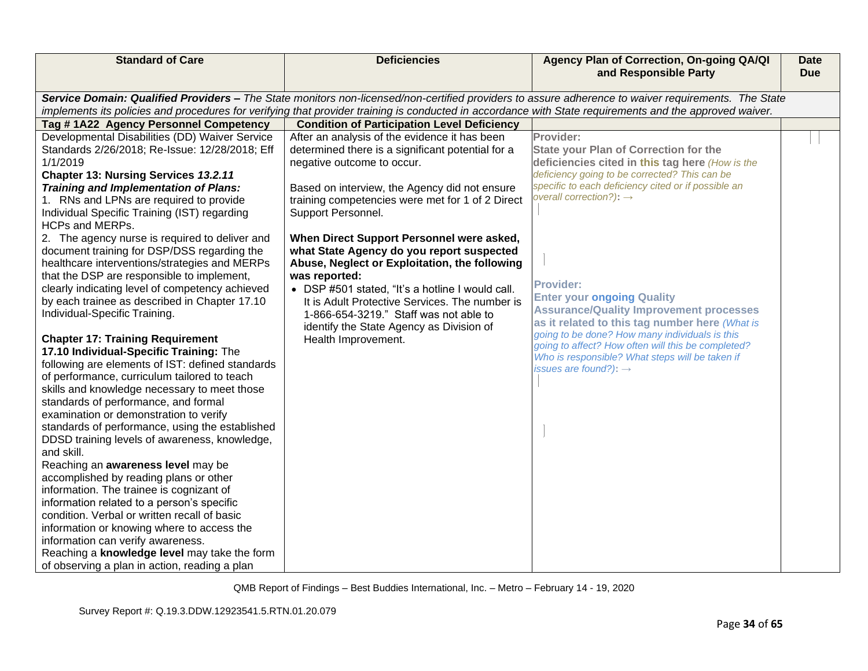| <b>Standard of Care</b>                                                                                                                             | <b>Deficiencies</b>                                                                                                                                     | Agency Plan of Correction, On-going QA/QI<br>and Responsible Party                               | <b>Date</b><br><b>Due</b> |  |
|-----------------------------------------------------------------------------------------------------------------------------------------------------|---------------------------------------------------------------------------------------------------------------------------------------------------------|--------------------------------------------------------------------------------------------------|---------------------------|--|
| Service Domain: Qualified Providers - The State monitors non-licensed/non-certified providers to assure adherence to waiver requirements. The State |                                                                                                                                                         |                                                                                                  |                           |  |
|                                                                                                                                                     | implements its policies and procedures for verifying that provider training is conducted in accordance with State requirements and the approved waiver. |                                                                                                  |                           |  |
| Tag #1A22 Agency Personnel Competency                                                                                                               | <b>Condition of Participation Level Deficiency</b>                                                                                                      |                                                                                                  |                           |  |
| Developmental Disabilities (DD) Waiver Service<br>Standards 2/26/2018; Re-Issue: 12/28/2018; Eff                                                    | After an analysis of the evidence it has been<br>determined there is a significant potential for a                                                      | Provider:<br><b>State your Plan of Correction for the</b>                                        |                           |  |
| 1/1/2019                                                                                                                                            | negative outcome to occur.                                                                                                                              | deficiencies cited in this tag here (How is the                                                  |                           |  |
| Chapter 13: Nursing Services 13.2.11                                                                                                                |                                                                                                                                                         | deficiency going to be corrected? This can be                                                    |                           |  |
| <b>Training and Implementation of Plans:</b>                                                                                                        | Based on interview, the Agency did not ensure                                                                                                           | specific to each deficiency cited or if possible an<br>overall correction?): $\rightarrow$       |                           |  |
| 1. RNs and LPNs are required to provide                                                                                                             | training competencies were met for 1 of 2 Direct                                                                                                        |                                                                                                  |                           |  |
| Individual Specific Training (IST) regarding<br><b>HCPs and MERPs.</b>                                                                              | Support Personnel.                                                                                                                                      |                                                                                                  |                           |  |
| 2. The agency nurse is required to deliver and                                                                                                      | When Direct Support Personnel were asked,                                                                                                               |                                                                                                  |                           |  |
| document training for DSP/DSS regarding the                                                                                                         | what State Agency do you report suspected                                                                                                               |                                                                                                  |                           |  |
| healthcare interventions/strategies and MERPs                                                                                                       | Abuse, Neglect or Exploitation, the following                                                                                                           |                                                                                                  |                           |  |
| that the DSP are responsible to implement,                                                                                                          | was reported:                                                                                                                                           |                                                                                                  |                           |  |
| clearly indicating level of competency achieved                                                                                                     | • DSP #501 stated, "It's a hotline I would call.                                                                                                        | Provider:                                                                                        |                           |  |
| by each trainee as described in Chapter 17.10                                                                                                       | It is Adult Protective Services. The number is                                                                                                          | <b>Enter your ongoing Quality</b>                                                                |                           |  |
| Individual-Specific Training.                                                                                                                       | 1-866-654-3219." Staff was not able to                                                                                                                  | <b>Assurance/Quality Improvement processes</b>                                                   |                           |  |
|                                                                                                                                                     | identify the State Agency as Division of                                                                                                                | as it related to this tag number here (What is<br>going to be done? How many individuals is this |                           |  |
| <b>Chapter 17: Training Requirement</b>                                                                                                             | Health Improvement.                                                                                                                                     | going to affect? How often will this be completed?                                               |                           |  |
| 17.10 Individual-Specific Training: The                                                                                                             |                                                                                                                                                         | Who is responsible? What steps will be taken if                                                  |                           |  |
| following are elements of IST: defined standards                                                                                                    |                                                                                                                                                         | issues are found?): $\rightarrow$                                                                |                           |  |
| of performance, curriculum tailored to teach                                                                                                        |                                                                                                                                                         |                                                                                                  |                           |  |
| skills and knowledge necessary to meet those                                                                                                        |                                                                                                                                                         |                                                                                                  |                           |  |
| standards of performance, and formal                                                                                                                |                                                                                                                                                         |                                                                                                  |                           |  |
| examination or demonstration to verify                                                                                                              |                                                                                                                                                         |                                                                                                  |                           |  |
| standards of performance, using the established                                                                                                     |                                                                                                                                                         |                                                                                                  |                           |  |
| DDSD training levels of awareness, knowledge,<br>and skill.                                                                                         |                                                                                                                                                         |                                                                                                  |                           |  |
| Reaching an awareness level may be                                                                                                                  |                                                                                                                                                         |                                                                                                  |                           |  |
| accomplished by reading plans or other                                                                                                              |                                                                                                                                                         |                                                                                                  |                           |  |
| information. The trainee is cognizant of                                                                                                            |                                                                                                                                                         |                                                                                                  |                           |  |
| information related to a person's specific                                                                                                          |                                                                                                                                                         |                                                                                                  |                           |  |
| condition. Verbal or written recall of basic                                                                                                        |                                                                                                                                                         |                                                                                                  |                           |  |
| information or knowing where to access the                                                                                                          |                                                                                                                                                         |                                                                                                  |                           |  |
| information can verify awareness.                                                                                                                   |                                                                                                                                                         |                                                                                                  |                           |  |
| Reaching a knowledge level may take the form                                                                                                        |                                                                                                                                                         |                                                                                                  |                           |  |
| of observing a plan in action, reading a plan                                                                                                       |                                                                                                                                                         |                                                                                                  |                           |  |
|                                                                                                                                                     |                                                                                                                                                         |                                                                                                  |                           |  |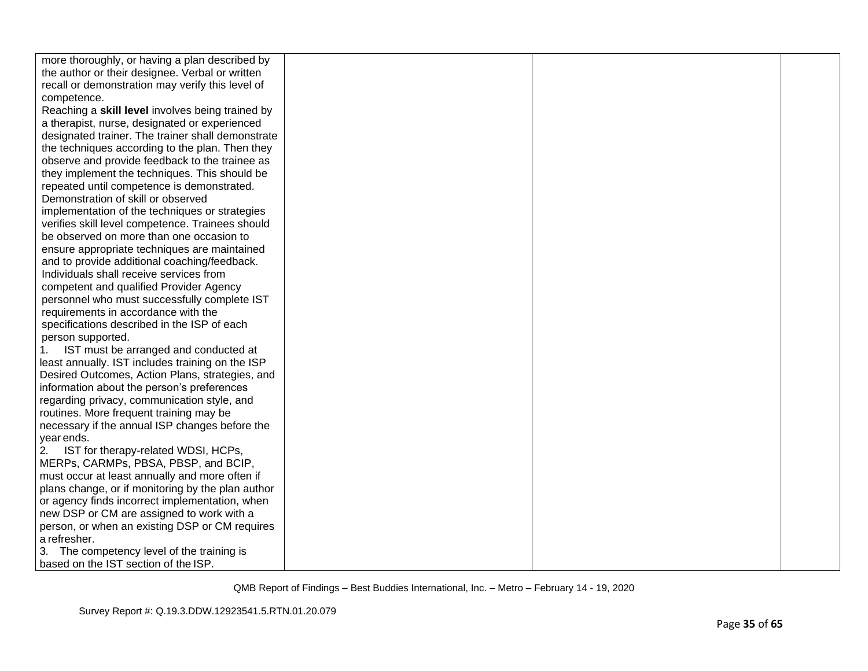| more thoroughly, or having a plan described by    |  |  |
|---------------------------------------------------|--|--|
| the author or their designee. Verbal or written   |  |  |
| recall or demonstration may verify this level of  |  |  |
| competence.                                       |  |  |
| Reaching a skill level involves being trained by  |  |  |
| a therapist, nurse, designated or experienced     |  |  |
| designated trainer. The trainer shall demonstrate |  |  |
| the techniques according to the plan. Then they   |  |  |
| observe and provide feedback to the trainee as    |  |  |
| they implement the techniques. This should be     |  |  |
| repeated until competence is demonstrated.        |  |  |
| Demonstration of skill or observed                |  |  |
| implementation of the techniques or strategies    |  |  |
| verifies skill level competence. Trainees should  |  |  |
| be observed on more than one occasion to          |  |  |
| ensure appropriate techniques are maintained      |  |  |
| and to provide additional coaching/feedback.      |  |  |
| Individuals shall receive services from           |  |  |
| competent and qualified Provider Agency           |  |  |
| personnel who must successfully complete IST      |  |  |
| requirements in accordance with the               |  |  |
| specifications described in the ISP of each       |  |  |
| person supported.                                 |  |  |
| IST must be arranged and conducted at             |  |  |
| least annually. IST includes training on the ISP  |  |  |
| Desired Outcomes, Action Plans, strategies, and   |  |  |
| information about the person's preferences        |  |  |
| regarding privacy, communication style, and       |  |  |
| routines. More frequent training may be           |  |  |
| necessary if the annual ISP changes before the    |  |  |
| year ends.                                        |  |  |
| 2. IST for therapy-related WDSI, HCPs,            |  |  |
| MERPs, CARMPs, PBSA, PBSP, and BCIP,              |  |  |
| must occur at least annually and more often if    |  |  |
| plans change, or if monitoring by the plan author |  |  |
| or agency finds incorrect implementation, when    |  |  |
| new DSP or CM are assigned to work with a         |  |  |
| person, or when an existing DSP or CM requires    |  |  |
| a refresher.                                      |  |  |
| 3. The competency level of the training is        |  |  |
| based on the IST section of the ISP.              |  |  |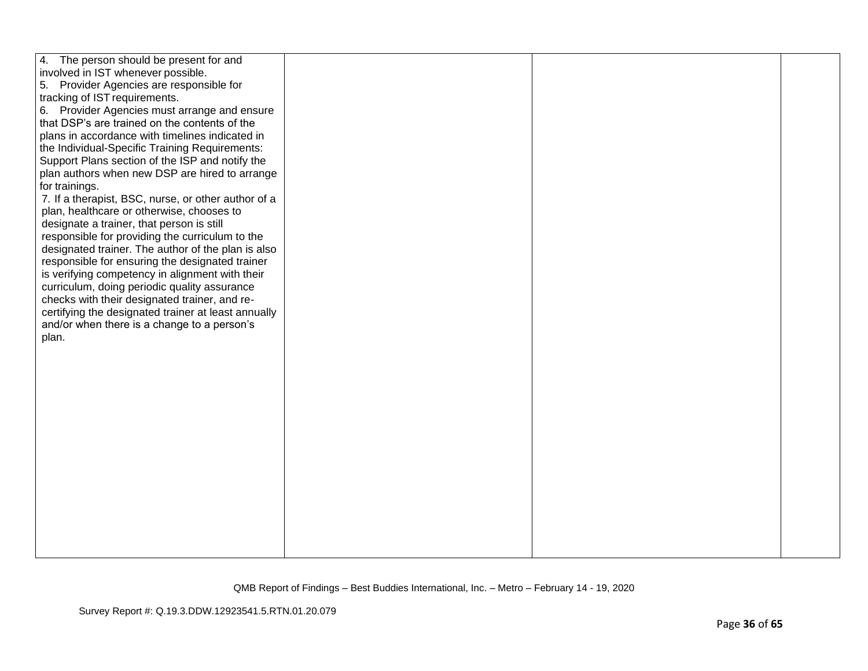| 4. The person should be present for and             |  |  |
|-----------------------------------------------------|--|--|
| involved in IST whenever possible.                  |  |  |
| 5. Provider Agencies are responsible for            |  |  |
| tracking of IST requirements.                       |  |  |
| 6. Provider Agencies must arrange and ensure        |  |  |
| that DSP's are trained on the contents of the       |  |  |
| plans in accordance with timelines indicated in     |  |  |
| the Individual-Specific Training Requirements:      |  |  |
| Support Plans section of the ISP and notify the     |  |  |
| plan authors when new DSP are hired to arrange      |  |  |
| for trainings.                                      |  |  |
| 7. If a therapist, BSC, nurse, or other author of a |  |  |
| plan, healthcare or otherwise, chooses to           |  |  |
| designate a trainer, that person is still           |  |  |
| responsible for providing the curriculum to the     |  |  |
| designated trainer. The author of the plan is also  |  |  |
| responsible for ensuring the designated trainer     |  |  |
| is verifying competency in alignment with their     |  |  |
| curriculum, doing periodic quality assurance        |  |  |
| checks with their designated trainer, and re-       |  |  |
| certifying the designated trainer at least annually |  |  |
| and/or when there is a change to a person's         |  |  |
| plan.                                               |  |  |
|                                                     |  |  |
|                                                     |  |  |
|                                                     |  |  |
|                                                     |  |  |
|                                                     |  |  |
|                                                     |  |  |
|                                                     |  |  |
|                                                     |  |  |
|                                                     |  |  |
|                                                     |  |  |
|                                                     |  |  |
|                                                     |  |  |
|                                                     |  |  |
|                                                     |  |  |
|                                                     |  |  |
|                                                     |  |  |
|                                                     |  |  |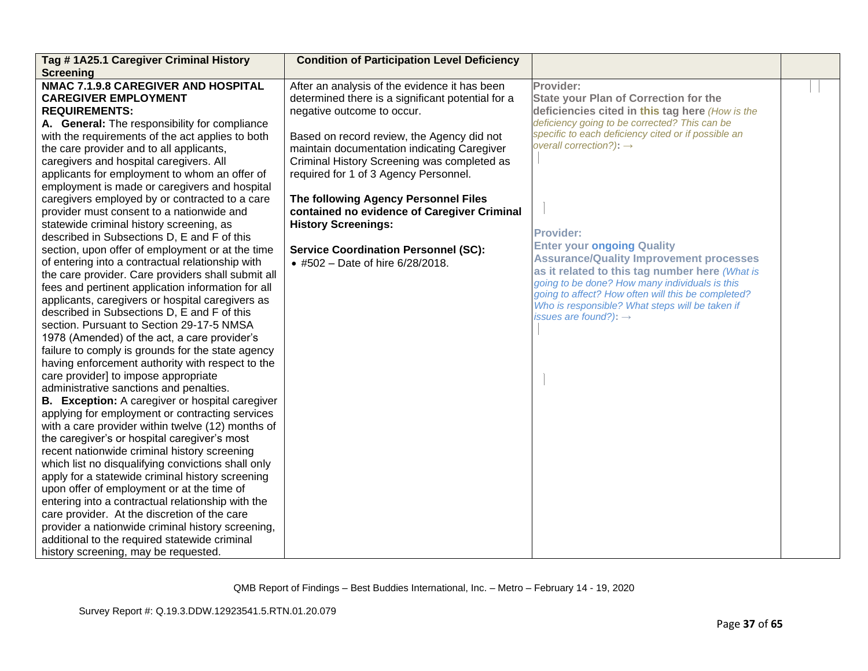| Tag #1A25.1 Caregiver Criminal History<br><b>Screening</b>                                                                                                                                                                                                                                                                                                                                                                                                                                                                                                                                                                                                                                                                                                                                                                                                                                                                                                                                                                                                                                                                                                                                                                                                                                                                                                                                                                                                                                                                                                                                                                                                                                                                                                                                                                                                                             | <b>Condition of Participation Level Deficiency</b>                                                                                                                                                                                                                                                                                                                                                                                                                                                                            |                                                                                                                                                                                                                                                                                                                                                                                                                                                                                                                                                                                                                          |  |
|----------------------------------------------------------------------------------------------------------------------------------------------------------------------------------------------------------------------------------------------------------------------------------------------------------------------------------------------------------------------------------------------------------------------------------------------------------------------------------------------------------------------------------------------------------------------------------------------------------------------------------------------------------------------------------------------------------------------------------------------------------------------------------------------------------------------------------------------------------------------------------------------------------------------------------------------------------------------------------------------------------------------------------------------------------------------------------------------------------------------------------------------------------------------------------------------------------------------------------------------------------------------------------------------------------------------------------------------------------------------------------------------------------------------------------------------------------------------------------------------------------------------------------------------------------------------------------------------------------------------------------------------------------------------------------------------------------------------------------------------------------------------------------------------------------------------------------------------------------------------------------------|-------------------------------------------------------------------------------------------------------------------------------------------------------------------------------------------------------------------------------------------------------------------------------------------------------------------------------------------------------------------------------------------------------------------------------------------------------------------------------------------------------------------------------|--------------------------------------------------------------------------------------------------------------------------------------------------------------------------------------------------------------------------------------------------------------------------------------------------------------------------------------------------------------------------------------------------------------------------------------------------------------------------------------------------------------------------------------------------------------------------------------------------------------------------|--|
| <b>NMAC 7.1.9.8 CAREGIVER AND HOSPITAL</b><br><b>CAREGIVER EMPLOYMENT</b><br><b>REQUIREMENTS:</b><br>A. General: The responsibility for compliance<br>with the requirements of the act applies to both<br>the care provider and to all applicants,<br>caregivers and hospital caregivers. All<br>applicants for employment to whom an offer of<br>employment is made or caregivers and hospital<br>caregivers employed by or contracted to a care<br>provider must consent to a nationwide and<br>statewide criminal history screening, as<br>described in Subsections D, E and F of this<br>section, upon offer of employment or at the time<br>of entering into a contractual relationship with<br>the care provider. Care providers shall submit all<br>fees and pertinent application information for all<br>applicants, caregivers or hospital caregivers as<br>described in Subsections D, E and F of this<br>section. Pursuant to Section 29-17-5 NMSA<br>1978 (Amended) of the act, a care provider's<br>failure to comply is grounds for the state agency<br>having enforcement authority with respect to the<br>care provider] to impose appropriate<br>administrative sanctions and penalties.<br><b>B.</b> Exception: A caregiver or hospital caregiver<br>applying for employment or contracting services<br>with a care provider within twelve (12) months of<br>the caregiver's or hospital caregiver's most<br>recent nationwide criminal history screening<br>which list no disqualifying convictions shall only<br>apply for a statewide criminal history screening<br>upon offer of employment or at the time of<br>entering into a contractual relationship with the<br>care provider. At the discretion of the care<br>provider a nationwide criminal history screening,<br>additional to the required statewide criminal<br>history screening, may be requested. | After an analysis of the evidence it has been<br>determined there is a significant potential for a<br>negative outcome to occur.<br>Based on record review, the Agency did not<br>maintain documentation indicating Caregiver<br>Criminal History Screening was completed as<br>required for 1 of 3 Agency Personnel.<br>The following Agency Personnel Files<br>contained no evidence of Caregiver Criminal<br><b>History Screenings:</b><br><b>Service Coordination Personnel (SC):</b><br>• #502 - Date of hire 6/28/2018. | Provider:<br><b>State your Plan of Correction for the</b><br>deficiencies cited in this tag here (How is the<br>deficiency going to be corrected? This can be<br>specific to each deficiency cited or if possible an<br>overall correction?): $\rightarrow$<br><b>Provider:</b><br><b>Enter your ongoing Quality</b><br><b>Assurance/Quality Improvement processes</b><br>as it related to this tag number here (What is<br>going to be done? How many individuals is this<br>going to affect? How often will this be completed?<br>Who is responsible? What steps will be taken if<br>issues are found?): $\rightarrow$ |  |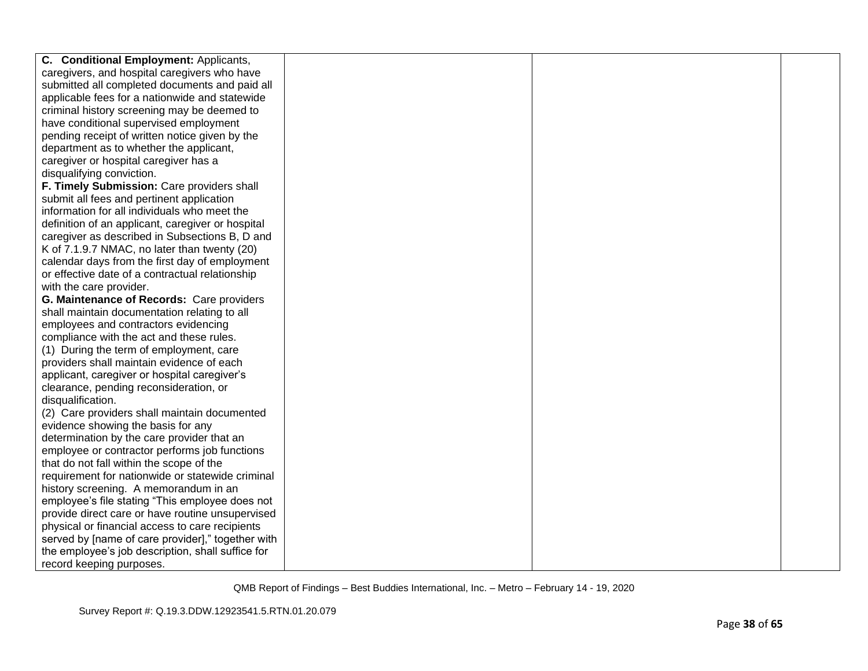| C. Conditional Employment: Applicants,            |  |  |
|---------------------------------------------------|--|--|
| caregivers, and hospital caregivers who have      |  |  |
| submitted all completed documents and paid all    |  |  |
| applicable fees for a nationwide and statewide    |  |  |
| criminal history screening may be deemed to       |  |  |
| have conditional supervised employment            |  |  |
| pending receipt of written notice given by the    |  |  |
| department as to whether the applicant,           |  |  |
| caregiver or hospital caregiver has a             |  |  |
| disqualifying conviction.                         |  |  |
| F. Timely Submission: Care providers shall        |  |  |
| submit all fees and pertinent application         |  |  |
| information for all individuals who meet the      |  |  |
| definition of an applicant, caregiver or hospital |  |  |
| caregiver as described in Subsections B, D and    |  |  |
| K of 7.1.9.7 NMAC, no later than twenty (20)      |  |  |
| calendar days from the first day of employment    |  |  |
| or effective date of a contractual relationship   |  |  |
| with the care provider.                           |  |  |
| G. Maintenance of Records: Care providers         |  |  |
| shall maintain documentation relating to all      |  |  |
| employees and contractors evidencing              |  |  |
| compliance with the act and these rules.          |  |  |
| (1) During the term of employment, care           |  |  |
| providers shall maintain evidence of each         |  |  |
| applicant, caregiver or hospital caregiver's      |  |  |
| clearance, pending reconsideration, or            |  |  |
| disqualification.                                 |  |  |
| (2) Care providers shall maintain documented      |  |  |
| evidence showing the basis for any                |  |  |
| determination by the care provider that an        |  |  |
| employee or contractor performs job functions     |  |  |
| that do not fall within the scope of the          |  |  |
| requirement for nationwide or statewide criminal  |  |  |
| history screening. A memorandum in an             |  |  |
| employee's file stating "This employee does not   |  |  |
| provide direct care or have routine unsupervised  |  |  |
| physical or financial access to care recipients   |  |  |
| served by [name of care provider]," together with |  |  |
| the employee's job description, shall suffice for |  |  |
| record keeping purposes.                          |  |  |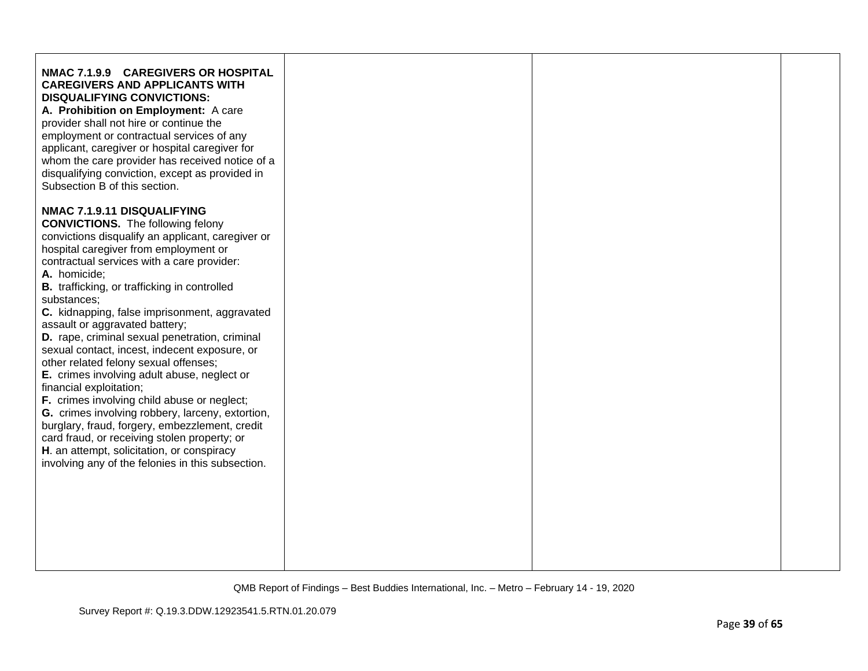| NMAC 7.1.9.9 CAREGIVERS OR HOSPITAL<br><b>CAREGIVERS AND APPLICANTS WITH</b><br><b>DISQUALIFYING CONVICTIONS:</b><br>A. Prohibition on Employment: A care<br>provider shall not hire or continue the<br>employment or contractual services of any<br>applicant, caregiver or hospital caregiver for<br>whom the care provider has received notice of a<br>disqualifying conviction, except as provided in<br>Subsection B of this section.                                                                                                                                                                                                                                                                                                                                                                                                                                                                                 |  |  |
|----------------------------------------------------------------------------------------------------------------------------------------------------------------------------------------------------------------------------------------------------------------------------------------------------------------------------------------------------------------------------------------------------------------------------------------------------------------------------------------------------------------------------------------------------------------------------------------------------------------------------------------------------------------------------------------------------------------------------------------------------------------------------------------------------------------------------------------------------------------------------------------------------------------------------|--|--|
| NMAC 7.1.9.11 DISQUALIFYING<br><b>CONVICTIONS.</b> The following felony<br>convictions disqualify an applicant, caregiver or<br>hospital caregiver from employment or<br>contractual services with a care provider:<br>A. homicide;<br><b>B.</b> trafficking, or trafficking in controlled<br>substances:<br>C. kidnapping, false imprisonment, aggravated<br>assault or aggravated battery;<br>D. rape, criminal sexual penetration, criminal<br>sexual contact, incest, indecent exposure, or<br>other related felony sexual offenses;<br>E. crimes involving adult abuse, neglect or<br>financial exploitation;<br>F. crimes involving child abuse or neglect;<br>G. crimes involving robbery, larceny, extortion,<br>burglary, fraud, forgery, embezzlement, credit<br>card fraud, or receiving stolen property; or<br>H. an attempt, solicitation, or conspiracy<br>involving any of the felonies in this subsection. |  |  |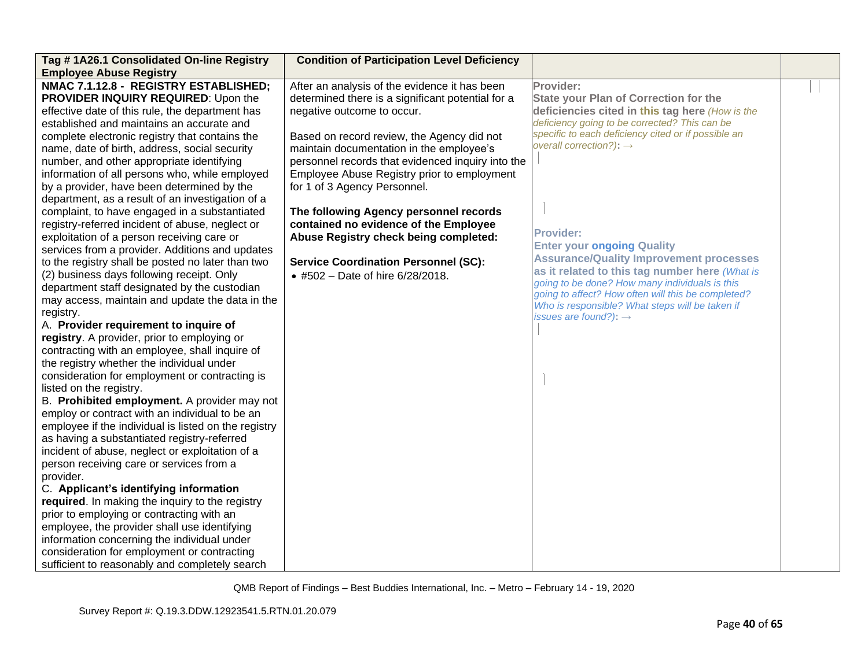| Tag #1A26.1 Consolidated On-line Registry<br><b>Employee Abuse Registry</b>                                                                                                                                                                                                                                                                                                                                                                                                                                                                                                                                                                                                                                                                                                                                                                                                                                                                                                                                                                                                                                                                                                                                                                                                                                                                                                                                                                                                                                                                                                                                                                                                                                                                                                                                                                | <b>Condition of Participation Level Deficiency</b>                                                                                                                                                                                                                                                                                                                                                                                                                                                                                                                            |                                                                                                                                                                                                                                                                                                                                                                                                                                                                                                                                                                                                                   |  |
|--------------------------------------------------------------------------------------------------------------------------------------------------------------------------------------------------------------------------------------------------------------------------------------------------------------------------------------------------------------------------------------------------------------------------------------------------------------------------------------------------------------------------------------------------------------------------------------------------------------------------------------------------------------------------------------------------------------------------------------------------------------------------------------------------------------------------------------------------------------------------------------------------------------------------------------------------------------------------------------------------------------------------------------------------------------------------------------------------------------------------------------------------------------------------------------------------------------------------------------------------------------------------------------------------------------------------------------------------------------------------------------------------------------------------------------------------------------------------------------------------------------------------------------------------------------------------------------------------------------------------------------------------------------------------------------------------------------------------------------------------------------------------------------------------------------------------------------------|-------------------------------------------------------------------------------------------------------------------------------------------------------------------------------------------------------------------------------------------------------------------------------------------------------------------------------------------------------------------------------------------------------------------------------------------------------------------------------------------------------------------------------------------------------------------------------|-------------------------------------------------------------------------------------------------------------------------------------------------------------------------------------------------------------------------------------------------------------------------------------------------------------------------------------------------------------------------------------------------------------------------------------------------------------------------------------------------------------------------------------------------------------------------------------------------------------------|--|
| NMAC 7.1.12.8 - REGISTRY ESTABLISHED;<br>PROVIDER INQUIRY REQUIRED: Upon the<br>effective date of this rule, the department has<br>established and maintains an accurate and<br>complete electronic registry that contains the<br>name, date of birth, address, social security<br>number, and other appropriate identifying<br>information of all persons who, while employed<br>by a provider, have been determined by the<br>department, as a result of an investigation of a<br>complaint, to have engaged in a substantiated<br>registry-referred incident of abuse, neglect or<br>exploitation of a person receiving care or<br>services from a provider. Additions and updates<br>to the registry shall be posted no later than two<br>(2) business days following receipt. Only<br>department staff designated by the custodian<br>may access, maintain and update the data in the<br>registry.<br>A. Provider requirement to inquire of<br>registry. A provider, prior to employing or<br>contracting with an employee, shall inquire of<br>the registry whether the individual under<br>consideration for employment or contracting is<br>listed on the registry.<br>B. Prohibited employment. A provider may not<br>employ or contract with an individual to be an<br>employee if the individual is listed on the registry<br>as having a substantiated registry-referred<br>incident of abuse, neglect or exploitation of a<br>person receiving care or services from a<br>provider.<br>C. Applicant's identifying information<br>required. In making the inquiry to the registry<br>prior to employing or contracting with an<br>employee, the provider shall use identifying<br>information concerning the individual under<br>consideration for employment or contracting<br>sufficient to reasonably and completely search | After an analysis of the evidence it has been<br>determined there is a significant potential for a<br>negative outcome to occur.<br>Based on record review, the Agency did not<br>maintain documentation in the employee's<br>personnel records that evidenced inquiry into the<br>Employee Abuse Registry prior to employment<br>for 1 of 3 Agency Personnel.<br>The following Agency personnel records<br>contained no evidence of the Employee<br>Abuse Registry check being completed:<br><b>Service Coordination Personnel (SC):</b><br>• #502 - Date of hire 6/28/2018. | Provider:<br>State your Plan of Correction for the<br>deficiencies cited in this tag here (How is the<br>deficiency going to be corrected? This can be<br>specific to each deficiency cited or if possible an<br>overall correction?): $\rightarrow$<br><b>Provider:</b><br><b>Enter your ongoing Quality</b><br><b>Assurance/Quality Improvement processes</b><br>as it related to this tag number here (What is<br>going to be done? How many individuals is this<br>going to affect? How often will this be completed?<br>Who is responsible? What steps will be taken if<br>issues are found?): $\rightarrow$ |  |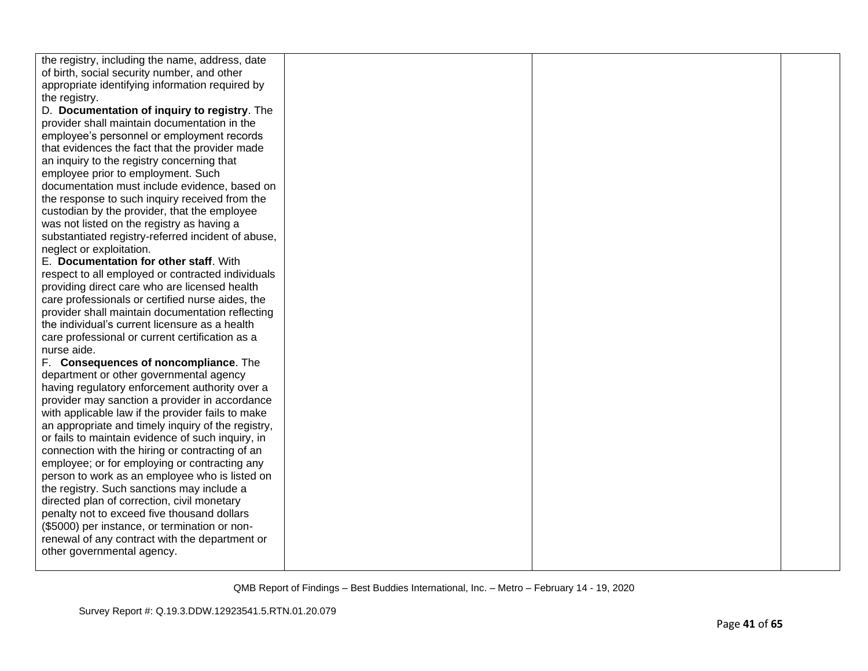| the registry, including the name, address, date    |  |  |
|----------------------------------------------------|--|--|
| of birth, social security number, and other        |  |  |
| appropriate identifying information required by    |  |  |
| the registry.                                      |  |  |
| D. Documentation of inquiry to registry. The       |  |  |
| provider shall maintain documentation in the       |  |  |
| employee's personnel or employment records         |  |  |
| that evidences the fact that the provider made     |  |  |
| an inquiry to the registry concerning that         |  |  |
| employee prior to employment. Such                 |  |  |
| documentation must include evidence, based on      |  |  |
| the response to such inquiry received from the     |  |  |
| custodian by the provider, that the employee       |  |  |
| was not listed on the registry as having a         |  |  |
| substantiated registry-referred incident of abuse, |  |  |
| neglect or exploitation.                           |  |  |
| E. Documentation for other staff. With             |  |  |
| respect to all employed or contracted individuals  |  |  |
| providing direct care who are licensed health      |  |  |
| care professionals or certified nurse aides, the   |  |  |
| provider shall maintain documentation reflecting   |  |  |
| the individual's current licensure as a health     |  |  |
| care professional or current certification as a    |  |  |
| nurse aide.                                        |  |  |
| F. Consequences of noncompliance. The              |  |  |
| department or other governmental agency            |  |  |
| having regulatory enforcement authority over a     |  |  |
| provider may sanction a provider in accordance     |  |  |
| with applicable law if the provider fails to make  |  |  |
| an appropriate and timely inquiry of the registry, |  |  |
| or fails to maintain evidence of such inquiry, in  |  |  |
| connection with the hiring or contracting of an    |  |  |
| employee; or for employing or contracting any      |  |  |
| person to work as an employee who is listed on     |  |  |
| the registry. Such sanctions may include a         |  |  |
| directed plan of correction, civil monetary        |  |  |
| penalty not to exceed five thousand dollars        |  |  |
| (\$5000) per instance, or termination or non-      |  |  |
| renewal of any contract with the department or     |  |  |
| other governmental agency.                         |  |  |
|                                                    |  |  |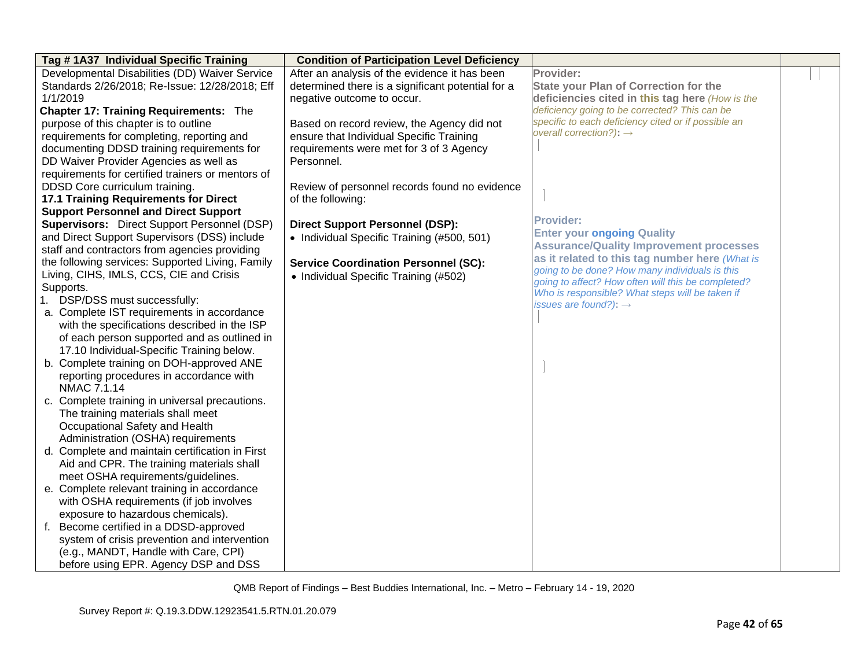| Tag #1A37 Individual Specific Training             | <b>Condition of Participation Level Deficiency</b> |                                                                                                  |  |
|----------------------------------------------------|----------------------------------------------------|--------------------------------------------------------------------------------------------------|--|
| Developmental Disabilities (DD) Waiver Service     | After an analysis of the evidence it has been      | Provider:                                                                                        |  |
| Standards 2/26/2018; Re-Issue: 12/28/2018; Eff     | determined there is a significant potential for a  | <b>State your Plan of Correction for the</b>                                                     |  |
| 1/1/2019                                           | negative outcome to occur.                         | deficiencies cited in this tag here (How is the                                                  |  |
| <b>Chapter 17: Training Requirements: The</b>      |                                                    | deficiency going to be corrected? This can be                                                    |  |
| purpose of this chapter is to outline              | Based on record review, the Agency did not         | specific to each deficiency cited or if possible an                                              |  |
| requirements for completing, reporting and         | ensure that Individual Specific Training           | overall correction?): $\rightarrow$                                                              |  |
| documenting DDSD training requirements for         | requirements were met for 3 of 3 Agency            |                                                                                                  |  |
| DD Waiver Provider Agencies as well as             | Personnel.                                         |                                                                                                  |  |
| requirements for certified trainers or mentors of  |                                                    |                                                                                                  |  |
| DDSD Core curriculum training.                     | Review of personnel records found no evidence      |                                                                                                  |  |
| <b>17.1 Training Requirements for Direct</b>       | of the following:                                  |                                                                                                  |  |
| <b>Support Personnel and Direct Support</b>        |                                                    |                                                                                                  |  |
| <b>Supervisors:</b> Direct Support Personnel (DSP) | <b>Direct Support Personnel (DSP):</b>             | <b>Provider:</b>                                                                                 |  |
| and Direct Support Supervisors (DSS) include       | • Individual Specific Training (#500, 501)         | <b>Enter your ongoing Quality</b>                                                                |  |
| staff and contractors from agencies providing      |                                                    | <b>Assurance/Quality Improvement processes</b>                                                   |  |
| the following services: Supported Living, Family   | <b>Service Coordination Personnel (SC):</b>        | as it related to this tag number here (What is<br>going to be done? How many individuals is this |  |
| Living, CIHS, IMLS, CCS, CIE and Crisis            | • Individual Specific Training (#502)              | going to affect? How often will this be completed?                                               |  |
| Supports.                                          |                                                    | Who is responsible? What steps will be taken if                                                  |  |
| 1. DSP/DSS must successfully:                      |                                                    | issues are found?): $\rightarrow$                                                                |  |
| a. Complete IST requirements in accordance         |                                                    |                                                                                                  |  |
| with the specifications described in the ISP       |                                                    |                                                                                                  |  |
| of each person supported and as outlined in        |                                                    |                                                                                                  |  |
| 17.10 Individual-Specific Training below.          |                                                    |                                                                                                  |  |
| b. Complete training on DOH-approved ANE           |                                                    |                                                                                                  |  |
| reporting procedures in accordance with            |                                                    |                                                                                                  |  |
| NMAC 7.1.14                                        |                                                    |                                                                                                  |  |
| c. Complete training in universal precautions.     |                                                    |                                                                                                  |  |
| The training materials shall meet                  |                                                    |                                                                                                  |  |
| Occupational Safety and Health                     |                                                    |                                                                                                  |  |
| Administration (OSHA) requirements                 |                                                    |                                                                                                  |  |
| d. Complete and maintain certification in First    |                                                    |                                                                                                  |  |
| Aid and CPR. The training materials shall          |                                                    |                                                                                                  |  |
| meet OSHA requirements/guidelines.                 |                                                    |                                                                                                  |  |
| e. Complete relevant training in accordance        |                                                    |                                                                                                  |  |
| with OSHA requirements (if job involves            |                                                    |                                                                                                  |  |
| exposure to hazardous chemicals).                  |                                                    |                                                                                                  |  |
| f. Become certified in a DDSD-approved             |                                                    |                                                                                                  |  |
| system of crisis prevention and intervention       |                                                    |                                                                                                  |  |
| (e.g., MANDT, Handle with Care, CPI)               |                                                    |                                                                                                  |  |
| before using EPR. Agency DSP and DSS               |                                                    |                                                                                                  |  |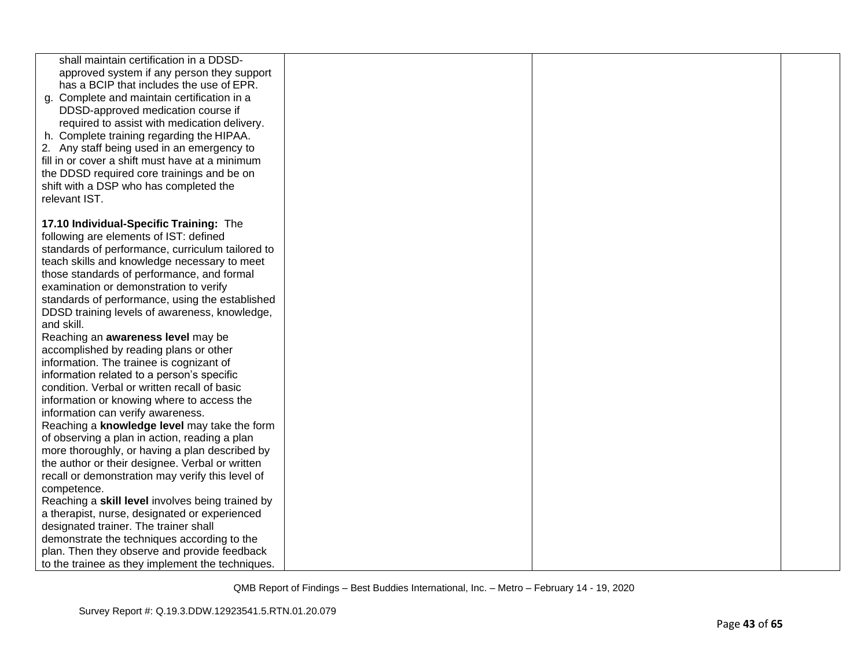| shall maintain certification in a DDSD-<br>approved system if any person they support<br>has a BCIP that includes the use of EPR.<br>g. Complete and maintain certification in a<br>DDSD-approved medication course if<br>required to assist with medication delivery.<br>h. Complete training regarding the HIPAA.<br>2. Any staff being used in an emergency to<br>fill in or cover a shift must have at a minimum<br>the DDSD required core trainings and be on<br>shift with a DSP who has completed the<br>relevant IST. |  |  |
|-------------------------------------------------------------------------------------------------------------------------------------------------------------------------------------------------------------------------------------------------------------------------------------------------------------------------------------------------------------------------------------------------------------------------------------------------------------------------------------------------------------------------------|--|--|
| 17.10 Individual-Specific Training: The                                                                                                                                                                                                                                                                                                                                                                                                                                                                                       |  |  |
| following are elements of IST: defined                                                                                                                                                                                                                                                                                                                                                                                                                                                                                        |  |  |
| standards of performance, curriculum tailored to                                                                                                                                                                                                                                                                                                                                                                                                                                                                              |  |  |
| teach skills and knowledge necessary to meet                                                                                                                                                                                                                                                                                                                                                                                                                                                                                  |  |  |
| those standards of performance, and formal                                                                                                                                                                                                                                                                                                                                                                                                                                                                                    |  |  |
| examination or demonstration to verify                                                                                                                                                                                                                                                                                                                                                                                                                                                                                        |  |  |
| standards of performance, using the established                                                                                                                                                                                                                                                                                                                                                                                                                                                                               |  |  |
| DDSD training levels of awareness, knowledge,                                                                                                                                                                                                                                                                                                                                                                                                                                                                                 |  |  |
| and skill.                                                                                                                                                                                                                                                                                                                                                                                                                                                                                                                    |  |  |
| Reaching an awareness level may be                                                                                                                                                                                                                                                                                                                                                                                                                                                                                            |  |  |
| accomplished by reading plans or other                                                                                                                                                                                                                                                                                                                                                                                                                                                                                        |  |  |
| information. The trainee is cognizant of                                                                                                                                                                                                                                                                                                                                                                                                                                                                                      |  |  |
| information related to a person's specific                                                                                                                                                                                                                                                                                                                                                                                                                                                                                    |  |  |
| condition. Verbal or written recall of basic                                                                                                                                                                                                                                                                                                                                                                                                                                                                                  |  |  |
| information or knowing where to access the                                                                                                                                                                                                                                                                                                                                                                                                                                                                                    |  |  |
| information can verify awareness.                                                                                                                                                                                                                                                                                                                                                                                                                                                                                             |  |  |
| Reaching a knowledge level may take the form                                                                                                                                                                                                                                                                                                                                                                                                                                                                                  |  |  |
| of observing a plan in action, reading a plan                                                                                                                                                                                                                                                                                                                                                                                                                                                                                 |  |  |
| more thoroughly, or having a plan described by                                                                                                                                                                                                                                                                                                                                                                                                                                                                                |  |  |
| the author or their designee. Verbal or written                                                                                                                                                                                                                                                                                                                                                                                                                                                                               |  |  |
| recall or demonstration may verify this level of                                                                                                                                                                                                                                                                                                                                                                                                                                                                              |  |  |
| competence.                                                                                                                                                                                                                                                                                                                                                                                                                                                                                                                   |  |  |
| Reaching a skill level involves being trained by                                                                                                                                                                                                                                                                                                                                                                                                                                                                              |  |  |
| a therapist, nurse, designated or experienced                                                                                                                                                                                                                                                                                                                                                                                                                                                                                 |  |  |
| designated trainer. The trainer shall                                                                                                                                                                                                                                                                                                                                                                                                                                                                                         |  |  |
| demonstrate the techniques according to the                                                                                                                                                                                                                                                                                                                                                                                                                                                                                   |  |  |
| plan. Then they observe and provide feedback                                                                                                                                                                                                                                                                                                                                                                                                                                                                                  |  |  |
| to the trainee as they implement the techniques.                                                                                                                                                                                                                                                                                                                                                                                                                                                                              |  |  |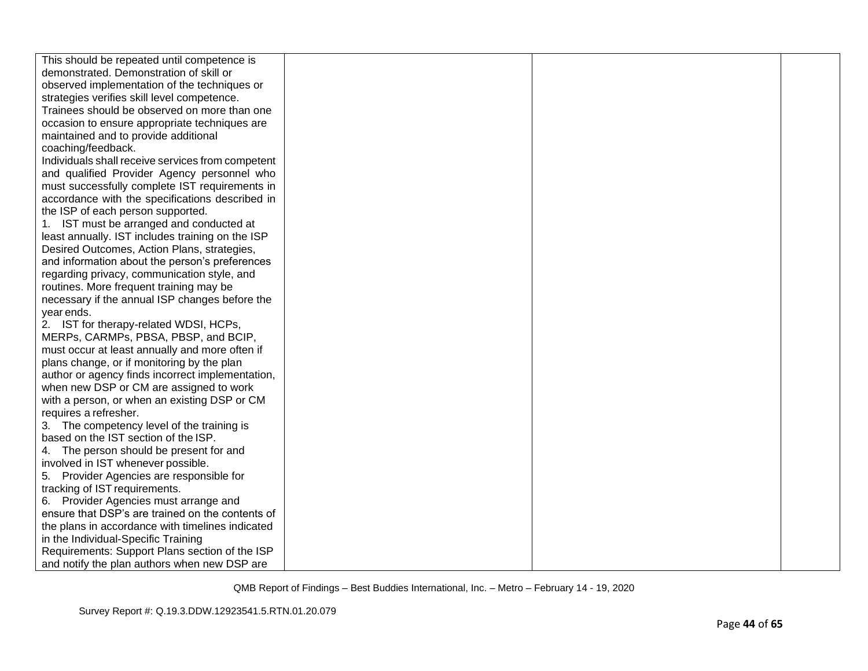| This should be repeated until competence is       |  |  |
|---------------------------------------------------|--|--|
| demonstrated. Demonstration of skill or           |  |  |
| observed implementation of the techniques or      |  |  |
| strategies verifies skill level competence.       |  |  |
| Trainees should be observed on more than one      |  |  |
| occasion to ensure appropriate techniques are     |  |  |
| maintained and to provide additional              |  |  |
| coaching/feedback.                                |  |  |
| Individuals shall receive services from competent |  |  |
| and qualified Provider Agency personnel who       |  |  |
| must successfully complete IST requirements in    |  |  |
| accordance with the specifications described in   |  |  |
| the ISP of each person supported.                 |  |  |
| 1. IST must be arranged and conducted at          |  |  |
| least annually. IST includes training on the ISP  |  |  |
| Desired Outcomes, Action Plans, strategies,       |  |  |
| and information about the person's preferences    |  |  |
| regarding privacy, communication style, and       |  |  |
| routines. More frequent training may be           |  |  |
| necessary if the annual ISP changes before the    |  |  |
| year ends.                                        |  |  |
| 2. IST for therapy-related WDSI, HCPs,            |  |  |
| MERPs, CARMPs, PBSA, PBSP, and BCIP,              |  |  |
| must occur at least annually and more often if    |  |  |
| plans change, or if monitoring by the plan        |  |  |
| author or agency finds incorrect implementation,  |  |  |
| when new DSP or CM are assigned to work           |  |  |
| with a person, or when an existing DSP or CM      |  |  |
| requires a refresher.                             |  |  |
| 3. The competency level of the training is        |  |  |
| based on the IST section of the ISP.              |  |  |
| 4. The person should be present for and           |  |  |
| involved in IST whenever possible.                |  |  |
| 5. Provider Agencies are responsible for          |  |  |
| tracking of IST requirements.                     |  |  |
| 6. Provider Agencies must arrange and             |  |  |
| ensure that DSP's are trained on the contents of  |  |  |
| the plans in accordance with timelines indicated  |  |  |
| in the Individual-Specific Training               |  |  |
| Requirements: Support Plans section of the ISP    |  |  |
| and notify the plan authors when new DSP are      |  |  |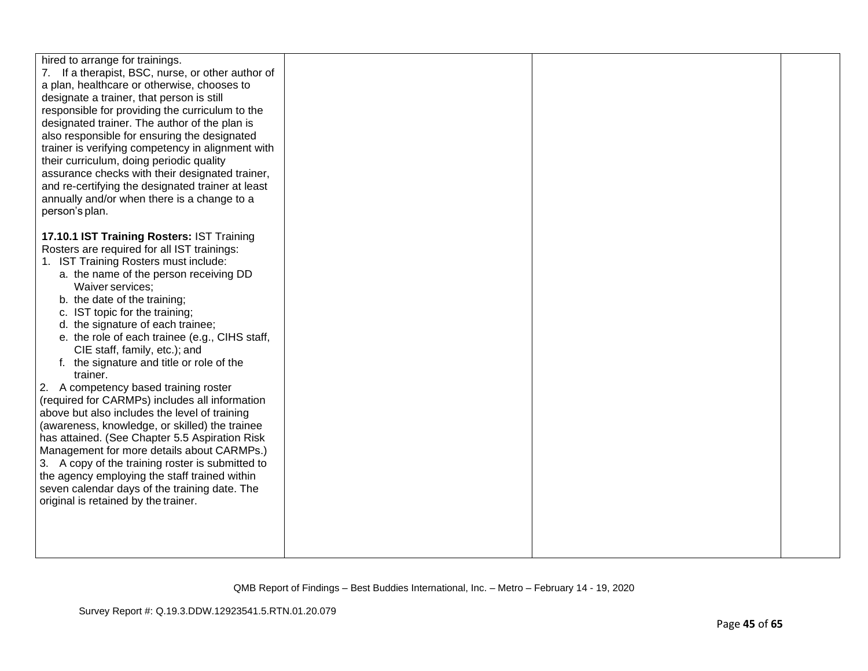| hired to arrange for trainings.                   |  |  |
|---------------------------------------------------|--|--|
| 7. If a therapist, BSC, nurse, or other author of |  |  |
| a plan, healthcare or otherwise, chooses to       |  |  |
| designate a trainer, that person is still         |  |  |
| responsible for providing the curriculum to the   |  |  |
| designated trainer. The author of the plan is     |  |  |
| also responsible for ensuring the designated      |  |  |
| trainer is verifying competency in alignment with |  |  |
| their curriculum, doing periodic quality          |  |  |
| assurance checks with their designated trainer,   |  |  |
| and re-certifying the designated trainer at least |  |  |
| annually and/or when there is a change to a       |  |  |
| person's plan.                                    |  |  |
|                                                   |  |  |
| 17.10.1 IST Training Rosters: IST Training        |  |  |
| Rosters are required for all IST trainings:       |  |  |
| 1. IST Training Rosters must include:             |  |  |
| a. the name of the person receiving DD            |  |  |
| Waiver services;                                  |  |  |
| b. the date of the training;                      |  |  |
| c. IST topic for the training;                    |  |  |
| d. the signature of each trainee;                 |  |  |
| e. the role of each trainee (e.g., CIHS staff,    |  |  |
| CIE staff, family, etc.); and                     |  |  |
| f. the signature and title or role of the         |  |  |
| trainer.                                          |  |  |
| 2. A competency based training roster             |  |  |
| (required for CARMPs) includes all information    |  |  |
| above but also includes the level of training     |  |  |
| (awareness, knowledge, or skilled) the trainee    |  |  |
| has attained. (See Chapter 5.5 Aspiration Risk    |  |  |
| Management for more details about CARMPs.)        |  |  |
| 3. A copy of the training roster is submitted to  |  |  |
| the agency employing the staff trained within     |  |  |
| seven calendar days of the training date. The     |  |  |
| original is retained by the trainer.              |  |  |
|                                                   |  |  |
|                                                   |  |  |
|                                                   |  |  |
|                                                   |  |  |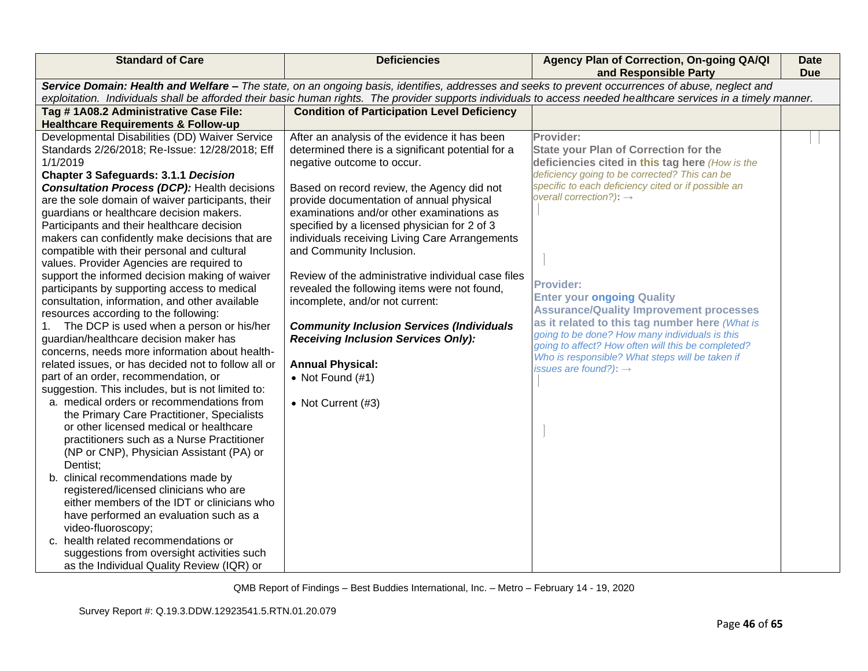| <b>Standard of Care</b>                                                                                                                                                                                                                                                                                               | <b>Deficiencies</b>                                                             | Agency Plan of Correction, On-going QA/QI<br>and Responsible Party                         | <b>Date</b><br><b>Due</b> |
|-----------------------------------------------------------------------------------------------------------------------------------------------------------------------------------------------------------------------------------------------------------------------------------------------------------------------|---------------------------------------------------------------------------------|--------------------------------------------------------------------------------------------|---------------------------|
| Service Domain: Health and Welfare - The state, on an ongoing basis, identifies, addresses and seeks to prevent occurrences of abuse, neglect and<br>exploitation. Individuals shall be afforded their basic human rights. The provider supports individuals to access needed healthcare services in a timely manner. |                                                                                 |                                                                                            |                           |
| Tag #1A08.2 Administrative Case File:                                                                                                                                                                                                                                                                                 | <b>Condition of Participation Level Deficiency</b>                              |                                                                                            |                           |
| <b>Healthcare Requirements &amp; Follow-up</b>                                                                                                                                                                                                                                                                        |                                                                                 |                                                                                            |                           |
| Developmental Disabilities (DD) Waiver Service                                                                                                                                                                                                                                                                        | After an analysis of the evidence it has been                                   | Provider:                                                                                  |                           |
| Standards 2/26/2018; Re-Issue: 12/28/2018; Eff                                                                                                                                                                                                                                                                        | determined there is a significant potential for a                               | <b>State your Plan of Correction for the</b>                                               |                           |
| 1/1/2019                                                                                                                                                                                                                                                                                                              | negative outcome to occur.                                                      | deficiencies cited in this tag here (How is the                                            |                           |
| <b>Chapter 3 Safeguards: 3.1.1 Decision</b>                                                                                                                                                                                                                                                                           |                                                                                 | deficiency going to be corrected? This can be                                              |                           |
| <b>Consultation Process (DCP): Health decisions</b>                                                                                                                                                                                                                                                                   | Based on record review, the Agency did not                                      | specific to each deficiency cited or if possible an<br>overall correction?): $\rightarrow$ |                           |
| are the sole domain of waiver participants, their                                                                                                                                                                                                                                                                     | provide documentation of annual physical                                        |                                                                                            |                           |
| guardians or healthcare decision makers.                                                                                                                                                                                                                                                                              | examinations and/or other examinations as                                       |                                                                                            |                           |
| Participants and their healthcare decision                                                                                                                                                                                                                                                                            | specified by a licensed physician for 2 of 3                                    |                                                                                            |                           |
| makers can confidently make decisions that are                                                                                                                                                                                                                                                                        | individuals receiving Living Care Arrangements                                  |                                                                                            |                           |
| compatible with their personal and cultural                                                                                                                                                                                                                                                                           | and Community Inclusion.                                                        |                                                                                            |                           |
| values. Provider Agencies are required to                                                                                                                                                                                                                                                                             | Review of the administrative individual case files                              |                                                                                            |                           |
| support the informed decision making of waiver                                                                                                                                                                                                                                                                        |                                                                                 | <b>Provider:</b>                                                                           |                           |
| participants by supporting access to medical<br>consultation, information, and other available                                                                                                                                                                                                                        | revealed the following items were not found,<br>incomplete, and/or not current: | <b>Enter your ongoing Quality</b>                                                          |                           |
| resources according to the following:                                                                                                                                                                                                                                                                                 |                                                                                 | <b>Assurance/Quality Improvement processes</b>                                             |                           |
| The DCP is used when a person or his/her<br>1.                                                                                                                                                                                                                                                                        | <b>Community Inclusion Services (Individuals</b>                                | as it related to this tag number here (What is                                             |                           |
| guardian/healthcare decision maker has                                                                                                                                                                                                                                                                                | <b>Receiving Inclusion Services Only):</b>                                      | going to be done? How many individuals is this                                             |                           |
| concerns, needs more information about health-                                                                                                                                                                                                                                                                        |                                                                                 | going to affect? How often will this be completed?                                         |                           |
| related issues, or has decided not to follow all or                                                                                                                                                                                                                                                                   | <b>Annual Physical:</b>                                                         | Who is responsible? What steps will be taken if                                            |                           |
| part of an order, recommendation, or                                                                                                                                                                                                                                                                                  | • Not Found $(#1)$                                                              | issues are found?): $\rightarrow$                                                          |                           |
| suggestion. This includes, but is not limited to:                                                                                                                                                                                                                                                                     |                                                                                 |                                                                                            |                           |
| a. medical orders or recommendations from                                                                                                                                                                                                                                                                             | • Not Current (#3)                                                              |                                                                                            |                           |
| the Primary Care Practitioner, Specialists                                                                                                                                                                                                                                                                            |                                                                                 |                                                                                            |                           |
| or other licensed medical or healthcare                                                                                                                                                                                                                                                                               |                                                                                 |                                                                                            |                           |
| practitioners such as a Nurse Practitioner                                                                                                                                                                                                                                                                            |                                                                                 |                                                                                            |                           |
| (NP or CNP), Physician Assistant (PA) or                                                                                                                                                                                                                                                                              |                                                                                 |                                                                                            |                           |
| Dentist;                                                                                                                                                                                                                                                                                                              |                                                                                 |                                                                                            |                           |
| b. clinical recommendations made by                                                                                                                                                                                                                                                                                   |                                                                                 |                                                                                            |                           |
| registered/licensed clinicians who are                                                                                                                                                                                                                                                                                |                                                                                 |                                                                                            |                           |
| either members of the IDT or clinicians who                                                                                                                                                                                                                                                                           |                                                                                 |                                                                                            |                           |
| have performed an evaluation such as a                                                                                                                                                                                                                                                                                |                                                                                 |                                                                                            |                           |
| video-fluoroscopy;                                                                                                                                                                                                                                                                                                    |                                                                                 |                                                                                            |                           |
| c. health related recommendations or                                                                                                                                                                                                                                                                                  |                                                                                 |                                                                                            |                           |
| suggestions from oversight activities such                                                                                                                                                                                                                                                                            |                                                                                 |                                                                                            |                           |
| as the Individual Quality Review (IQR) or                                                                                                                                                                                                                                                                             |                                                                                 |                                                                                            |                           |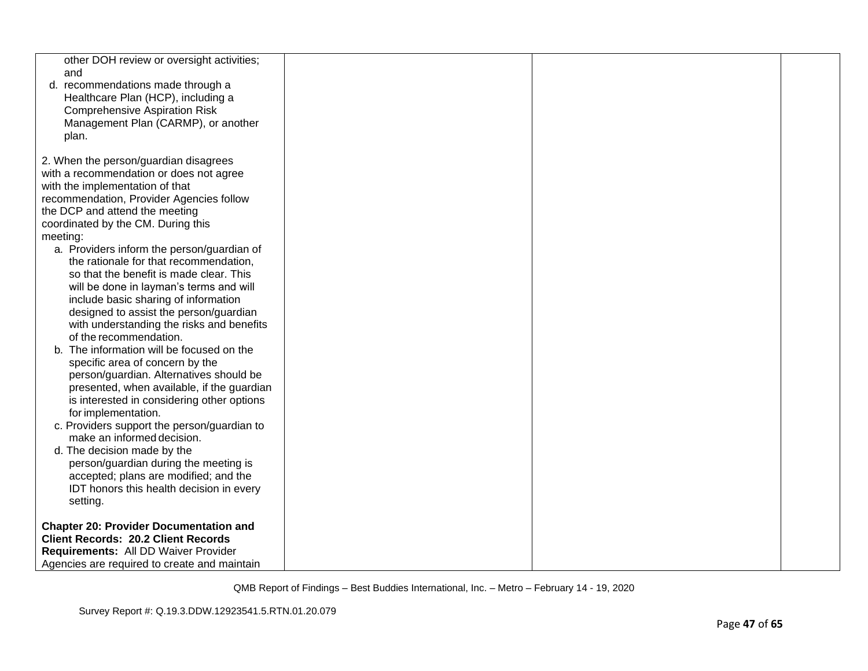| other DOH review or oversight activities;<br>and<br>d. recommendations made through a    |  |  |
|------------------------------------------------------------------------------------------|--|--|
| Healthcare Plan (HCP), including a<br><b>Comprehensive Aspiration Risk</b>               |  |  |
| Management Plan (CARMP), or another                                                      |  |  |
| plan.                                                                                    |  |  |
| 2. When the person/guardian disagrees                                                    |  |  |
| with a recommendation or does not agree                                                  |  |  |
| with the implementation of that<br>recommendation, Provider Agencies follow              |  |  |
| the DCP and attend the meeting                                                           |  |  |
| coordinated by the CM. During this                                                       |  |  |
| meeting:                                                                                 |  |  |
| a. Providers inform the person/guardian of<br>the rationale for that recommendation,     |  |  |
| so that the benefit is made clear. This                                                  |  |  |
| will be done in layman's terms and will                                                  |  |  |
| include basic sharing of information                                                     |  |  |
| designed to assist the person/guardian                                                   |  |  |
| with understanding the risks and benefits<br>of the recommendation.                      |  |  |
| The information will be focused on the<br>b.                                             |  |  |
| specific area of concern by the                                                          |  |  |
| person/guardian. Alternatives should be                                                  |  |  |
| presented, when available, if the guardian<br>is interested in considering other options |  |  |
| for implementation.                                                                      |  |  |
| c. Providers support the person/guardian to                                              |  |  |
| make an informed decision.                                                               |  |  |
| d. The decision made by the<br>person/guardian during the meeting is                     |  |  |
| accepted; plans are modified; and the                                                    |  |  |
| IDT honors this health decision in every                                                 |  |  |
| setting.                                                                                 |  |  |
| <b>Chapter 20: Provider Documentation and</b>                                            |  |  |
| <b>Client Records: 20.2 Client Records</b>                                               |  |  |
| Requirements: All DD Waiver Provider                                                     |  |  |
| Agencies are required to create and maintain                                             |  |  |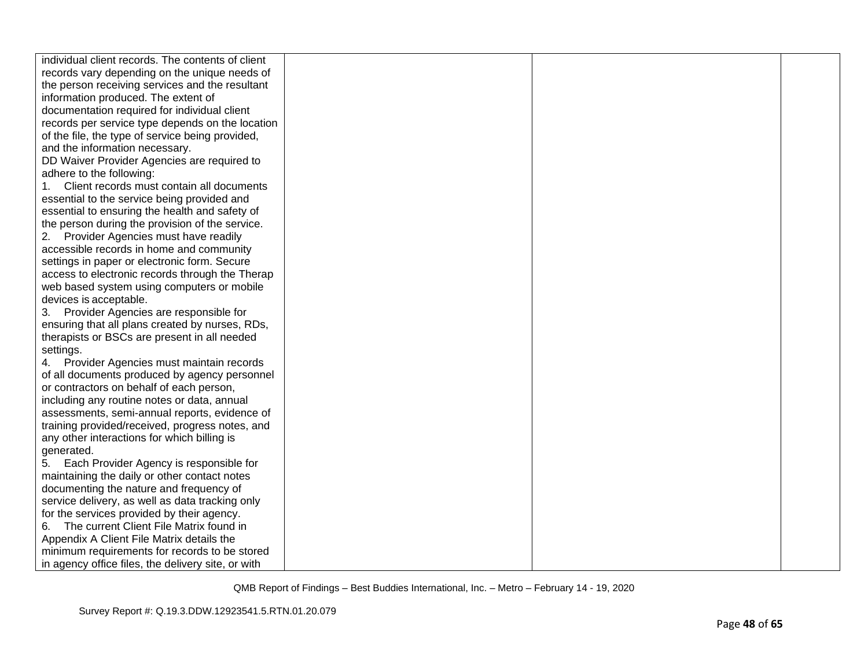| individual client records. The contents of client  |  |  |
|----------------------------------------------------|--|--|
| records vary depending on the unique needs of      |  |  |
| the person receiving services and the resultant    |  |  |
| information produced. The extent of                |  |  |
| documentation required for individual client       |  |  |
| records per service type depends on the location   |  |  |
| of the file, the type of service being provided,   |  |  |
| and the information necessary.                     |  |  |
| DD Waiver Provider Agencies are required to        |  |  |
| adhere to the following:                           |  |  |
| 1.<br>Client records must contain all documents    |  |  |
| essential to the service being provided and        |  |  |
| essential to ensuring the health and safety of     |  |  |
| the person during the provision of the service.    |  |  |
| 2. Provider Agencies must have readily             |  |  |
| accessible records in home and community           |  |  |
| settings in paper or electronic form. Secure       |  |  |
| access to electronic records through the Therap    |  |  |
| web based system using computers or mobile         |  |  |
| devices is acceptable.                             |  |  |
| 3. Provider Agencies are responsible for           |  |  |
| ensuring that all plans created by nurses, RDs,    |  |  |
| therapists or BSCs are present in all needed       |  |  |
| settings.                                          |  |  |
| 4. Provider Agencies must maintain records         |  |  |
| of all documents produced by agency personnel      |  |  |
| or contractors on behalf of each person,           |  |  |
| including any routine notes or data, annual        |  |  |
| assessments, semi-annual reports, evidence of      |  |  |
| training provided/received, progress notes, and    |  |  |
| any other interactions for which billing is        |  |  |
| generated.                                         |  |  |
| 5. Each Provider Agency is responsible for         |  |  |
| maintaining the daily or other contact notes       |  |  |
| documenting the nature and frequency of            |  |  |
| service delivery, as well as data tracking only    |  |  |
| for the services provided by their agency.         |  |  |
| The current Client File Matrix found in<br>6.      |  |  |
| Appendix A Client File Matrix details the          |  |  |
| minimum requirements for records to be stored      |  |  |
| in agency office files, the delivery site, or with |  |  |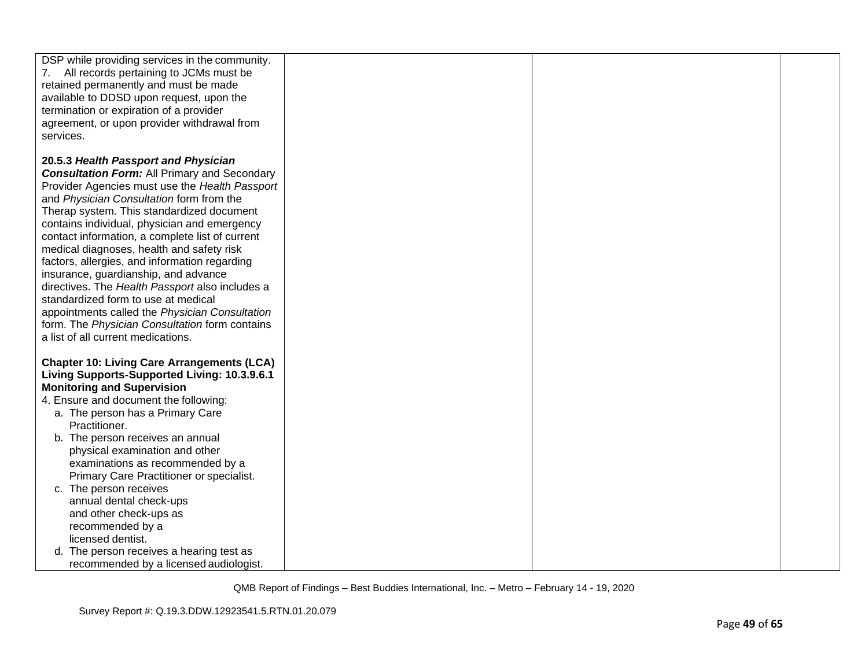| DSP while providing services in the community.<br>7. All records pertaining to JCMs must be<br>retained permanently and must be made<br>available to DDSD upon request, upon the<br>termination or expiration of a provider<br>agreement, or upon provider withdrawal from<br>services.                                                                                                                                                                                                                                                                                                                                                                                                                             |  |  |
|---------------------------------------------------------------------------------------------------------------------------------------------------------------------------------------------------------------------------------------------------------------------------------------------------------------------------------------------------------------------------------------------------------------------------------------------------------------------------------------------------------------------------------------------------------------------------------------------------------------------------------------------------------------------------------------------------------------------|--|--|
| 20.5.3 Health Passport and Physician<br><b>Consultation Form:</b> All Primary and Secondary<br>Provider Agencies must use the Health Passport<br>and Physician Consultation form from the<br>Therap system. This standardized document<br>contains individual, physician and emergency<br>contact information, a complete list of current<br>medical diagnoses, health and safety risk<br>factors, allergies, and information regarding<br>insurance, guardianship, and advance<br>directives. The Health Passport also includes a<br>standardized form to use at medical<br>appointments called the Physician Consultation<br>form. The Physician Consultation form contains<br>a list of all current medications. |  |  |
| <b>Chapter 10: Living Care Arrangements (LCA)</b><br>Living Supports-Supported Living: 10.3.9.6.1<br><b>Monitoring and Supervision</b><br>4. Ensure and document the following:<br>a. The person has a Primary Care<br>Practitioner.<br>b. The person receives an annual<br>physical examination and other<br>examinations as recommended by a<br>Primary Care Practitioner or specialist.<br>c. The person receives<br>annual dental check-ups<br>and other check-ups as<br>recommended by a<br>licensed dentist.                                                                                                                                                                                                  |  |  |
| d. The person receives a hearing test as<br>recommended by a licensed audiologist.                                                                                                                                                                                                                                                                                                                                                                                                                                                                                                                                                                                                                                  |  |  |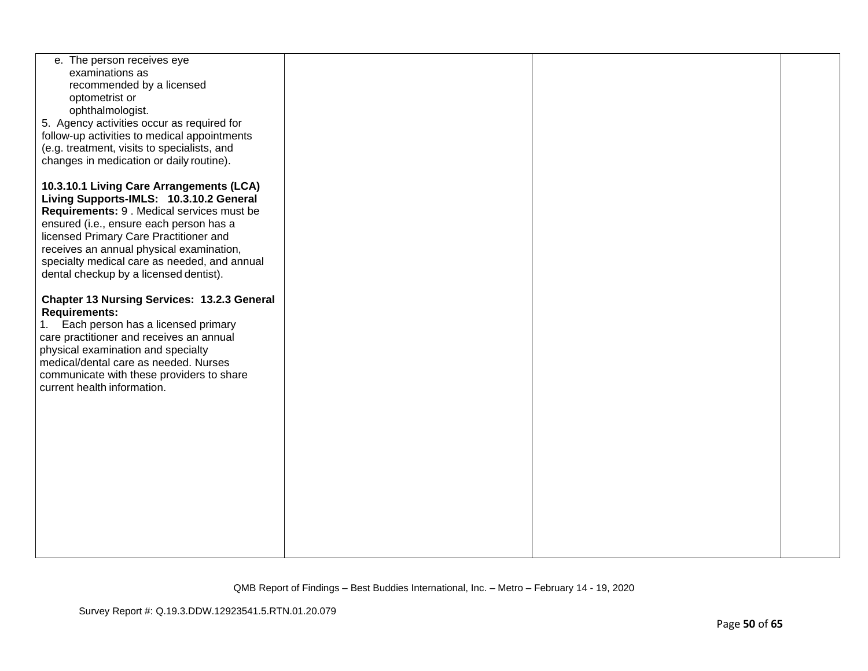| e. The person receives eye<br>examinations as<br>recommended by a licensed                 |  |  |
|--------------------------------------------------------------------------------------------|--|--|
| optometrist or<br>ophthalmologist.                                                         |  |  |
| 5. Agency activities occur as required for<br>follow-up activities to medical appointments |  |  |
| (e.g. treatment, visits to specialists, and                                                |  |  |
| changes in medication or daily routine).                                                   |  |  |
| 10.3.10.1 Living Care Arrangements (LCA)                                                   |  |  |
| Living Supports-IMLS: 10.3.10.2 General<br>Requirements: 9. Medical services must be       |  |  |
| ensured (i.e., ensure each person has a                                                    |  |  |
| licensed Primary Care Practitioner and<br>receives an annual physical examination,         |  |  |
| specialty medical care as needed, and annual                                               |  |  |
| dental checkup by a licensed dentist).                                                     |  |  |
| <b>Chapter 13 Nursing Services: 13.2.3 General</b>                                         |  |  |
| <b>Requirements:</b><br>1. Each person has a licensed primary                              |  |  |
| care practitioner and receives an annual                                                   |  |  |
| physical examination and specialty<br>medical/dental care as needed. Nurses                |  |  |
| communicate with these providers to share                                                  |  |  |
| current health information.                                                                |  |  |
|                                                                                            |  |  |
|                                                                                            |  |  |
|                                                                                            |  |  |
|                                                                                            |  |  |
|                                                                                            |  |  |
|                                                                                            |  |  |
|                                                                                            |  |  |
|                                                                                            |  |  |
|                                                                                            |  |  |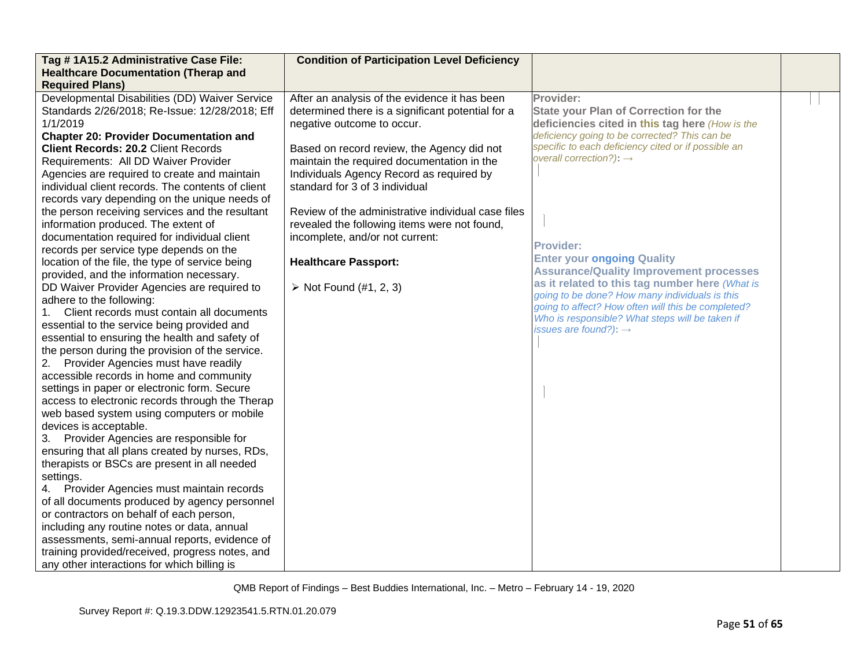| Tag # 1A15.2 Administrative Case File:<br><b>Healthcare Documentation (Therap and</b>                                                                                                                                                                                                                                                                                                                                                                                                                                                                                                                                                                                                                                                                                                                                                                                                                                                                                                                                                                                                                                                                                                                                                                                                                                                                                                                                                                                                                                                                                                                                                                                                                                                                           | <b>Condition of Participation Level Deficiency</b>                                                                                                                                                                                                                                                                                                                                                                                                                                                                          |                                                                                                                                                                                                                                                                                                                                                                                                                                                                                                                                                                                                                          |  |
|-----------------------------------------------------------------------------------------------------------------------------------------------------------------------------------------------------------------------------------------------------------------------------------------------------------------------------------------------------------------------------------------------------------------------------------------------------------------------------------------------------------------------------------------------------------------------------------------------------------------------------------------------------------------------------------------------------------------------------------------------------------------------------------------------------------------------------------------------------------------------------------------------------------------------------------------------------------------------------------------------------------------------------------------------------------------------------------------------------------------------------------------------------------------------------------------------------------------------------------------------------------------------------------------------------------------------------------------------------------------------------------------------------------------------------------------------------------------------------------------------------------------------------------------------------------------------------------------------------------------------------------------------------------------------------------------------------------------------------------------------------------------|-----------------------------------------------------------------------------------------------------------------------------------------------------------------------------------------------------------------------------------------------------------------------------------------------------------------------------------------------------------------------------------------------------------------------------------------------------------------------------------------------------------------------------|--------------------------------------------------------------------------------------------------------------------------------------------------------------------------------------------------------------------------------------------------------------------------------------------------------------------------------------------------------------------------------------------------------------------------------------------------------------------------------------------------------------------------------------------------------------------------------------------------------------------------|--|
| <b>Required Plans)</b>                                                                                                                                                                                                                                                                                                                                                                                                                                                                                                                                                                                                                                                                                                                                                                                                                                                                                                                                                                                                                                                                                                                                                                                                                                                                                                                                                                                                                                                                                                                                                                                                                                                                                                                                          |                                                                                                                                                                                                                                                                                                                                                                                                                                                                                                                             |                                                                                                                                                                                                                                                                                                                                                                                                                                                                                                                                                                                                                          |  |
| Developmental Disabilities (DD) Waiver Service<br>Standards 2/26/2018; Re-Issue: 12/28/2018; Eff<br>1/1/2019<br><b>Chapter 20: Provider Documentation and</b><br><b>Client Records: 20.2 Client Records</b><br>Requirements: All DD Waiver Provider<br>Agencies are required to create and maintain<br>individual client records. The contents of client<br>records vary depending on the unique needs of<br>the person receiving services and the resultant<br>information produced. The extent of<br>documentation required for individual client<br>records per service type depends on the<br>location of the file, the type of service being<br>provided, and the information necessary.<br>DD Waiver Provider Agencies are required to<br>adhere to the following:<br>Client records must contain all documents<br>1.<br>essential to the service being provided and<br>essential to ensuring the health and safety of<br>the person during the provision of the service.<br>Provider Agencies must have readily<br>2.<br>accessible records in home and community<br>settings in paper or electronic form. Secure<br>access to electronic records through the Therap<br>web based system using computers or mobile<br>devices is acceptable.<br>Provider Agencies are responsible for<br>3.<br>ensuring that all plans created by nurses, RDs,<br>therapists or BSCs are present in all needed<br>settings.<br>4. Provider Agencies must maintain records<br>of all documents produced by agency personnel<br>or contractors on behalf of each person,<br>including any routine notes or data, annual<br>assessments, semi-annual reports, evidence of<br>training provided/received, progress notes, and<br>any other interactions for which billing is | After an analysis of the evidence it has been<br>determined there is a significant potential for a<br>negative outcome to occur.<br>Based on record review, the Agency did not<br>maintain the required documentation in the<br>Individuals Agency Record as required by<br>standard for 3 of 3 individual<br>Review of the administrative individual case files<br>revealed the following items were not found,<br>incomplete, and/or not current:<br><b>Healthcare Passport:</b><br>$\triangleright$ Not Found (#1, 2, 3) | Provider:<br><b>State your Plan of Correction for the</b><br>deficiencies cited in this tag here (How is the<br>deficiency going to be corrected? This can be<br>specific to each deficiency cited or if possible an<br>overall correction?): $\rightarrow$<br><b>Provider:</b><br><b>Enter your ongoing Quality</b><br><b>Assurance/Quality Improvement processes</b><br>as it related to this tag number here (What is<br>going to be done? How many individuals is this<br>going to affect? How often will this be completed?<br>Who is responsible? What steps will be taken if<br>issues are found?): $\rightarrow$ |  |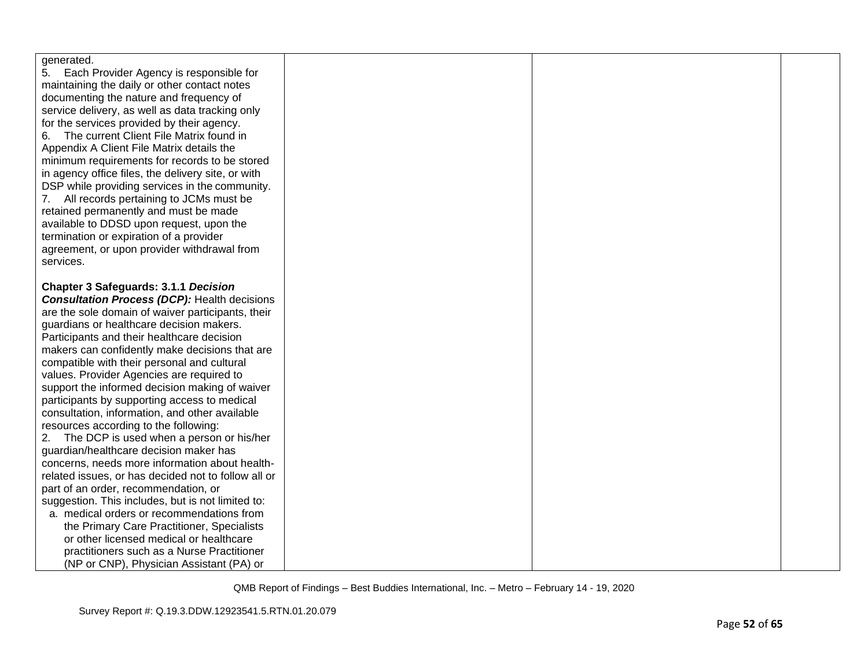| generated.                                                                                     |  |  |
|------------------------------------------------------------------------------------------------|--|--|
| 5.<br>Each Provider Agency is responsible for                                                  |  |  |
| maintaining the daily or other contact notes                                                   |  |  |
| documenting the nature and frequency of                                                        |  |  |
| service delivery, as well as data tracking only                                                |  |  |
| for the services provided by their agency.                                                     |  |  |
| The current Client File Matrix found in<br>6.                                                  |  |  |
| Appendix A Client File Matrix details the                                                      |  |  |
| minimum requirements for records to be stored                                                  |  |  |
| in agency office files, the delivery site, or with                                             |  |  |
| DSP while providing services in the community.                                                 |  |  |
| 7. All records pertaining to JCMs must be                                                      |  |  |
| retained permanently and must be made                                                          |  |  |
| available to DDSD upon request, upon the                                                       |  |  |
| termination or expiration of a provider                                                        |  |  |
| agreement, or upon provider withdrawal from                                                    |  |  |
| services.                                                                                      |  |  |
|                                                                                                |  |  |
| <b>Chapter 3 Safeguards: 3.1.1 Decision</b>                                                    |  |  |
| <b>Consultation Process (DCP): Health decisions</b>                                            |  |  |
| are the sole domain of waiver participants, their                                              |  |  |
| guardians or healthcare decision makers.                                                       |  |  |
| Participants and their healthcare decision                                                     |  |  |
| makers can confidently make decisions that are                                                 |  |  |
| compatible with their personal and cultural                                                    |  |  |
| values. Provider Agencies are required to                                                      |  |  |
| support the informed decision making of waiver                                                 |  |  |
| participants by supporting access to medical                                                   |  |  |
| consultation, information, and other available                                                 |  |  |
| resources according to the following:                                                          |  |  |
| 2.<br>The DCP is used when a person or his/her                                                 |  |  |
| guardian/healthcare decision maker has                                                         |  |  |
| concerns, needs more information about health-                                                 |  |  |
| related issues, or has decided not to follow all or                                            |  |  |
| part of an order, recommendation, or                                                           |  |  |
| suggestion. This includes, but is not limited to:<br>a. medical orders or recommendations from |  |  |
| the Primary Care Practitioner, Specialists                                                     |  |  |
| or other licensed medical or healthcare                                                        |  |  |
|                                                                                                |  |  |
| practitioners such as a Nurse Practitioner                                                     |  |  |
| (NP or CNP), Physician Assistant (PA) or                                                       |  |  |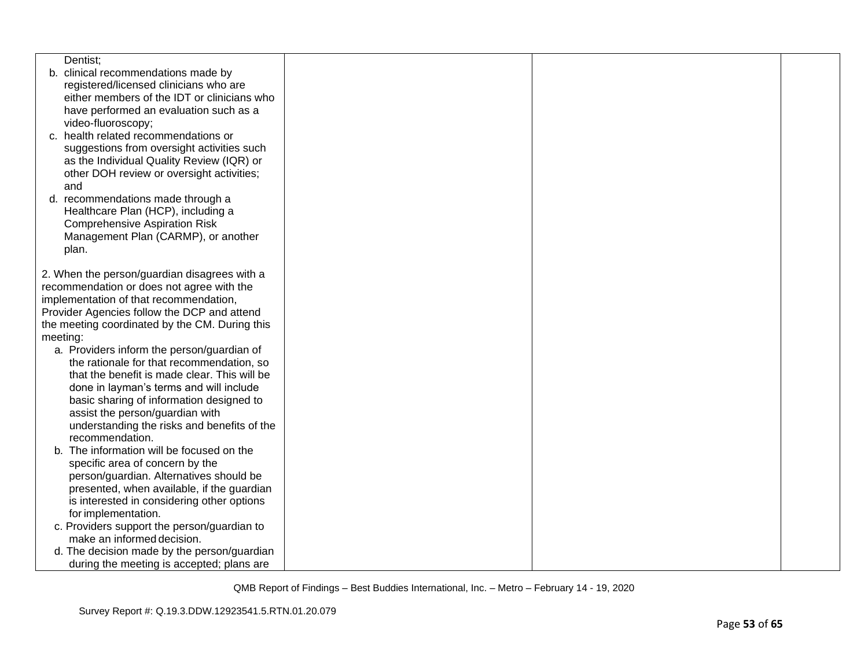|          | Dentist;                                                                  |  |  |
|----------|---------------------------------------------------------------------------|--|--|
|          | b. clinical recommendations made by                                       |  |  |
|          | registered/licensed clinicians who are                                    |  |  |
|          | either members of the IDT or clinicians who                               |  |  |
|          | have performed an evaluation such as a                                    |  |  |
|          | video-fluoroscopy;                                                        |  |  |
|          | c. health related recommendations or                                      |  |  |
|          | suggestions from oversight activities such                                |  |  |
|          | as the Individual Quality Review (IQR) or                                 |  |  |
|          | other DOH review or oversight activities;                                 |  |  |
| and      |                                                                           |  |  |
|          | d. recommendations made through a<br>Healthcare Plan (HCP), including a   |  |  |
|          | <b>Comprehensive Aspiration Risk</b>                                      |  |  |
|          | Management Plan (CARMP), or another                                       |  |  |
|          | plan.                                                                     |  |  |
|          |                                                                           |  |  |
|          | 2. When the person/guardian disagrees with a                              |  |  |
|          | recommendation or does not agree with the                                 |  |  |
|          | implementation of that recommendation,                                    |  |  |
|          | Provider Agencies follow the DCP and attend                               |  |  |
|          | the meeting coordinated by the CM. During this                            |  |  |
| meeting: |                                                                           |  |  |
|          | a. Providers inform the person/guardian of                                |  |  |
|          | the rationale for that recommendation, so                                 |  |  |
|          | that the benefit is made clear. This will be                              |  |  |
|          | done in layman's terms and will include                                   |  |  |
|          | basic sharing of information designed to                                  |  |  |
|          | assist the person/guardian with                                           |  |  |
|          | understanding the risks and benefits of the                               |  |  |
|          | recommendation.                                                           |  |  |
|          | b. The information will be focused on the                                 |  |  |
|          | specific area of concern by the                                           |  |  |
|          | person/guardian. Alternatives should be                                   |  |  |
|          | presented, when available, if the guardian                                |  |  |
|          | is interested in considering other options                                |  |  |
|          | for implementation.                                                       |  |  |
|          | c. Providers support the person/guardian to<br>make an informed decision. |  |  |
|          |                                                                           |  |  |
|          | d. The decision made by the person/guardian                               |  |  |
|          | during the meeting is accepted; plans are                                 |  |  |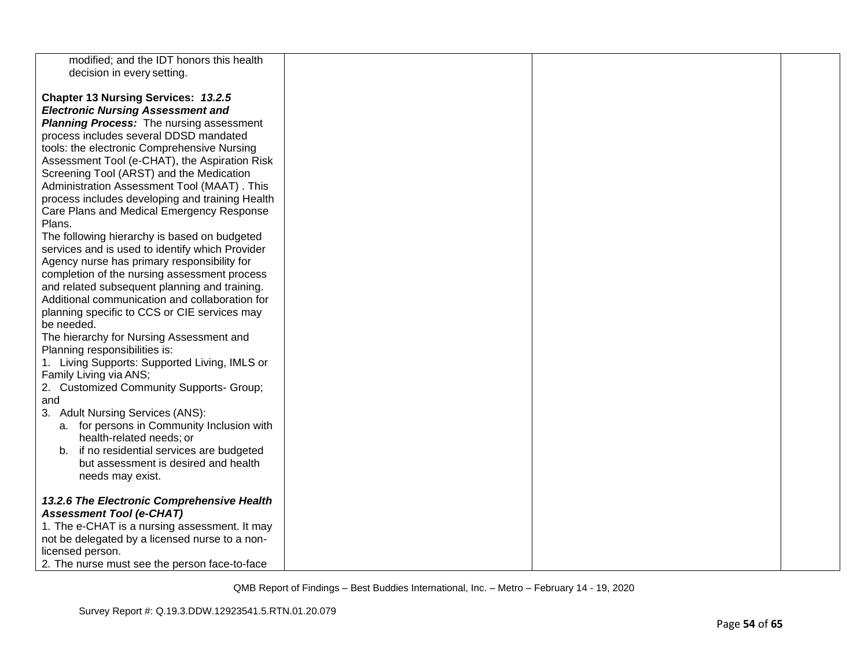| modified; and the IDT honors this health        |  |  |
|-------------------------------------------------|--|--|
| decision in every setting.                      |  |  |
|                                                 |  |  |
|                                                 |  |  |
| Chapter 13 Nursing Services: 13.2.5             |  |  |
| <b>Electronic Nursing Assessment and</b>        |  |  |
| <b>Planning Process:</b> The nursing assessment |  |  |
| process includes several DDSD mandated          |  |  |
| tools: the electronic Comprehensive Nursing     |  |  |
| Assessment Tool (e-CHAT), the Aspiration Risk   |  |  |
| Screening Tool (ARST) and the Medication        |  |  |
| Administration Assessment Tool (MAAT). This     |  |  |
|                                                 |  |  |
| process includes developing and training Health |  |  |
| Care Plans and Medical Emergency Response       |  |  |
| Plans.                                          |  |  |
| The following hierarchy is based on budgeted    |  |  |
| services and is used to identify which Provider |  |  |
| Agency nurse has primary responsibility for     |  |  |
| completion of the nursing assessment process    |  |  |
| and related subsequent planning and training.   |  |  |
| Additional communication and collaboration for  |  |  |
|                                                 |  |  |
| planning specific to CCS or CIE services may    |  |  |
| be needed.                                      |  |  |
| The hierarchy for Nursing Assessment and        |  |  |
| Planning responsibilities is:                   |  |  |
| 1. Living Supports: Supported Living, IMLS or   |  |  |
| Family Living via ANS;                          |  |  |
| 2. Customized Community Supports- Group;        |  |  |
| and                                             |  |  |
| 3. Adult Nursing Services (ANS):                |  |  |
| a. for persons in Community Inclusion with      |  |  |
| health-related needs; or                        |  |  |
|                                                 |  |  |
| if no residential services are budgeted<br>b.   |  |  |
| but assessment is desired and health            |  |  |
| needs may exist.                                |  |  |
|                                                 |  |  |
| 13.2.6 The Electronic Comprehensive Health      |  |  |
| <b>Assessment Tool (e-CHAT)</b>                 |  |  |
| 1. The e-CHAT is a nursing assessment. It may   |  |  |
| not be delegated by a licensed nurse to a non-  |  |  |
| licensed person.                                |  |  |
| 2. The nurse must see the person face-to-face   |  |  |
|                                                 |  |  |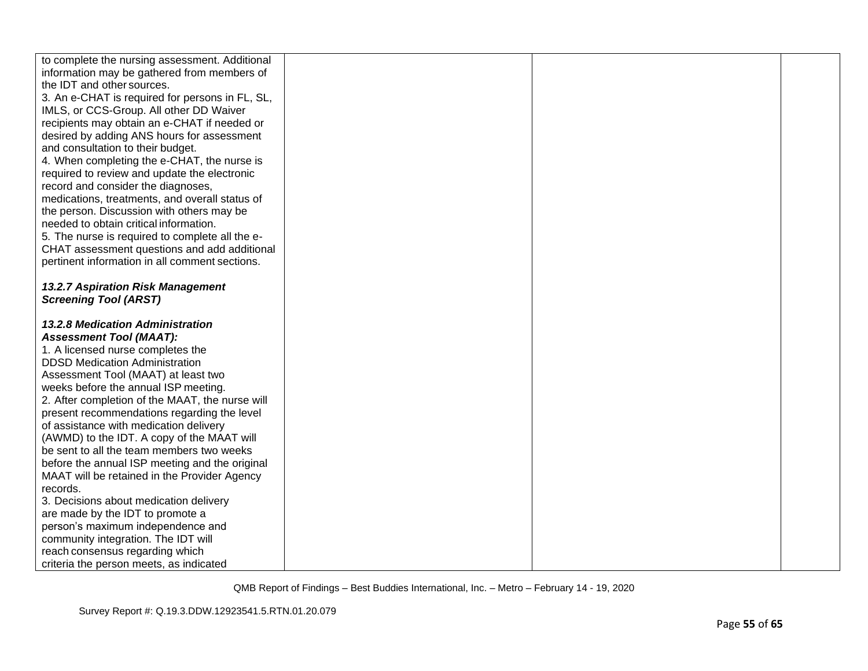| to complete the nursing assessment. Additional  |  |  |
|-------------------------------------------------|--|--|
| information may be gathered from members of     |  |  |
| the IDT and other sources.                      |  |  |
| 3. An e-CHAT is required for persons in FL, SL, |  |  |
| IMLS, or CCS-Group. All other DD Waiver         |  |  |
|                                                 |  |  |
| recipients may obtain an e-CHAT if needed or    |  |  |
| desired by adding ANS hours for assessment      |  |  |
| and consultation to their budget.               |  |  |
| 4. When completing the e-CHAT, the nurse is     |  |  |
| required to review and update the electronic    |  |  |
| record and consider the diagnoses,              |  |  |
| medications, treatments, and overall status of  |  |  |
| the person. Discussion with others may be       |  |  |
| needed to obtain critical information.          |  |  |
| 5. The nurse is required to complete all the e- |  |  |
| CHAT assessment questions and add additional    |  |  |
| pertinent information in all comment sections.  |  |  |
|                                                 |  |  |
| 13.2.7 Aspiration Risk Management               |  |  |
| <b>Screening Tool (ARST)</b>                    |  |  |
|                                                 |  |  |
| <b>13.2.8 Medication Administration</b>         |  |  |
| <b>Assessment Tool (MAAT):</b>                  |  |  |
| 1. A licensed nurse completes the               |  |  |
| <b>DDSD Medication Administration</b>           |  |  |
| Assessment Tool (MAAT) at least two             |  |  |
| weeks before the annual ISP meeting.            |  |  |
| 2. After completion of the MAAT, the nurse will |  |  |
| present recommendations regarding the level     |  |  |
| of assistance with medication delivery          |  |  |
| (AWMD) to the IDT. A copy of the MAAT will      |  |  |
| be sent to all the team members two weeks       |  |  |
| before the annual ISP meeting and the original  |  |  |
| MAAT will be retained in the Provider Agency    |  |  |
| records.                                        |  |  |
| 3. Decisions about medication delivery          |  |  |
| are made by the IDT to promote a                |  |  |
| person's maximum independence and               |  |  |
| community integration. The IDT will             |  |  |
| reach consensus regarding which                 |  |  |
| criteria the person meets, as indicated         |  |  |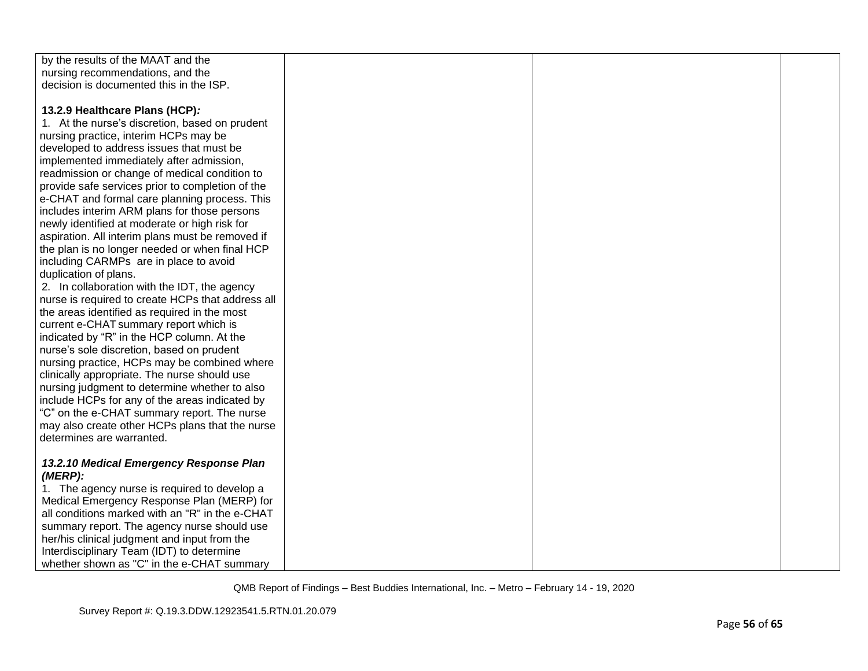| by the results of the MAAT and the                |  |  |
|---------------------------------------------------|--|--|
| nursing recommendations, and the                  |  |  |
| decision is documented this in the ISP.           |  |  |
|                                                   |  |  |
| 13.2.9 Healthcare Plans (HCP):                    |  |  |
| 1. At the nurse's discretion, based on prudent    |  |  |
| nursing practice, interim HCPs may be             |  |  |
| developed to address issues that must be          |  |  |
| implemented immediately after admission,          |  |  |
| readmission or change of medical condition to     |  |  |
| provide safe services prior to completion of the  |  |  |
| e-CHAT and formal care planning process. This     |  |  |
| includes interim ARM plans for those persons      |  |  |
| newly identified at moderate or high risk for     |  |  |
| aspiration. All interim plans must be removed if  |  |  |
| the plan is no longer needed or when final HCP    |  |  |
| including CARMPs are in place to avoid            |  |  |
| duplication of plans.                             |  |  |
| 2. In collaboration with the IDT, the agency      |  |  |
| nurse is required to create HCPs that address all |  |  |
| the areas identified as required in the most      |  |  |
| current e-CHAT summary report which is            |  |  |
| indicated by "R" in the HCP column. At the        |  |  |
| nurse's sole discretion, based on prudent         |  |  |
| nursing practice, HCPs may be combined where      |  |  |
| clinically appropriate. The nurse should use      |  |  |
| nursing judgment to determine whether to also     |  |  |
| include HCPs for any of the areas indicated by    |  |  |
| "C" on the e-CHAT summary report. The nurse       |  |  |
| may also create other HCPs plans that the nurse   |  |  |
| determines are warranted.                         |  |  |
|                                                   |  |  |
| 13.2.10 Medical Emergency Response Plan           |  |  |
| $(MERP)$ :                                        |  |  |
| 1. The agency nurse is required to develop a      |  |  |
| Medical Emergency Response Plan (MERP) for        |  |  |
| all conditions marked with an "R" in the e-CHAT   |  |  |
| summary report. The agency nurse should use       |  |  |
| her/his clinical judgment and input from the      |  |  |
| Interdisciplinary Team (IDT) to determine         |  |  |
| whether shown as "C" in the e-CHAT summary        |  |  |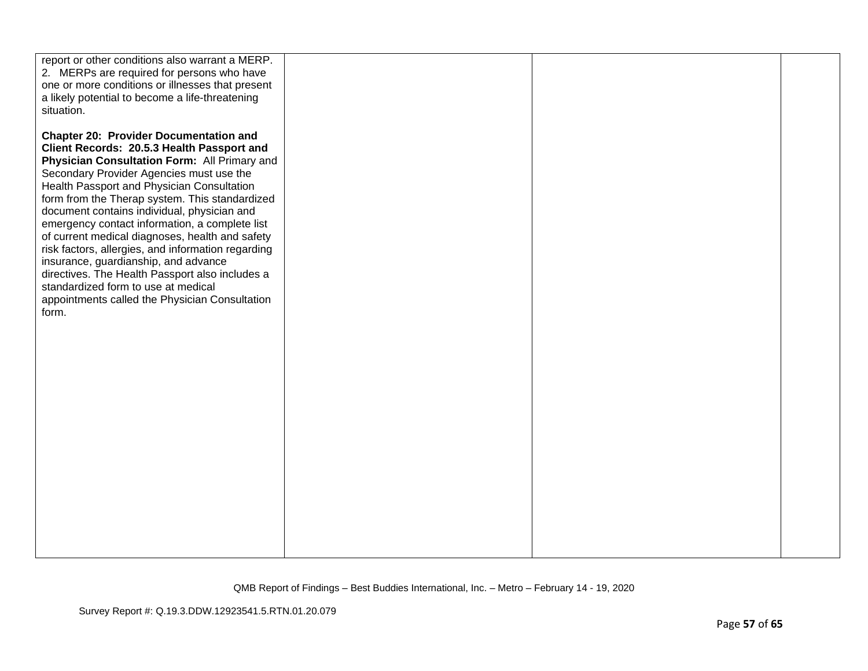| report or other conditions also warrant a MERP.<br>2. MERPs are required for persons who have<br>one or more conditions or illnesses that present<br>a likely potential to become a life-threatening<br>situation.                                                                                                                                                                                                                                                                                                                                                                                                                                                                    |  |  |
|---------------------------------------------------------------------------------------------------------------------------------------------------------------------------------------------------------------------------------------------------------------------------------------------------------------------------------------------------------------------------------------------------------------------------------------------------------------------------------------------------------------------------------------------------------------------------------------------------------------------------------------------------------------------------------------|--|--|
| <b>Chapter 20: Provider Documentation and</b><br>Client Records: 20.5.3 Health Passport and<br>Physician Consultation Form: All Primary and<br>Secondary Provider Agencies must use the<br>Health Passport and Physician Consultation<br>form from the Therap system. This standardized<br>document contains individual, physician and<br>emergency contact information, a complete list<br>of current medical diagnoses, health and safety<br>risk factors, allergies, and information regarding<br>insurance, guardianship, and advance<br>directives. The Health Passport also includes a<br>standardized form to use at medical<br>appointments called the Physician Consultation |  |  |
| form.                                                                                                                                                                                                                                                                                                                                                                                                                                                                                                                                                                                                                                                                                 |  |  |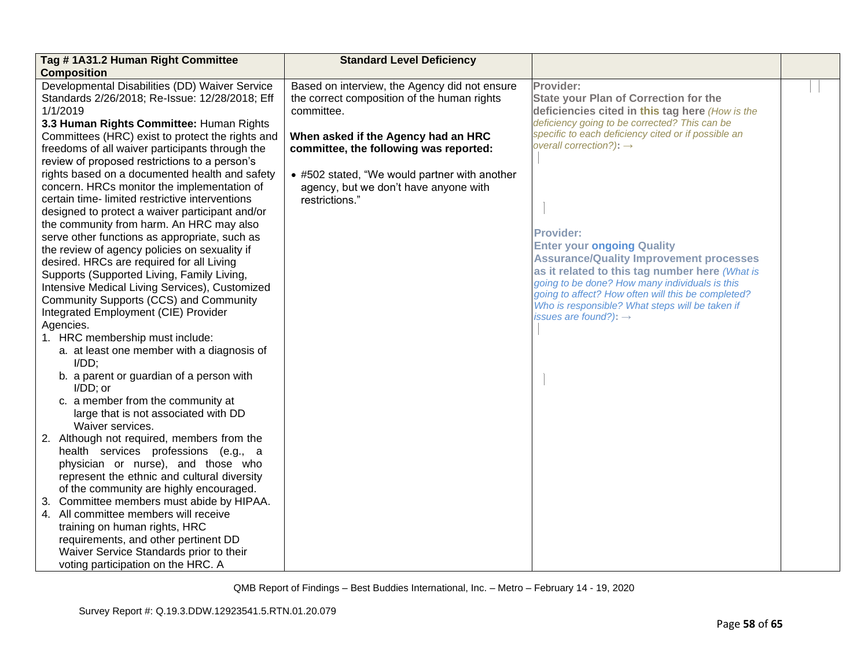| Tag #1A31.2 Human Right Committee                                                                            | <b>Standard Level Deficiency</b>                                                                           |                                                                                                              |  |
|--------------------------------------------------------------------------------------------------------------|------------------------------------------------------------------------------------------------------------|--------------------------------------------------------------------------------------------------------------|--|
| <b>Composition</b>                                                                                           |                                                                                                            |                                                                                                              |  |
| Developmental Disabilities (DD) Waiver Service<br>Standards 2/26/2018; Re-Issue: 12/28/2018; Eff<br>1/1/2019 | Based on interview, the Agency did not ensure<br>the correct composition of the human rights<br>committee. | Provider:<br><b>State your Plan of Correction for the</b><br>deficiencies cited in this tag here (How is the |  |
| 3.3 Human Rights Committee: Human Rights                                                                     |                                                                                                            | deficiency going to be corrected? This can be                                                                |  |
| Committees (HRC) exist to protect the rights and                                                             | When asked if the Agency had an HRC                                                                        | specific to each deficiency cited or if possible an                                                          |  |
| freedoms of all waiver participants through the                                                              | committee, the following was reported:                                                                     | overall correction?): $\rightarrow$                                                                          |  |
| review of proposed restrictions to a person's                                                                |                                                                                                            |                                                                                                              |  |
| rights based on a documented health and safety                                                               | • #502 stated, "We would partner with another                                                              |                                                                                                              |  |
| concern. HRCs monitor the implementation of                                                                  | agency, but we don't have anyone with                                                                      |                                                                                                              |  |
| certain time- limited restrictive interventions                                                              | restrictions."                                                                                             |                                                                                                              |  |
| designed to protect a waiver participant and/or                                                              |                                                                                                            |                                                                                                              |  |
| the community from harm. An HRC may also                                                                     |                                                                                                            | <b>Provider:</b>                                                                                             |  |
| serve other functions as appropriate, such as                                                                |                                                                                                            | <b>Enter your ongoing Quality</b>                                                                            |  |
| the review of agency policies on sexuality if                                                                |                                                                                                            | <b>Assurance/Quality Improvement processes</b>                                                               |  |
| desired. HRCs are required for all Living                                                                    |                                                                                                            | as it related to this tag number here (What is                                                               |  |
| Supports (Supported Living, Family Living,                                                                   |                                                                                                            | going to be done? How many individuals is this                                                               |  |
| Intensive Medical Living Services), Customized                                                               |                                                                                                            | going to affect? How often will this be completed?                                                           |  |
| Community Supports (CCS) and Community                                                                       |                                                                                                            | Who is responsible? What steps will be taken if                                                              |  |
| Integrated Employment (CIE) Provider<br>Agencies.                                                            |                                                                                                            | issues are found?): $\rightarrow$                                                                            |  |
| 1. HRC membership must include:                                                                              |                                                                                                            |                                                                                                              |  |
| a. at least one member with a diagnosis of                                                                   |                                                                                                            |                                                                                                              |  |
| $I/DD$ ;                                                                                                     |                                                                                                            |                                                                                                              |  |
| b. a parent or guardian of a person with<br>$I/DD$ ; or                                                      |                                                                                                            |                                                                                                              |  |
| c. a member from the community at                                                                            |                                                                                                            |                                                                                                              |  |
| large that is not associated with DD                                                                         |                                                                                                            |                                                                                                              |  |
| Waiver services.                                                                                             |                                                                                                            |                                                                                                              |  |
| 2. Although not required, members from the                                                                   |                                                                                                            |                                                                                                              |  |
| health services professions (e.g., a                                                                         |                                                                                                            |                                                                                                              |  |
| physician or nurse), and those who<br>represent the ethnic and cultural diversity                            |                                                                                                            |                                                                                                              |  |
|                                                                                                              |                                                                                                            |                                                                                                              |  |
| of the community are highly encouraged.<br>3. Committee members must abide by HIPAA.                         |                                                                                                            |                                                                                                              |  |
| 4. All committee members will receive                                                                        |                                                                                                            |                                                                                                              |  |
| training on human rights, HRC                                                                                |                                                                                                            |                                                                                                              |  |
| requirements, and other pertinent DD                                                                         |                                                                                                            |                                                                                                              |  |
| Waiver Service Standards prior to their                                                                      |                                                                                                            |                                                                                                              |  |
| voting participation on the HRC. A                                                                           |                                                                                                            |                                                                                                              |  |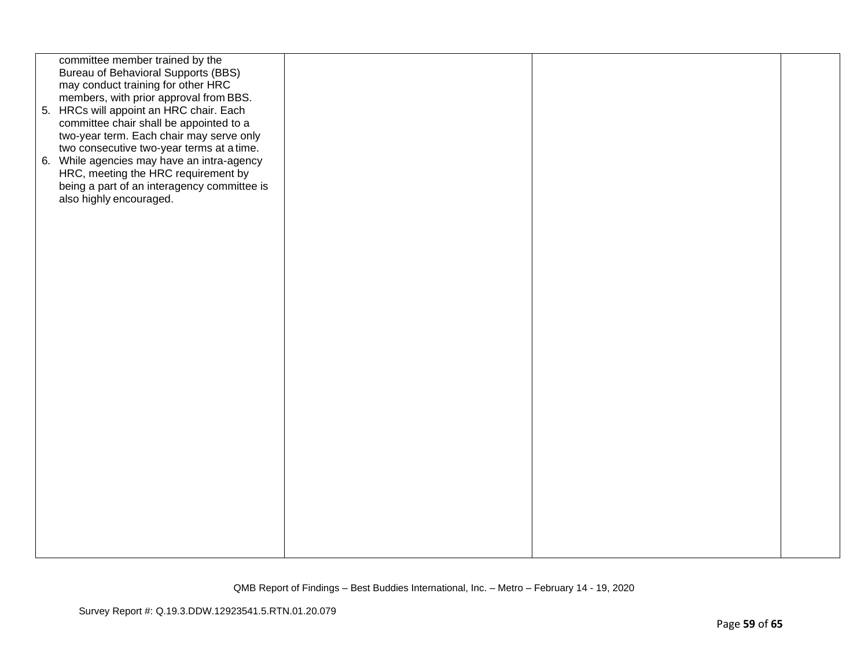| committee member trained by the<br><b>Bureau of Behavioral Supports (BBS)</b><br>may conduct training for other HRC<br>members, with prior approval from BBS.<br>5. HRCs will appoint an HRC chair. Each<br>committee chair shall be appointed to a<br>two-year term. Each chair may serve only<br>two consecutive two-year terms at a time.<br>6. While agencies may have an intra-agency<br>HRC, meeting the HRC requirement by<br>being a part of an interagency committee is<br>also highly encouraged. |  |  |
|-------------------------------------------------------------------------------------------------------------------------------------------------------------------------------------------------------------------------------------------------------------------------------------------------------------------------------------------------------------------------------------------------------------------------------------------------------------------------------------------------------------|--|--|
|                                                                                                                                                                                                                                                                                                                                                                                                                                                                                                             |  |  |
|                                                                                                                                                                                                                                                                                                                                                                                                                                                                                                             |  |  |
|                                                                                                                                                                                                                                                                                                                                                                                                                                                                                                             |  |  |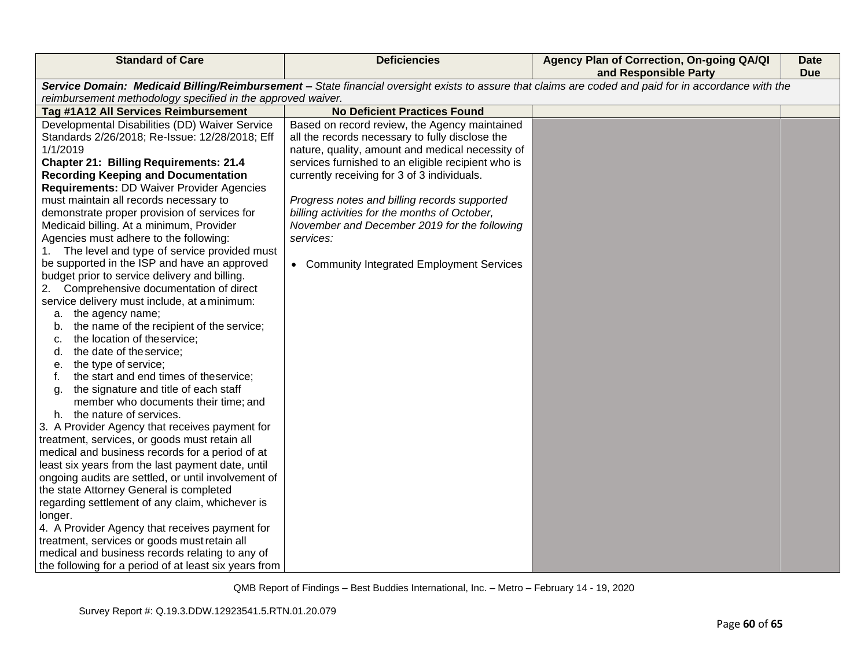| <b>Standard of Care</b>                                       | <b>Deficiencies</b>                                | Agency Plan of Correction, On-going QA/QI<br>and Responsible Party                                                                                    | Date<br><b>Due</b> |
|---------------------------------------------------------------|----------------------------------------------------|-------------------------------------------------------------------------------------------------------------------------------------------------------|--------------------|
|                                                               |                                                    | Service Domain: Medicaid Billing/Reimbursement - State financial oversight exists to assure that claims are coded and paid for in accordance with the |                    |
| reimbursement methodology specified in the approved waiver.   |                                                    |                                                                                                                                                       |                    |
| Tag #1A12 All Services Reimbursement                          | <b>No Deficient Practices Found</b>                |                                                                                                                                                       |                    |
| Developmental Disabilities (DD) Waiver Service                | Based on record review, the Agency maintained      |                                                                                                                                                       |                    |
| Standards 2/26/2018; Re-Issue: 12/28/2018; Eff                | all the records necessary to fully disclose the    |                                                                                                                                                       |                    |
| 1/1/2019                                                      | nature, quality, amount and medical necessity of   |                                                                                                                                                       |                    |
| <b>Chapter 21: Billing Requirements: 21.4</b>                 | services furnished to an eligible recipient who is |                                                                                                                                                       |                    |
| <b>Recording Keeping and Documentation</b>                    | currently receiving for 3 of 3 individuals.        |                                                                                                                                                       |                    |
| <b>Requirements: DD Waiver Provider Agencies</b>              |                                                    |                                                                                                                                                       |                    |
| must maintain all records necessary to                        | Progress notes and billing records supported       |                                                                                                                                                       |                    |
| demonstrate proper provision of services for                  | billing activities for the months of October,      |                                                                                                                                                       |                    |
| Medicaid billing. At a minimum, Provider                      | November and December 2019 for the following       |                                                                                                                                                       |                    |
| Agencies must adhere to the following:                        | services:                                          |                                                                                                                                                       |                    |
| The level and type of service provided must                   |                                                    |                                                                                                                                                       |                    |
| be supported in the ISP and have an approved                  | • Community Integrated Employment Services         |                                                                                                                                                       |                    |
| budget prior to service delivery and billing.                 |                                                    |                                                                                                                                                       |                    |
| 2. Comprehensive documentation of direct                      |                                                    |                                                                                                                                                       |                    |
| service delivery must include, at a minimum:                  |                                                    |                                                                                                                                                       |                    |
| a. the agency name;                                           |                                                    |                                                                                                                                                       |                    |
| the name of the recipient of the service;<br>b.               |                                                    |                                                                                                                                                       |                    |
| the location of theservice;<br>c.<br>the date of the service; |                                                    |                                                                                                                                                       |                    |
| d.<br>the type of service;                                    |                                                    |                                                                                                                                                       |                    |
| е.<br>the start and end times of theservice;<br>f.            |                                                    |                                                                                                                                                       |                    |
| the signature and title of each staff<br>a.                   |                                                    |                                                                                                                                                       |                    |
| member who documents their time; and                          |                                                    |                                                                                                                                                       |                    |
| h. the nature of services.                                    |                                                    |                                                                                                                                                       |                    |
| 3. A Provider Agency that receives payment for                |                                                    |                                                                                                                                                       |                    |
| treatment, services, or goods must retain all                 |                                                    |                                                                                                                                                       |                    |
| medical and business records for a period of at               |                                                    |                                                                                                                                                       |                    |
| least six years from the last payment date, until             |                                                    |                                                                                                                                                       |                    |
| ongoing audits are settled, or until involvement of           |                                                    |                                                                                                                                                       |                    |
| the state Attorney General is completed                       |                                                    |                                                                                                                                                       |                    |
| regarding settlement of any claim, whichever is               |                                                    |                                                                                                                                                       |                    |
| longer.                                                       |                                                    |                                                                                                                                                       |                    |
| 4. A Provider Agency that receives payment for                |                                                    |                                                                                                                                                       |                    |
| treatment, services or goods must retain all                  |                                                    |                                                                                                                                                       |                    |
| medical and business records relating to any of               |                                                    |                                                                                                                                                       |                    |
| the following for a period of at least six years from         |                                                    |                                                                                                                                                       |                    |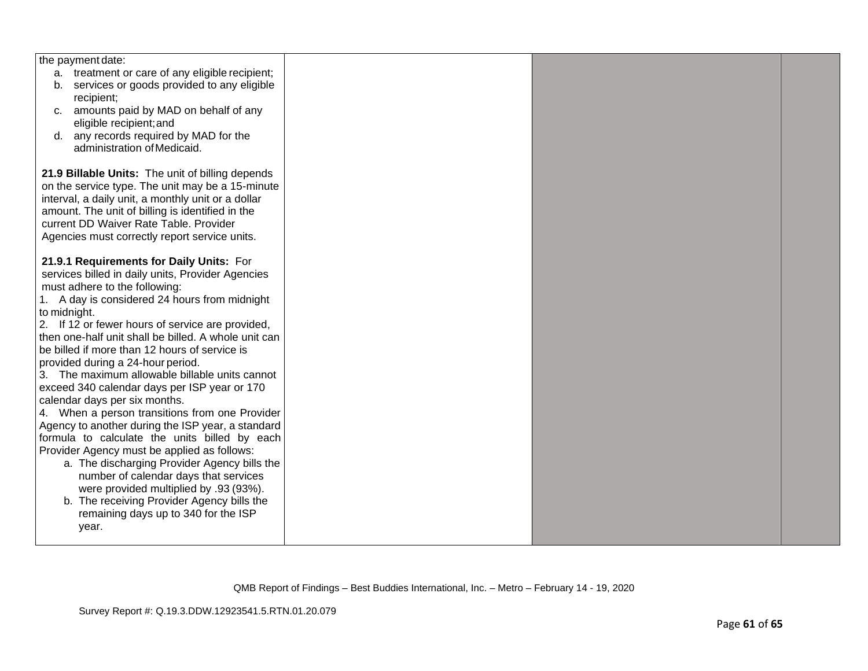| the payment date:                                    |  |  |
|------------------------------------------------------|--|--|
| a. treatment or care of any eligible recipient;      |  |  |
| services or goods provided to any eligible<br>b.     |  |  |
| recipient;                                           |  |  |
| amounts paid by MAD on behalf of any<br>C.           |  |  |
| eligible recipient; and                              |  |  |
| d. any records required by MAD for the               |  |  |
| administration of Medicaid.                          |  |  |
|                                                      |  |  |
| 21.9 Billable Units: The unit of billing depends     |  |  |
| on the service type. The unit may be a 15-minute     |  |  |
| interval, a daily unit, a monthly unit or a dollar   |  |  |
| amount. The unit of billing is identified in the     |  |  |
| current DD Waiver Rate Table. Provider               |  |  |
| Agencies must correctly report service units.        |  |  |
|                                                      |  |  |
| 21.9.1 Requirements for Daily Units: For             |  |  |
| services billed in daily units, Provider Agencies    |  |  |
| must adhere to the following:                        |  |  |
| 1. A day is considered 24 hours from midnight        |  |  |
| to midnight.                                         |  |  |
| 2. If 12 or fewer hours of service are provided,     |  |  |
| then one-half unit shall be billed. A whole unit can |  |  |
| be billed if more than 12 hours of service is        |  |  |
| provided during a 24-hour period.                    |  |  |
| 3. The maximum allowable billable units cannot       |  |  |
| exceed 340 calendar days per ISP year or 170         |  |  |
| calendar days per six months.                        |  |  |
| 4. When a person transitions from one Provider       |  |  |
| Agency to another during the ISP year, a standard    |  |  |
| formula to calculate the units billed by each        |  |  |
| Provider Agency must be applied as follows:          |  |  |
| a. The discharging Provider Agency bills the         |  |  |
| number of calendar days that services                |  |  |
| were provided multiplied by .93 (93%).               |  |  |
| b. The receiving Provider Agency bills the           |  |  |
| remaining days up to 340 for the ISP                 |  |  |
| year.                                                |  |  |
|                                                      |  |  |
|                                                      |  |  |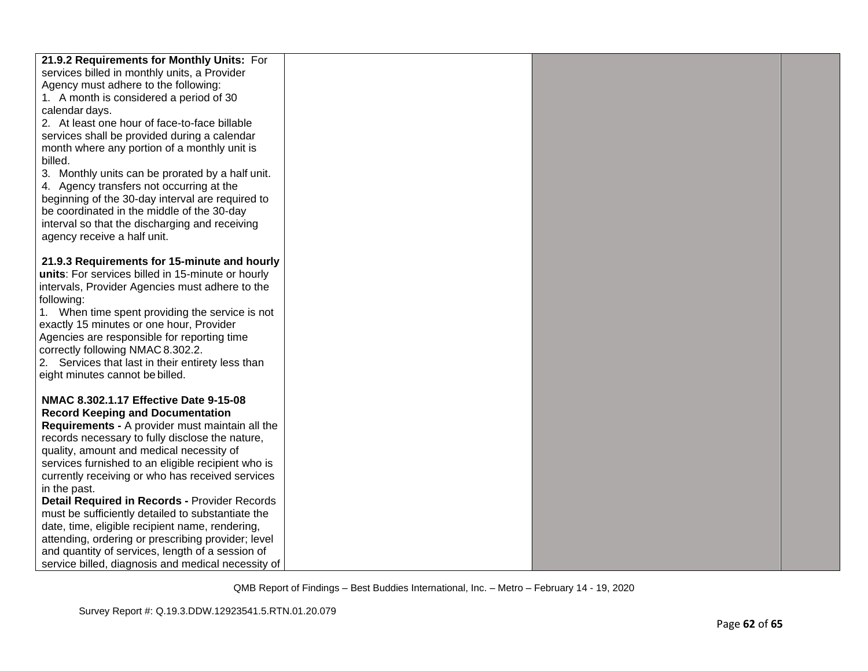| 21.9.2 Requirements for Monthly Units: For         |  |  |
|----------------------------------------------------|--|--|
| services billed in monthly units, a Provider       |  |  |
| Agency must adhere to the following:               |  |  |
| 1. A month is considered a period of 30            |  |  |
| calendar days.                                     |  |  |
| 2. At least one hour of face-to-face billable      |  |  |
| services shall be provided during a calendar       |  |  |
| month where any portion of a monthly unit is       |  |  |
| billed.                                            |  |  |
| 3. Monthly units can be prorated by a half unit.   |  |  |
| 4. Agency transfers not occurring at the           |  |  |
| beginning of the 30-day interval are required to   |  |  |
| be coordinated in the middle of the 30-day         |  |  |
| interval so that the discharging and receiving     |  |  |
| agency receive a half unit.                        |  |  |
|                                                    |  |  |
| 21.9.3 Requirements for 15-minute and hourly       |  |  |
| units: For services billed in 15-minute or hourly  |  |  |
| intervals, Provider Agencies must adhere to the    |  |  |
| following:                                         |  |  |
| 1. When time spent providing the service is not    |  |  |
| exactly 15 minutes or one hour, Provider           |  |  |
| Agencies are responsible for reporting time        |  |  |
| correctly following NMAC 8.302.2.                  |  |  |
| 2. Services that last in their entirety less than  |  |  |
| eight minutes cannot be billed.                    |  |  |
|                                                    |  |  |
| NMAC 8.302.1.17 Effective Date 9-15-08             |  |  |
| <b>Record Keeping and Documentation</b>            |  |  |
| Requirements - A provider must maintain all the    |  |  |
| records necessary to fully disclose the nature,    |  |  |
| quality, amount and medical necessity of           |  |  |
| services furnished to an eligible recipient who is |  |  |
| currently receiving or who has received services   |  |  |
| in the past.                                       |  |  |
| Detail Required in Records - Provider Records      |  |  |
| must be sufficiently detailed to substantiate the  |  |  |
| date, time, eligible recipient name, rendering,    |  |  |
| attending, ordering or prescribing provider; level |  |  |
| and quantity of services, length of a session of   |  |  |
| service billed, diagnosis and medical necessity of |  |  |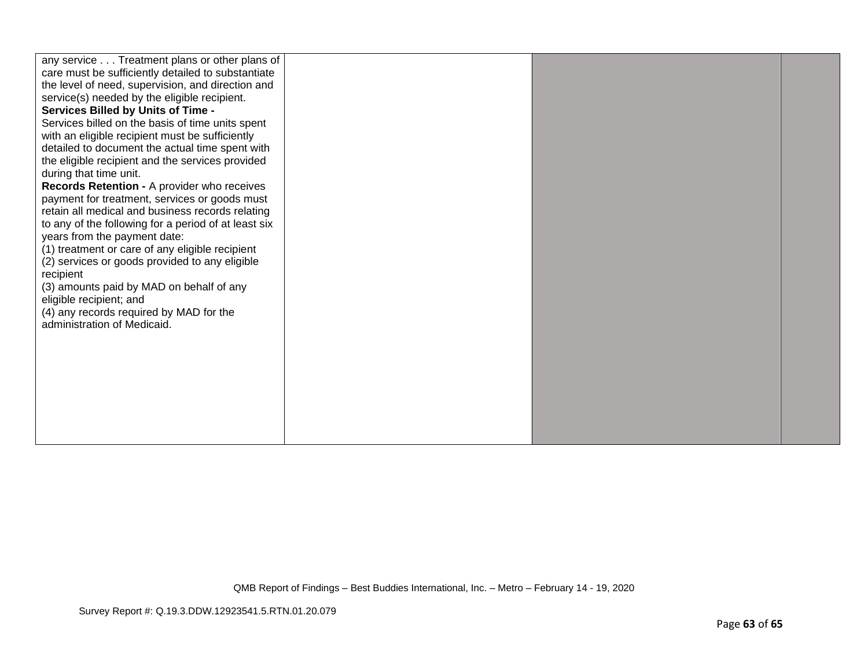| any service Treatment plans or other plans of<br>care must be sufficiently detailed to substantiate<br>the level of need, supervision, and direction and |  |  |
|----------------------------------------------------------------------------------------------------------------------------------------------------------|--|--|
| service(s) needed by the eligible recipient.                                                                                                             |  |  |
| <b>Services Billed by Units of Time -</b><br>Services billed on the basis of time units spent                                                            |  |  |
| with an eligible recipient must be sufficiently                                                                                                          |  |  |
| detailed to document the actual time spent with                                                                                                          |  |  |
| the eligible recipient and the services provided                                                                                                         |  |  |
| during that time unit.                                                                                                                                   |  |  |
| Records Retention - A provider who receives                                                                                                              |  |  |
| payment for treatment, services or goods must<br>retain all medical and business records relating                                                        |  |  |
| to any of the following for a period of at least six                                                                                                     |  |  |
| years from the payment date:                                                                                                                             |  |  |
| (1) treatment or care of any eligible recipient                                                                                                          |  |  |
| (2) services or goods provided to any eligible                                                                                                           |  |  |
| recipient                                                                                                                                                |  |  |
| (3) amounts paid by MAD on behalf of any<br>eligible recipient; and                                                                                      |  |  |
| (4) any records required by MAD for the                                                                                                                  |  |  |
| administration of Medicaid.                                                                                                                              |  |  |
|                                                                                                                                                          |  |  |
|                                                                                                                                                          |  |  |
|                                                                                                                                                          |  |  |
|                                                                                                                                                          |  |  |
|                                                                                                                                                          |  |  |
|                                                                                                                                                          |  |  |
|                                                                                                                                                          |  |  |
|                                                                                                                                                          |  |  |